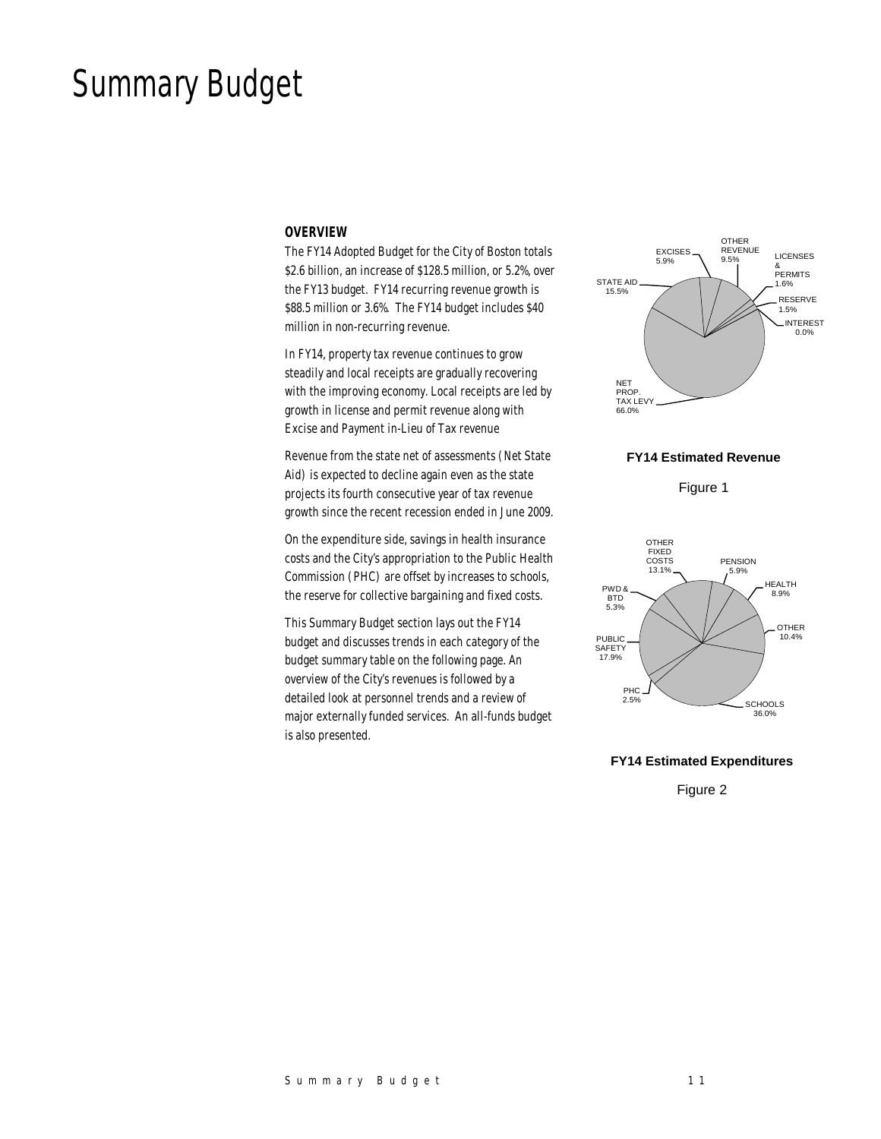# Summary Budget

#### *OVERVIEW*

The FY14 Adopted Budget for the City of Boston totals \$2.6 billion, an increase of \$128.5 million, or 5.2%, over the FY13 budget. FY14 recurring revenue growth is \$88.5 million or 3.6%. The FY14 budget includes \$40 million in non-recurring revenue.

In FY14, property tax revenue continues to grow steadily and local receipts are gradually recovering with the improving economy. Local receipts are led by growth in license and permit revenue along with Excise and Payment in-Lieu of Tax revenue

Revenue from the state net of assessments (Net State Aid) is expected to decline again even as the state projects its fourth consecutive year of tax revenue growth since the recent recession ended in June 2009.

On the expenditure side, savings in health insurance costs and the City's appropriation to the Public Health Commission (PHC) are offset by increases to schools, the reserve for collective bargaining and fixed costs.

This Summary Budget section lays out the FY14 budget and discusses trends in each category of the budget summary table on the following page. An overview of the City's revenues is followed by a detailed look at personnel trends and a review of major externally funded services. An all-funds budget is also presented.



**FY14 Estimated Revenue**

Figure 1



#### **FY14 Estimated Expenditures**

Figure 2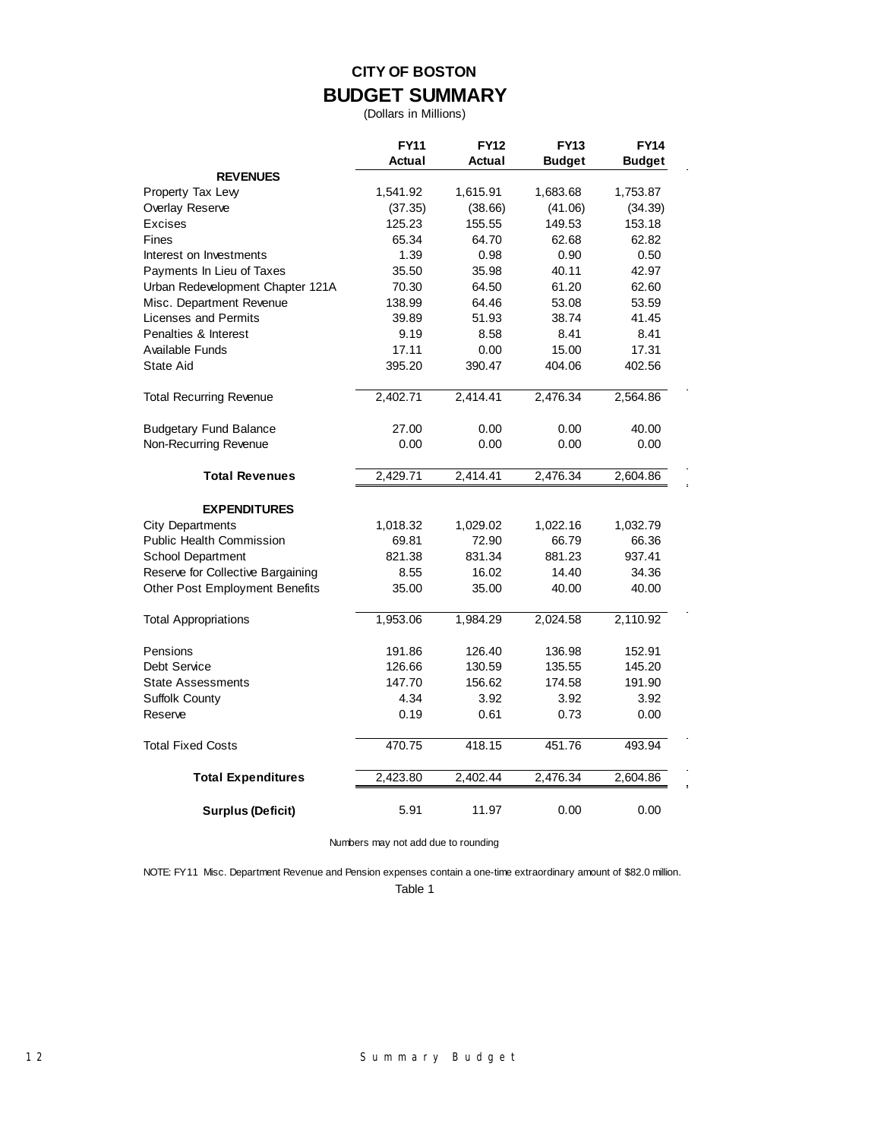## **CITY OF BOSTON BUDGET SUMMARY**

(Dollars in Millions)

|                                       | <b>FY11</b> | <b>FY12</b> | <b>FY13</b>   | <b>FY14</b>   |
|---------------------------------------|-------------|-------------|---------------|---------------|
|                                       | Actual      | Actual      | <b>Budget</b> | <b>Budget</b> |
| <b>REVENUES</b>                       |             |             |               |               |
| Property Tax Levy                     | 1,541.92    | 1,615.91    | 1,683.68      | 1,753.87      |
| Overlay Reserve                       | (37.35)     | (38.66)     | (41.06)       | (34.39)       |
| <b>Excises</b>                        | 125.23      | 155.55      | 149.53        | 153.18        |
| Fines                                 | 65.34       | 64.70       | 62.68         | 62.82         |
| Interest on Investments               | 1.39        | 0.98        | 0.90          | 0.50          |
| Payments In Lieu of Taxes             | 35.50       | 35.98       | 40.11         | 42.97         |
| Urban Redevelopment Chapter 121A      | 70.30       | 64.50       | 61.20         | 62.60         |
| Misc. Department Revenue              | 138.99      | 64.46       | 53.08         | 53.59         |
| <b>Licenses and Permits</b>           | 39.89       | 51.93       | 38.74         | 41.45         |
| Penalties & Interest                  | 9.19        | 8.58        | 8.41          | 8.41          |
| Available Funds                       | 17.11       | 0.00        | 15.00         | 17.31         |
| State Aid                             | 395.20      | 390.47      | 404.06        | 402.56        |
| <b>Total Recurring Revenue</b>        | 2,402.71    | 2,414.41    | 2,476.34      | 2,564.86      |
| <b>Budgetary Fund Balance</b>         | 27.00       | 0.00        | 0.00          | 40.00         |
| Non-Recurring Revenue                 | 0.00        | 0.00        | 0.00          | 0.00          |
| <b>Total Revenues</b>                 | 2,429.71    | 2,414.41    | 2,476.34      | 2,604.86      |
|                                       |             |             |               |               |
| <b>EXPENDITURES</b>                   |             |             |               |               |
| <b>City Departments</b>               | 1,018.32    | 1,029.02    | 1,022.16      | 1,032.79      |
| <b>Public Health Commission</b>       | 69.81       | 72.90       | 66.79         | 66.36         |
| School Department                     | 821.38      | 831.34      | 881.23        | 937.41        |
| Reserve for Collective Bargaining     | 8.55        | 16.02       | 14.40         | 34.36         |
| <b>Other Post Employment Benefits</b> | 35.00       | 35.00       | 40.00         | 40.00         |
| <b>Total Appropriations</b>           | 1,953.06    | 1,984.29    | 2,024.58      | 2,110.92      |
| Pensions                              | 191.86      | 126.40      | 136.98        | 152.91        |
| Debt Service                          | 126.66      | 130.59      | 135.55        | 145.20        |
| <b>State Assessments</b>              | 147.70      | 156.62      | 174.58        | 191.90        |
| Suffolk County                        | 4.34        | 3.92        | 3.92          | 3.92          |
| Reserve                               | 0.19        | 0.61        | 0.73          | 0.00          |
| <b>Total Fixed Costs</b>              | 470.75      | 418.15      | 451.76        | 493.94        |
| <b>Total Expenditures</b>             | 2,423.80    | 2,402.44    | 2,476.34      | 2,604.86      |
| <b>Surplus (Deficit)</b>              | 5.91        | 11.97       | 0.00          | 0.00          |

Numbers may not add due to rounding

NOTE: FY11 Misc. Department Revenue and Pension expenses contain a one-time extraordinary amount of \$82.0 million.

Table 1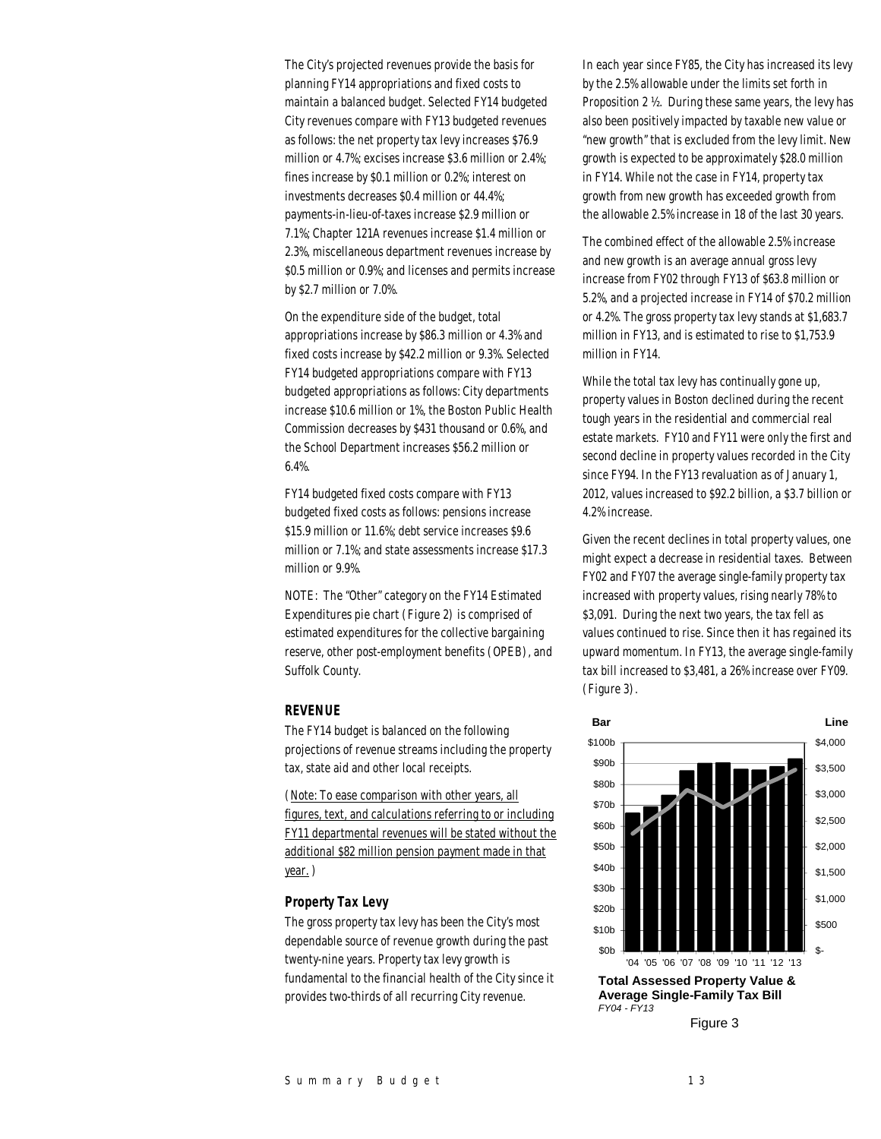The City's projected revenues provide the basis for planning FY14 appropriations and fixed costs to maintain a balanced budget. Selected FY14 budgeted City revenues compare with FY13 budgeted revenues as follows: the net property tax levy increases \$76.9 million or 4.7%; excises increase \$3.6 million or 2.4%; fines increase by \$0.1 million or 0.2%; interest on investments decreases \$0.4 million or 44.4%; payments-in-lieu-of-taxes increase \$2.9 million or 7.1%; Chapter 121A revenues increase \$1.4 million or 2.3%, miscellaneous department revenues increase by \$0.5 million or 0.9%; and licenses and permits increase by \$2.7 million or 7.0%.

On the expenditure side of the budget, total appropriations increase by \$86.3 million or 4.3% and fixed costs increase by \$42.2 million or 9.3%. Selected FY14 budgeted appropriations compare with FY13 budgeted appropriations as follows: City departments increase \$10.6 million or 1%, the Boston Public Health Commission decreases by \$431 thousand or 0.6%, and the School Department increases \$56.2 million or 6.4%.

FY14 budgeted fixed costs compare with FY13 budgeted fixed costs as follows: pensions increase \$15.9 million or 11.6%; debt service increases \$9.6 million or 7.1%; and state assessments increase \$17.3 million or 9.9%.

NOTE: The "Other" category on the FY14 Estimated Expenditures pie chart (Figure 2) is comprised of estimated expenditures for the collective bargaining reserve, other post-employment benefits (OPEB), and Suffolk County.

## *REVENUE*

The FY14 budget is balanced on the following projections of revenue streams including the property tax, state aid and other local receipts.

(Note: To ease comparison with other years, all figures, text, and calculations referring to or including FY11 departmental revenues will be stated without the additional \$82 million pension payment made in that year. )

## *Property Tax Levy*

The gross property tax levy has been the City's most dependable source of revenue growth during the past twenty-nine years. Property tax levy growth is fundamental to the financial health of the City since it provides two-thirds of all recurring City revenue.

In each year since FY85, the City has increased its levy by the 2.5% allowable under the limits set forth in Proposition 2 ½. During these same years, the levy has also been positively impacted by taxable new value or "new growth" that is excluded from the levy limit. New growth is expected to be approximately \$28.0 million in FY14. While not the case in FY14, property tax growth from new growth has exceeded growth from the allowable 2.5% increase in 18 of the last 30 years.

The combined effect of the allowable 2.5% increase and new growth is an average annual gross levy increase from FY02 through FY13 of \$63.8 million or 5.2%, and a projected increase in FY14 of \$70.2 million or 4.2%. The gross property tax levy stands at \$1,683.7 million in FY13, and is estimated to rise to \$1,753.9 million in FY14.

While the total tax levy has continually gone up, property values in Boston declined during the recent tough years in the residential and commercial real estate markets. FY10 and FY11 were only the first and second decline in property values recorded in the City since FY94. In the FY13 revaluation as of January 1, 2012, values increased to \$92.2 billion, a \$3.7 billion or 4.2% increase.

Given the recent declines in total property values, one might expect a decrease in residential taxes. Between FY02 and FY07 the average single-family property tax increased with property values, rising nearly 78% to \$3,091. During the next two years, the tax fell as values continued to rise. Since then it has regained its upward momentum. In FY13, the average single-family tax bill increased to \$3,481, a 26% increase over FY09. (Figure 3).



*FY04 - FY13* Figure 3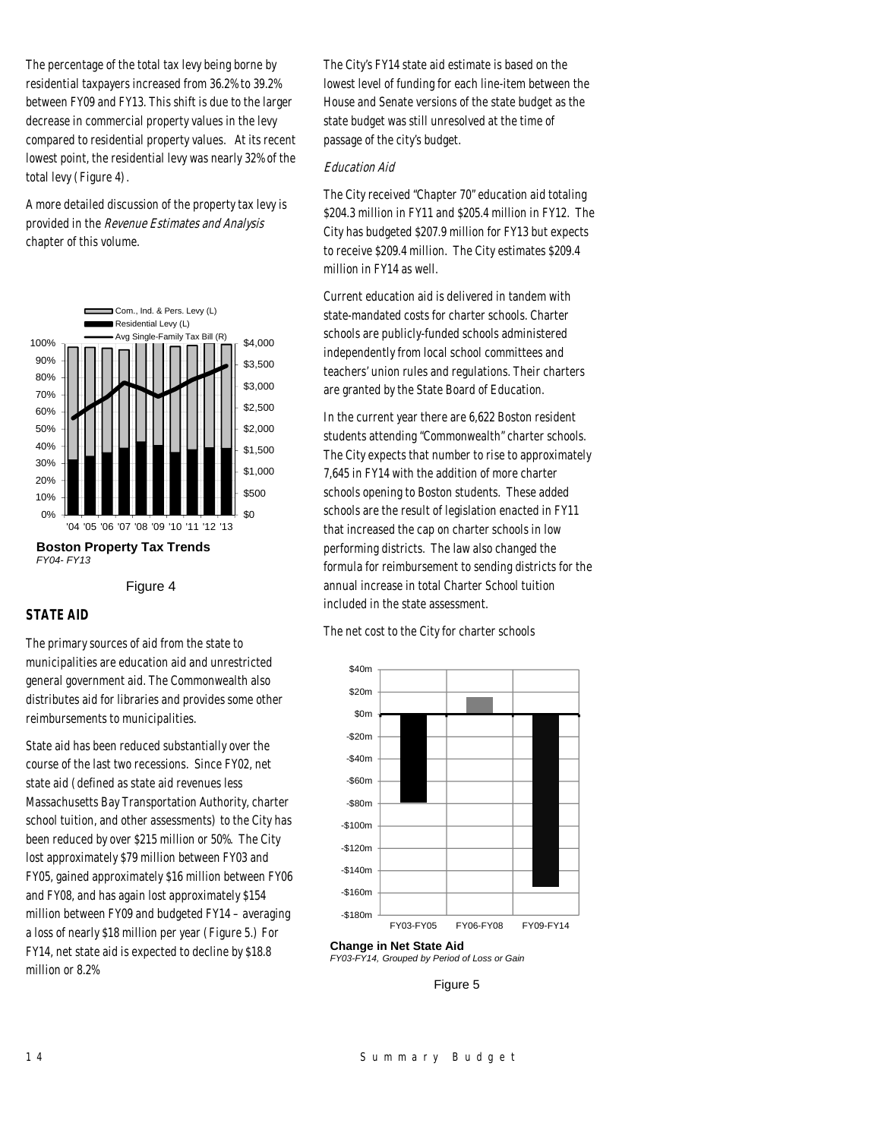The percentage of the total tax levy being borne by residential taxpayers increased from 36.2% to 39.2% between FY09 and FY13. This shift is due to the larger decrease in commercial property values in the levy compared to residential property values. At its recent lowest point, the residential levy was nearly 32% of the total levy (Figure 4).

A more detailed discussion of the property tax levy is provided in the Revenue Estimates and Analysis chapter of this volume.



**Boston Property Tax Trends** *FY04- FY13*

Figure 4

## *STATE AID*

The primary sources of aid from the state to municipalities are education aid and unrestricted general government aid. The Commonwealth also distributes aid for libraries and provides some other reimbursements to municipalities.

State aid has been reduced substantially over the course of the last two recessions. Since FY02, net state aid (defined as state aid revenues less Massachusetts Bay Transportation Authority, charter school tuition, and other assessments) to the City has been reduced by over \$215 million or 50%. The City lost approximately \$79 million between FY03 and FY05, gained approximately \$16 million between FY06 and FY08, and has again lost approximately \$154 million between FY09 and budgeted FY14 – averaging a loss of nearly \$18 million per year (Figure 5.) For FY14, net state aid is expected to decline by \$18.8 million or 8.2%

The City's FY14 state aid estimate is based on the lowest level of funding for each line-item between the House and Senate versions of the state budget as the state budget was still unresolved at the time of passage of the city's budget.

#### Education Aid

The City received "Chapter 70" education aid totaling \$204.3 million in FY11 and \$205.4 million in FY12. The City has budgeted \$207.9 million for FY13 but expects to receive \$209.4 million. The City estimates \$209.4 million in FY14 as well.

Current education aid is delivered in tandem with state-mandated costs for charter schools. Charter schools are publicly-funded schools administered independently from local school committees and teachers' union rules and regulations. Their charters are granted by the State Board of Education.

In the current year there are 6,622 Boston resident students attending "Commonwealth" charter schools. The City expects that number to rise to approximately 7,645 in FY14 with the addition of more charter schools opening to Boston students. These added schools are the result of legislation enacted in FY11 that increased the cap on charter schools in low performing districts. The law also changed the formula for reimbursement to sending districts for the annual increase in total Charter School tuition included in the state assessment.

The net cost to the City for charter schools



**Change in Net State Aid** *FY03-FY14, Grouped by Period of Loss or Gain*

Figure 5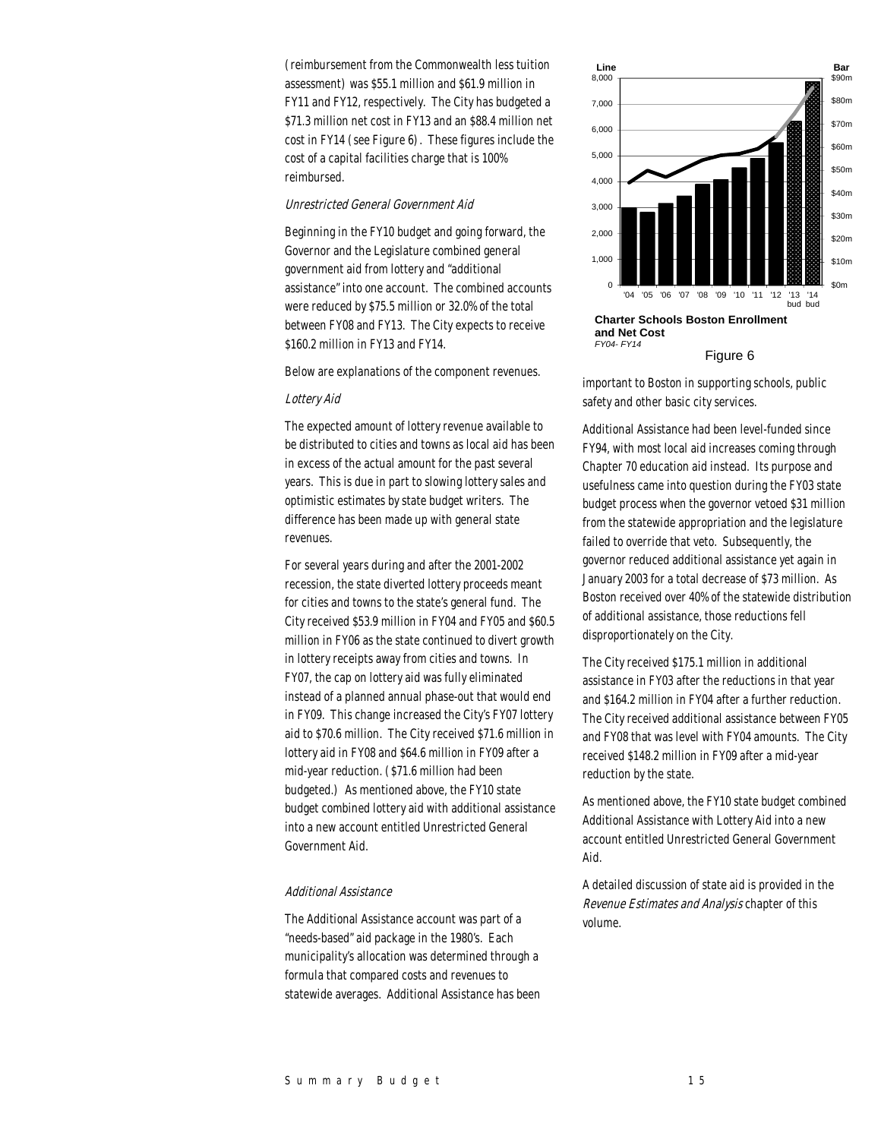(reimbursement from the Commonwealth less tuition assessment) was \$55.1 million and \$61.9 million in FY11 and FY12, respectively. The City has budgeted a \$71.3 million net cost in FY13 and an \$88.4 million net cost in FY14 (see Figure 6). These figures include the cost of a capital facilities charge that is 100% reimbursed.

#### Unrestricted General Government Aid

Beginning in the FY10 budget and going forward, the Governor and the Legislature combined general government aid from lottery and "additional assistance" into one account. The combined accounts were reduced by \$75.5 million or 32.0% of the total between FY08 and FY13. The City expects to receive \$160.2 million in FY13 and FY14.

Below are explanations of the component revenues.

#### Lottery Aid

The expected amount of lottery revenue available to be distributed to cities and towns as local aid has been in excess of the actual amount for the past several years. This is due in part to slowing lottery sales and optimistic estimates by state budget writers. The difference has been made up with general state revenues.

For several years during and after the 2001-2002 recession, the state diverted lottery proceeds meant for cities and towns to the state's general fund. The City received \$53.9 million in FY04 and FY05 and \$60.5 million in FY06 as the state continued to divert growth in lottery receipts away from cities and towns. In FY07, the cap on lottery aid was fully eliminated instead of a planned annual phase-out that would end in FY09. This change increased the City's FY07 lottery aid to \$70.6 million. The City received \$71.6 million in lottery aid in FY08 and \$64.6 million in FY09 after a mid-year reduction. (\$71.6 million had been budgeted.) As mentioned above, the FY10 state budget combined lottery aid with additional assistance into a new account entitled Unrestricted General Government Aid.

#### Additional Assistance

The Additional Assistance account was part of a "needs-based" aid package in the 1980's. Each municipality's allocation was determined through a formula that compared costs and revenues to statewide averages. Additional Assistance has been





important to Boston in supporting schools, public safety and other basic city services.

Additional Assistance had been level-funded since FY94, with most local aid increases coming through Chapter 70 education aid instead. Its purpose and usefulness came into question during the FY03 state budget process when the governor vetoed \$31 million from the statewide appropriation and the legislature failed to override that veto. Subsequently, the governor reduced additional assistance yet again in January 2003 for a total decrease of \$73 million. As Boston received over 40% of the statewide distribution of additional assistance, those reductions fell disproportionately on the City.

The City received \$175.1 million in additional assistance in FY03 after the reductions in that year and \$164.2 million in FY04 after a further reduction. The City received additional assistance between FY05 and FY08 that was level with FY04 amounts. The City received \$148.2 million in FY09 after a mid-year reduction by the state.

As mentioned above, the FY10 state budget combined Additional Assistance with Lottery Aid into a new account entitled Unrestricted General Government Aid.

A detailed discussion of state aid is provided in the Revenue Estimates and Analysis chapter of this volume.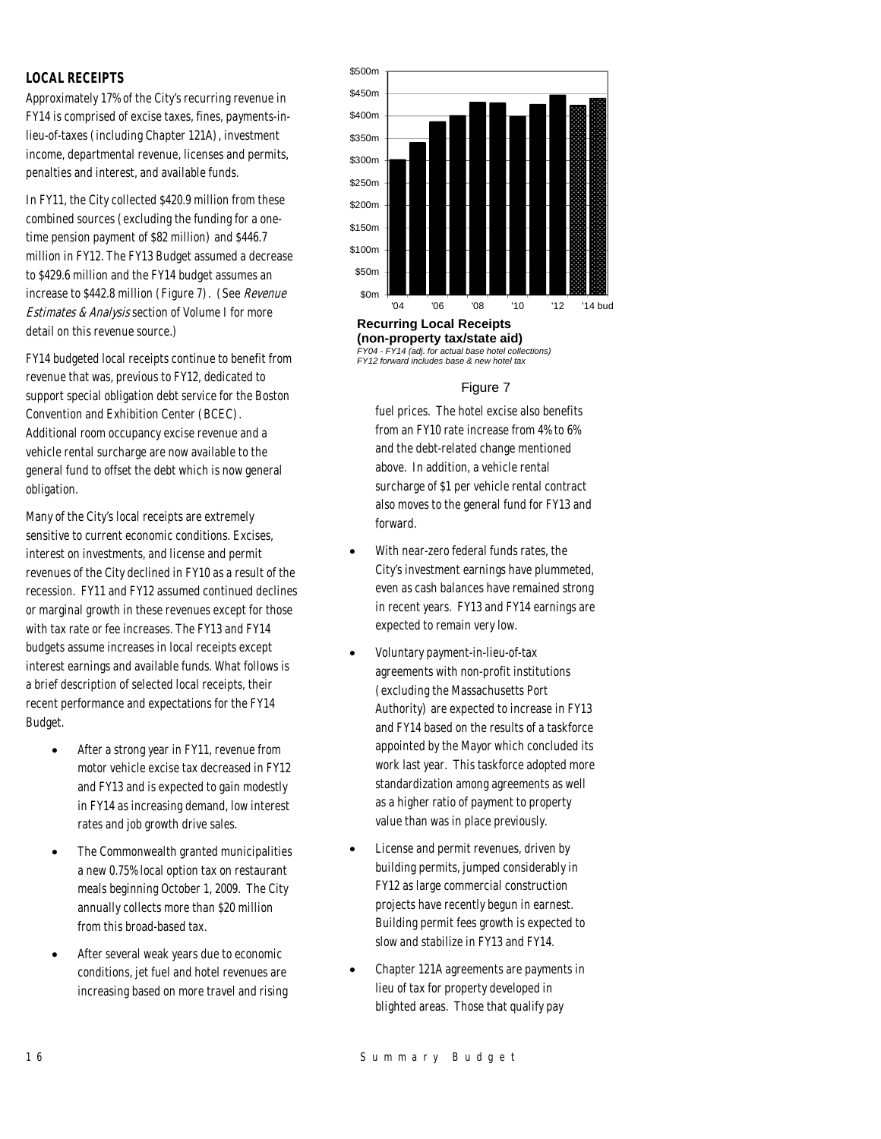## *LOCAL RECEIPTS*

Approximately 17% of the City's recurring revenue in FY14 is comprised of excise taxes, fines, payments-inlieu-of-taxes (including Chapter 121A), investment income, departmental revenue, licenses and permits, penalties and interest, and available funds.

In FY11, the City collected \$420.9 million from these combined sources (excluding the funding for a onetime pension payment of \$82 million) and \$446.7 million in FY12. The FY13 Budget assumed a decrease to \$429.6 million and the FY14 budget assumes an increase to \$442.8 million (Figure 7). (See Revenue Estimates & Analysis section of Volume I for more detail on this revenue source.)

FY14 budgeted local receipts continue to benefit from revenue that was, previous to FY12, dedicated to support special obligation debt service for the Boston Convention and Exhibition Center (BCEC). Additional room occupancy excise revenue and a vehicle rental surcharge are now available to the general fund to offset the debt which is now general obligation.

Many of the City's local receipts are extremely sensitive to current economic conditions. Excises, interest on investments, and license and permit revenues of the City declined in FY10 as a result of the recession. FY11 and FY12 assumed continued declines or marginal growth in these revenues except for those with tax rate or fee increases. The FY13 and FY14 budgets assume increases in local receipts except interest earnings and available funds. What follows is a brief description of selected local receipts, their recent performance and expectations for the FY14 Budget.

- After a strong year in FY11, revenue from motor vehicle excise tax decreased in FY12 and FY13 and is expected to gain modestly in FY14 as increasing demand, low interest rates and job growth drive sales.
- The Commonwealth granted municipalities a new 0.75% local option tax on restaurant meals beginning October 1, 2009. The City annually collects more than \$20 million from this broad-based tax.
- After several weak years due to economic conditions, jet fuel and hotel revenues are increasing based on more travel and rising



**(non-property tax/state aid)**  *FY04 - FY14 (adj. for actual base hotel collections) FY12 forward includes base & new hotel tax*

## Figure 7

fuel prices. The hotel excise also benefits from an FY10 rate increase from 4% to 6% and the debt-related change mentioned above. In addition, a vehicle rental surcharge of \$1 per vehicle rental contract also moves to the general fund for FY13 and forward.

- With near-zero federal funds rates, the City's investment earnings have plummeted, even as cash balances have remained strong in recent years. FY13 and FY14 earnings are expected to remain very low.
- Voluntary payment-in-lieu-of-tax agreements with non-profit institutions (excluding the Massachusetts Port Authority) are expected to increase in FY13 and FY14 based on the results of a taskforce appointed by the Mayor which concluded its work last year. This taskforce adopted more standardization among agreements as well as a higher ratio of payment to property value than was in place previously.
- License and permit revenues, driven by building permits, jumped considerably in FY12 as large commercial construction projects have recently begun in earnest. Building permit fees growth is expected to slow and stabilize in FY13 and FY14.
- Chapter 121A agreements are payments in lieu of tax for property developed in blighted areas. Those that qualify pay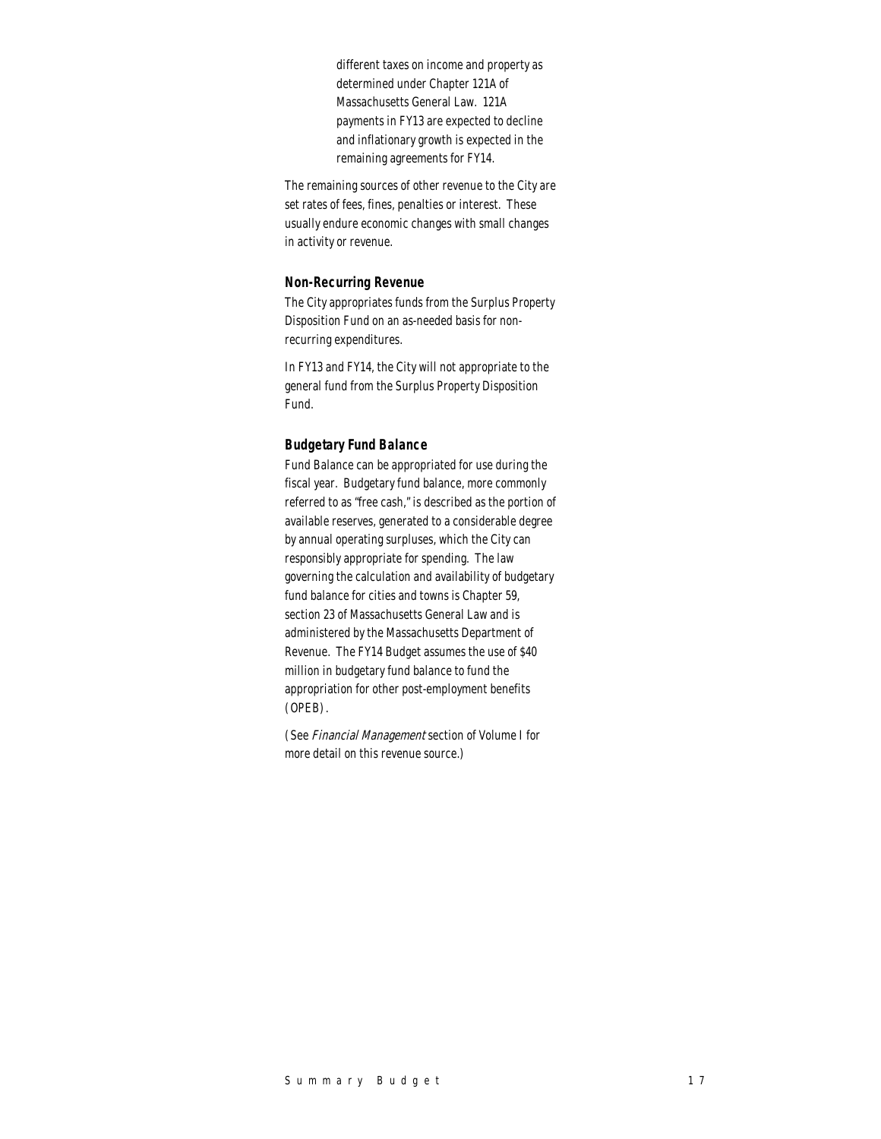different taxes on income and property as determined under Chapter 121A of Massachusetts General Law. 121A payments in FY13 are expected to decline and inflationary growth is expected in the remaining agreements for FY14.

The remaining sources of other revenue to the City are set rates of fees, fines, penalties or interest. These usually endure economic changes with small changes in activity or revenue.

#### *Non-Recurring Revenue*

The City appropriates funds from the Surplus Property Disposition Fund on an as-needed basis for nonrecurring expenditures.

In FY13 and FY14, the City will not appropriate to the general fund from the Surplus Property Disposition Fund.

#### *Budgetary Fund Balance*

Fund Balance can be appropriated for use during the fiscal year. Budgetary fund balance, more commonly referred to as "free cash," is described as the portion of available reserves, generated to a considerable degree by annual operating surpluses, which the City can responsibly appropriate for spending. The law governing the calculation and availability of budgetary fund balance for cities and towns is Chapter 59, section 23 of Massachusetts General Law and is administered by the Massachusetts Department of Revenue. The FY14 Budget assumes the use of \$40 million in budgetary fund balance to fund the appropriation for other post-employment benefits (OPEB).

(See Financial Management section of Volume I for more detail on this revenue source.)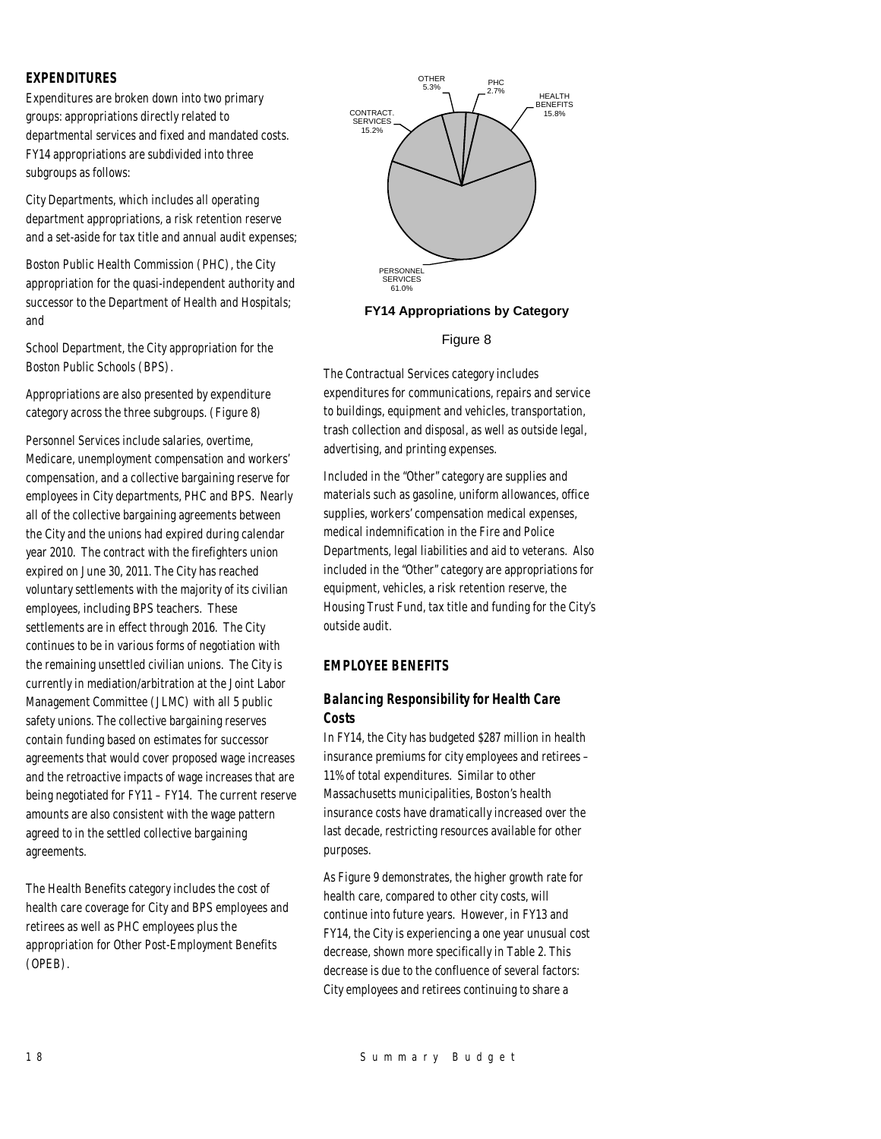## *EXPENDITURES*

Expenditures are broken down into two primary groups: appropriations directly related to departmental services and fixed and mandated costs. FY14 appropriations are subdivided into three subgroups as follows:

City Departments, which includes all operating department appropriations, a risk retention reserve and a set-aside for tax title and annual audit expenses;

Boston Public Health Commission (PHC), the City appropriation for the quasi-independent authority and successor to the Department of Health and Hospitals; and

School Department, the City appropriation for the Boston Public Schools (BPS).

Appropriations are also presented by expenditure category across the three subgroups. (Figure 8)

Personnel Services include salaries, overtime, Medicare, unemployment compensation and workers' compensation, and a collective bargaining reserve for employees in City departments, PHC and BPS. Nearly all of the collective bargaining agreements between the City and the unions had expired during calendar year 2010. The contract with the firefighters union expired on June 30, 2011. The City has reached voluntary settlements with the majority of its civilian employees, including BPS teachers. These settlements are in effect through 2016. The City continues to be in various forms of negotiation with the remaining unsettled civilian unions. The City is currently in mediation/arbitration at the Joint Labor Management Committee (JLMC) with all 5 public safety unions. The collective bargaining reserves contain funding based on estimates for successor agreements that would cover proposed wage increases and the retroactive impacts of wage increases that are being negotiated for FY11 – FY14. The current reserve amounts are also consistent with the wage pattern agreed to in the settled collective bargaining agreements.

The Health Benefits category includes the cost of health care coverage for City and BPS employees and retirees as well as PHC employees plus the appropriation for Other Post-Employment Benefits (OPEB).



## **FY14 Appropriations by Category**

## Figure 8

The Contractual Services category includes expenditures for communications, repairs and service to buildings, equipment and vehicles, transportation, trash collection and disposal, as well as outside legal, advertising, and printing expenses.

Included in the "Other" category are supplies and materials such as gasoline, uniform allowances, office supplies, workers' compensation medical expenses, medical indemnification in the Fire and Police Departments, legal liabilities and aid to veterans. Also included in the "Other" category are appropriations for equipment, vehicles, a risk retention reserve, the Housing Trust Fund, tax title and funding for the City's outside audit.

## *EMPLOYEE BENEFITS*

## *Balancing Responsibility for Health Care Costs*

In FY14, the City has budgeted \$287 million in health insurance premiums for city employees and retirees – 11% of total expenditures. Similar to other Massachusetts municipalities, Boston's health insurance costs have dramatically increased over the last decade, restricting resources available for other purposes.

As Figure 9 demonstrates, the higher growth rate for health care, compared to other city costs, will continue into future years. However, in FY13 and FY14, the City is experiencing a one year unusual cost decrease, shown more specifically in Table 2. This decrease is due to the confluence of several factors: City employees and retirees continuing to share a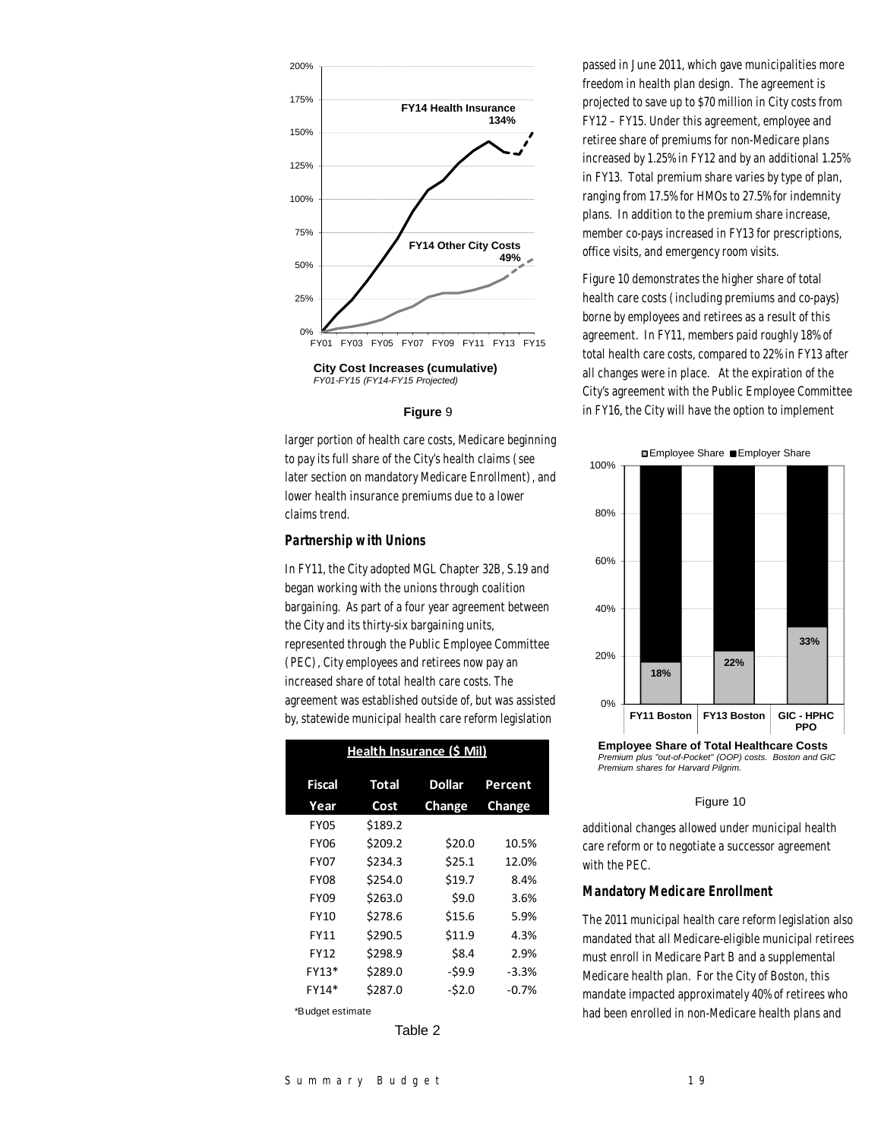

**City Cost Increases (cumulative)** *FY01-FY15 (FY14-FY15 Projected)*

#### **Figure** 9

larger portion of health care costs, Medicare beginning to pay its full share of the City's health claims (see later section on mandatory Medicare Enrollment), and lower health insurance premiums due to a lower claims trend.

## *Partnership with Unions*

In FY11, the City adopted MGL Chapter 32B, S.19 and began working with the unions through coalition bargaining. As part of a four year agreement between the City and its thirty-six bargaining units, represented through the Public Employee Committee (PEC), City employees and retirees now pay an increased share of total health care costs. The agreement was established outside of, but was assisted by, statewide municipal health care reform legislation

| Health Insurance (\$ Mil) |              |               |         |  |  |  |  |
|---------------------------|--------------|---------------|---------|--|--|--|--|
| Fiscal                    | <b>Total</b> | <b>Dollar</b> | Percent |  |  |  |  |
| Year                      | Cost         | Change        | Change  |  |  |  |  |
| <b>FY05</b>               | \$189.2      |               |         |  |  |  |  |
| <b>FY06</b>               | \$209.2      | \$20.0        | 10.5%   |  |  |  |  |
| <b>FY07</b>               | \$234.3      | \$25.1        | 12.0%   |  |  |  |  |
| <b>FY08</b>               | \$254.0      | \$19.7        | 8.4%    |  |  |  |  |
| <b>FY09</b>               | \$263.0      | \$9.0         | 3.6%    |  |  |  |  |
| <b>FY10</b>               | \$278.6      | \$15.6        | 5.9%    |  |  |  |  |
| <b>FY11</b>               | \$290.5      | \$11.9        | 4.3%    |  |  |  |  |
| <b>FY12</b>               | \$298.9      | \$8.4         | 2.9%    |  |  |  |  |
| FY13*                     | \$289.0      | $-$ \$9.9     | $-3.3%$ |  |  |  |  |
| FY14*                     | \$287.0      | $-52.0$       | $-0.7%$ |  |  |  |  |
| *Budget estimate          |              |               |         |  |  |  |  |

Table 2

passed in June 2011, which gave municipalities more freedom in health plan design. The agreement is projected to save up to \$70 million in City costs from FY12 – FY15. Under this agreement, employee and retiree share of premiums for non-Medicare plans increased by 1.25% in FY12 and by an additional 1.25% in FY13. Total premium share varies by type of plan, ranging from 17.5% for HMOs to 27.5% for indemnity plans. In addition to the premium share increase, member co-pays increased in FY13 for prescriptions, office visits, and emergency room visits.

Figure 10 demonstrates the higher share of total health care costs (including premiums and co-pays) borne by employees and retirees as a result of this agreement. In FY11, members paid roughly 18% of total health care costs, compared to 22% in FY13 after all changes were in place. At the expiration of the City's agreement with the Public Employee Committee in FY16, the City will have the option to implement



*Premium plus "out-of-Pocket" (OOP) costs. Boston and GIC Premium shares for Harvard Pilgrim.*

#### Figure 10

additional changes allowed under municipal health care reform or to negotiate a successor agreement with the PEC.

#### *Mandatory Medicare Enrollment*

The 2011 municipal health care reform legislation also mandated that all Medicare-eligible municipal retirees must enroll in Medicare Part B and a supplemental Medicare health plan. For the City of Boston, this mandate impacted approximately 40% of retirees who had been enrolled in non-Medicare health plans and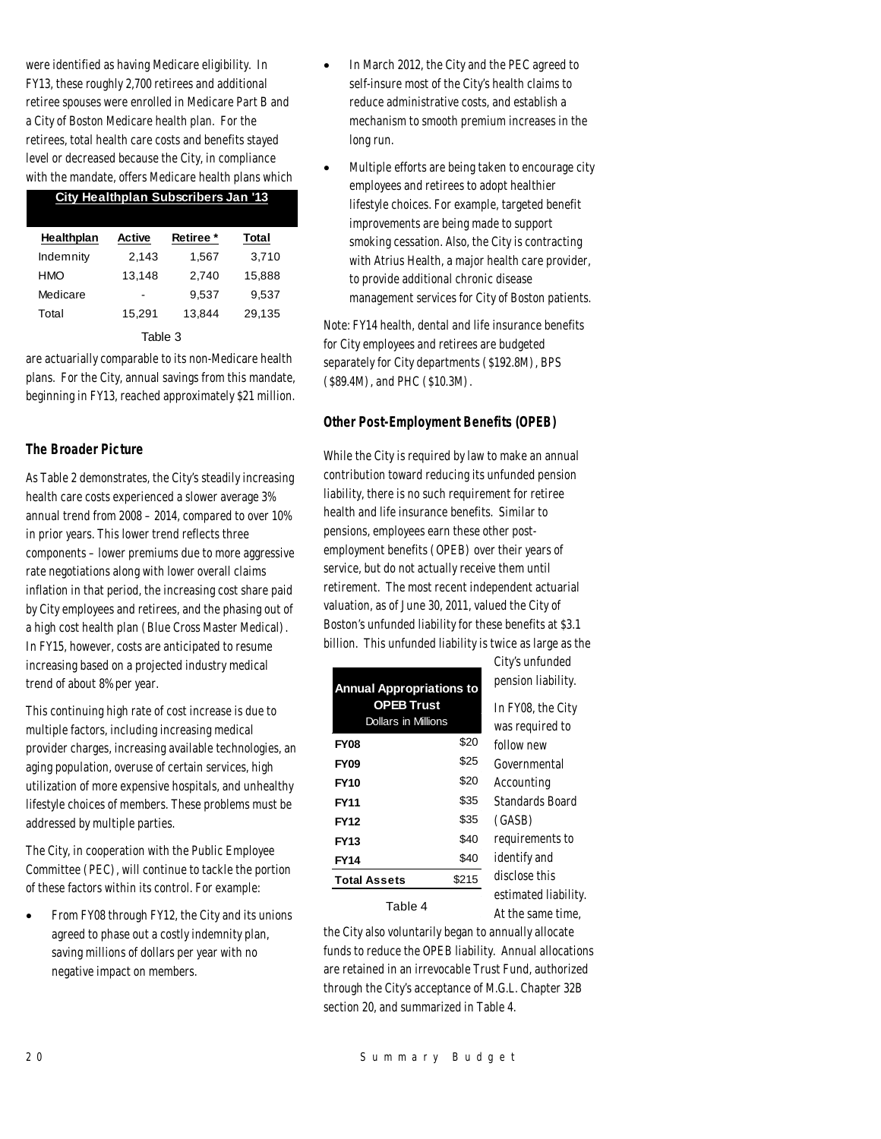were identified as having Medicare eligibility. In FY13, these roughly 2,700 retirees and additional retiree spouses were enrolled in Medicare Part B and a City of Boston Medicare health plan. For the retirees, total health care costs and benefits stayed level or decreased because the City, in compliance with the mandate, offers Medicare health plans which

## **City Healthplan Subscribers Jan '13**

| Healthplan | Active | Retiree * | Total  |  |  |  |
|------------|--------|-----------|--------|--|--|--|
| Indemnity  | 2.143  | 1,567     | 3,710  |  |  |  |
| <b>HMO</b> | 13,148 | 2.740     | 15,888 |  |  |  |
| Medicare   |        | 9.537     | 9.537  |  |  |  |
| Total      | 15.291 | 13.844    | 29,135 |  |  |  |
| Table 3    |        |           |        |  |  |  |

are actuarially comparable to its non-Medicare health plans. For the City, annual savings from this mandate, beginning in FY13, reached approximately \$21 million.

## *The Broader Picture*

As Table 2 demonstrates, the City's steadily increasing health care costs experienced a slower average 3% annual trend from 2008 – 2014, compared to over 10% in prior years. This lower trend reflects three components – lower premiums due to more aggressive rate negotiations along with lower overall claims inflation in that period, the increasing cost share paid by City employees and retirees, and the phasing out of a high cost health plan (Blue Cross Master Medical). In FY15, however, costs are anticipated to resume increasing based on a projected industry medical trend of about 8% per year.

This continuing high rate of cost increase is due to multiple factors, including increasing medical provider charges, increasing available technologies, an aging population, overuse of certain services, high utilization of more expensive hospitals, and unhealthy lifestyle choices of members. These problems must be addressed by multiple parties.

The City, in cooperation with the Public Employee Committee (PEC), will continue to tackle the portion of these factors within its control. For example:

• From FY08 through FY12, the City and its unions agreed to phase out a costly indemnity plan, saving millions of dollars per year with no negative impact on members.

- In March 2012, the City and the PEC agreed to self-insure most of the City's health claims to reduce administrative costs, and establish a mechanism to smooth premium increases in the long run.
- Multiple efforts are being taken to encourage city employees and retirees to adopt healthier lifestyle choices. For example, targeted benefit improvements are being made to support smoking cessation. Also, the City is contracting with Atrius Health, a major health care provider, to provide additional chronic disease management services for City of Boston patients.

Note: FY14 health, dental and life insurance benefits for City employees and retirees are budgeted separately for City departments (\$192.8M), BPS (\$89.4M), and PHC (\$10.3M).

## *Other Post-Employment Benefits (OPEB)*

While the City is required by law to make an annual contribution toward reducing its unfunded pension liability, there is no such requirement for retiree health and life insurance benefits. Similar to pensions, employees earn these other postemployment benefits (OPEB) over their years of service, but do not actually receive them until retirement. The most recent independent actuarial valuation, as of June 30, 2011, valued the City of Boston's unfunded liability for these benefits at \$3.1 billion. This unfunded liability is twice as large as the

City's unfunded

At the same time,

| <b>Annual Appropriations to</b>                 | pension liability. |                      |  |  |
|-------------------------------------------------|--------------------|----------------------|--|--|
| <b>OPEB Trust</b><br><b>Dollars in Millions</b> |                    | In FY08, the City    |  |  |
|                                                 |                    | was required to      |  |  |
| <b>FY08</b>                                     | \$20               | follow new           |  |  |
| <b>FY09</b>                                     | \$25               | Governmental         |  |  |
| <b>FY10</b>                                     | \$20               | Accounting           |  |  |
| <b>FY11</b>                                     | \$35               | Standards Board      |  |  |
| <b>FY12</b>                                     | \$35               | (GASB)               |  |  |
| <b>FY13</b>                                     | \$40               | requirements to      |  |  |
| <b>FY14</b>                                     | \$40               | identify and         |  |  |
| <b>Total Assets</b>                             | \$215              | disclose this        |  |  |
| Table 4                                         |                    | estimated liability. |  |  |

the City also voluntarily began to annually allocate funds to reduce the OPEB liability. Annual allocations are retained in an irrevocable Trust Fund, authorized through the City's acceptance of M.G.L. Chapter 32B section 20, and summarized in Table 4.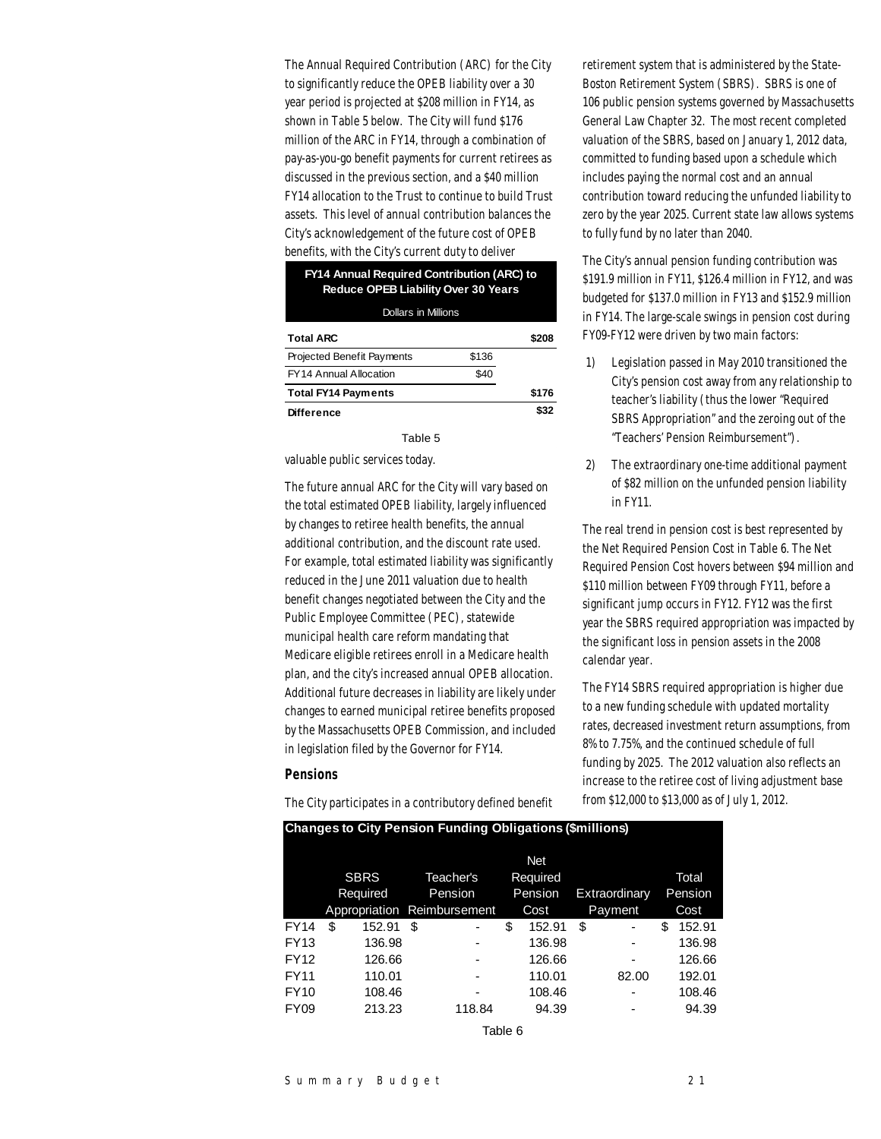The Annual Required Contribution (ARC) for the City to significantly reduce the OPEB liability over a 30 year period is projected at \$208 million in FY14, as shown in Table 5 below. The City will fund \$176 million of the ARC in FY14, through a combination of pay-as-you-go benefit payments for current retirees as discussed in the previous section, and a \$40 million FY14 allocation to the Trust to continue to build Trust assets. This level of annual contribution balances the City's acknowledgement of the future cost of OPEB benefits, with the City's current duty to deliver

## **FY14 Annual Required Contribution (ARC) to Reduce OPEB Liability Over 30 Years**

Dollars in Millions

| <b>Total ARC</b>                  |       | \$208 |
|-----------------------------------|-------|-------|
| <b>Projected Benefit Payments</b> | \$136 |       |
| <b>FY14 Annual Allocation</b>     | \$40  |       |
| <b>Total FY14 Payments</b>        |       | \$176 |
| <b>Difference</b>                 |       | \$32  |

Table 5

valuable public services today.

The future annual ARC for the City will vary based on the total estimated OPEB liability, largely influenced by changes to retiree health benefits, the annual additional contribution, and the discount rate used. For example, total estimated liability was significantly reduced in the June 2011 valuation due to health benefit changes negotiated between the City and the Public Employee Committee (PEC), statewide municipal health care reform mandating that Medicare eligible retirees enroll in a Medicare health plan, and the city's increased annual OPEB allocation. Additional future decreases in liability are likely under changes to earned municipal retiree benefits proposed by the Massachusetts OPEB Commission, and included in legislation filed by the Governor for FY14.

#### *Pensions*

The City participates in a contributory defined benefit

retirement system that is administered by the State-Boston Retirement System (SBRS). SBRS is one of 106 public pension systems governed by Massachusetts General Law Chapter 32. The most recent completed valuation of the SBRS, based on January 1, 2012 data, committed to funding based upon a schedule which includes paying the normal cost and an annual contribution toward reducing the unfunded liability to zero by the year 2025. Current state law allows systems to fully fund by no later than 2040.

The City's annual pension funding contribution was \$191.9 million in FY11, \$126.4 million in FY12, and was budgeted for \$137.0 million in FY13 and \$152.9 million in FY14. The large-scale swings in pension cost during FY09-FY12 were driven by two main factors:

- 1) Legislation passed in May 2010 transitioned the City's pension cost away from any relationship to teacher's liability (thus the lower "Required SBRS Appropriation" and the zeroing out of the "Teachers' Pension Reimbursement").
- 2) The extraordinary one-time additional payment of \$82 million on the unfunded pension liability in FY11.

The real trend in pension cost is best represented by the Net Required Pension Cost in Table 6. The Net Required Pension Cost hovers between \$94 million and \$110 million between FY09 through FY11, before a significant jump occurs in FY12. FY12 was the first year the SBRS required appropriation was impacted by the significant loss in pension assets in the 2008 calendar year.

The FY14 SBRS required appropriation is higher due to a new funding schedule with updated mortality rates, decreased investment return assumptions, from 8% to 7.75%, and the continued schedule of full funding by 2025. The 2012 valuation also reflects an increase to the retiree cost of living adjustment base from \$12,000 to \$13,000 as of July 1, 2012.

| Changes to City Fension Funding Obligations (\$immons) |    |             |    |                             |         |            |               |                |    |        |         |
|--------------------------------------------------------|----|-------------|----|-----------------------------|---------|------------|---------------|----------------|----|--------|---------|
|                                                        |    |             |    |                             |         | <b>Net</b> |               |                |    |        |         |
|                                                        |    | <b>SBRS</b> |    | Teacher's                   |         | Required   |               |                |    | Total  |         |
|                                                        |    | Required    |    | Pension                     | Pension |            | Extraordinary |                |    |        | Pension |
|                                                        |    |             |    | Appropriation Reimbursement | Cost    |            | Payment       |                |    |        | Cost    |
| <b>FY14</b>                                            | \$ | 152.91      | \$ |                             | \$      | 152.91     | \$            | ۰              | \$ | 152.91 |         |
| FY13                                                   |    | 136.98      |    |                             |         | 136.98     |               |                |    | 136.98 |         |
| FY12                                                   |    | 126.66      |    |                             |         | 126.66     |               | ۰              |    | 126.66 |         |
| <b>FY11</b>                                            |    | 110.01      |    |                             |         | 110.01     |               | 82.00          |    | 192.01 |         |
| <b>FY10</b>                                            |    | 108.46      |    | -                           |         | 108.46     |               | $\blacksquare$ |    | 108.46 |         |
| <b>FY09</b>                                            |    | 213.23      |    | 118.84                      |         | 94.39      |               |                |    | 94.39  |         |
|                                                        |    |             |    |                             |         |            |               |                |    |        |         |

**Changes to City Pension Funding Obligations (\$millions)**

Table 6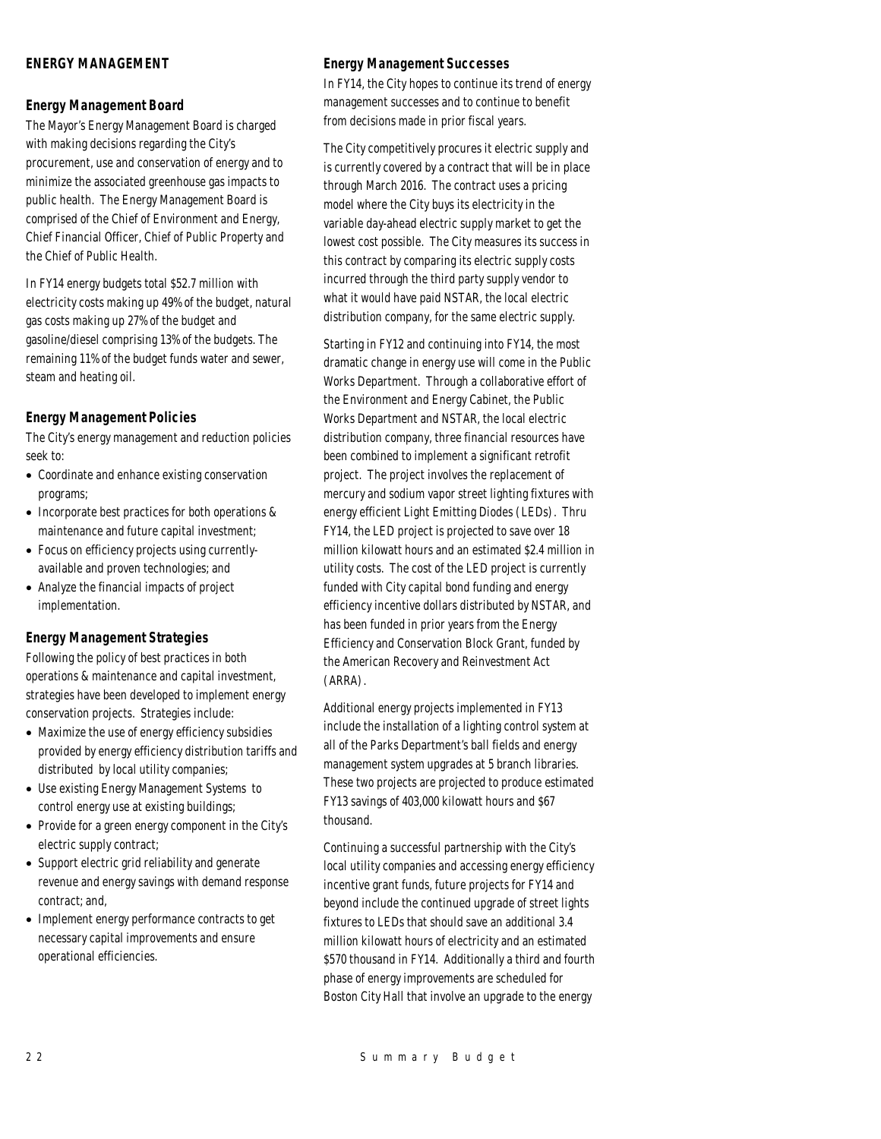## *ENERGY MANAGEMENT*

## *Energy Management Board*

The Mayor's Energy Management Board is charged with making decisions regarding the City's procurement, use and conservation of energy and to minimize the associated greenhouse gas impacts to public health. The Energy Management Board is comprised of the Chief of Environment and Energy, Chief Financial Officer, Chief of Public Property and the Chief of Public Health.

In FY14 energy budgets total \$52.7 million with electricity costs making up 49% of the budget, natural gas costs making up 27% of the budget and gasoline/diesel comprising 13% of the budgets. The remaining 11% of the budget funds water and sewer, steam and heating oil.

## *Energy Management Policies*

The City's energy management and reduction policies seek to:

- Coordinate and enhance existing conservation programs;
- Incorporate best practices for both operations & maintenance and future capital investment;
- Focus on efficiency projects using currentlyavailable and proven technologies; and
- Analyze the financial impacts of project implementation.

## *Energy Management Strategies*

Following the policy of best practices in both operations & maintenance and capital investment, strategies have been developed to implement energy conservation projects. Strategies include:

- Maximize the use of energy efficiency subsidies provided by energy efficiency distribution tariffs and distributed by local utility companies;
- Use existing Energy Management Systems to control energy use at existing buildings;
- Provide for a green energy component in the City's electric supply contract;
- Support electric grid reliability and generate revenue and energy savings with demand response contract; and,
- Implement energy performance contracts to get necessary capital improvements and ensure operational efficiencies.

## *Energy Management Successes*

In FY14, the City hopes to continue its trend of energy management successes and to continue to benefit from decisions made in prior fiscal years.

The City competitively procures it electric supply and is currently covered by a contract that will be in place through March 2016. The contract uses a pricing model where the City buys its electricity in the variable day-ahead electric supply market to get the lowest cost possible. The City measures its success in this contract by comparing its electric supply costs incurred through the third party supply vendor to what it would have paid NSTAR, the local electric distribution company, for the same electric supply.

Starting in FY12 and continuing into FY14, the most dramatic change in energy use will come in the Public Works Department. Through a collaborative effort of the Environment and Energy Cabinet, the Public Works Department and NSTAR, the local electric distribution company, three financial resources have been combined to implement a significant retrofit project. The project involves the replacement of mercury and sodium vapor street lighting fixtures with energy efficient Light Emitting Diodes (LEDs). Thru FY14, the LED project is projected to save over 18 million kilowatt hours and an estimated \$2.4 million in utility costs. The cost of the LED project is currently funded with City capital bond funding and energy efficiency incentive dollars distributed by NSTAR, and has been funded in prior years from the Energy Efficiency and Conservation Block Grant, funded by the American Recovery and Reinvestment Act (ARRA).

Additional energy projects implemented in FY13 include the installation of a lighting control system at all of the Parks Department's ball fields and energy management system upgrades at 5 branch libraries. These two projects are projected to produce estimated FY13 savings of 403,000 kilowatt hours and \$67 thousand.

Continuing a successful partnership with the City's local utility companies and accessing energy efficiency incentive grant funds, future projects for FY14 and beyond include the continued upgrade of street lights fixtures to LEDs that should save an additional 3.4 million kilowatt hours of electricity and an estimated \$570 thousand in FY14. Additionally a third and fourth phase of energy improvements are scheduled for Boston City Hall that involve an upgrade to the energy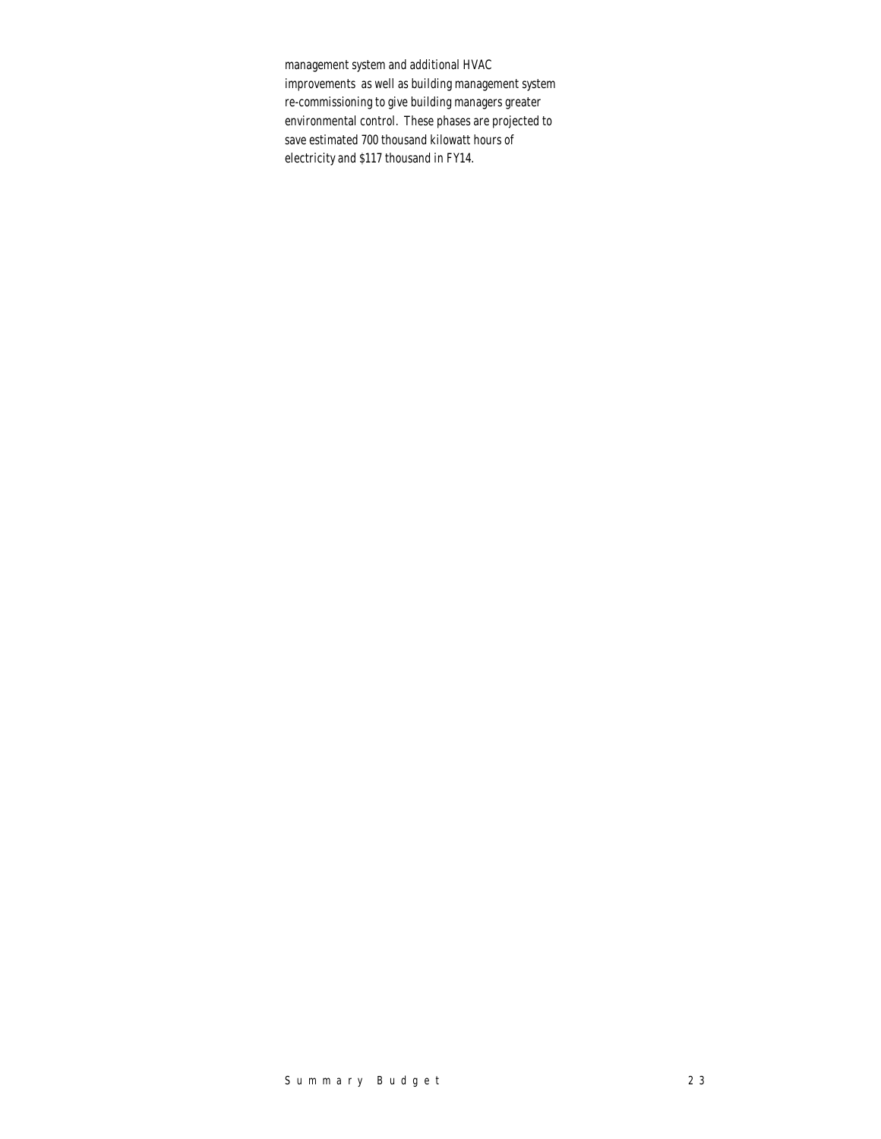management system and additional HVAC improvements as well as building management system re-commissioning to give building managers greater environmental control. These phases are projected to save estimated 700 thousand kilowatt hours of electricity and \$117 thousand in FY14.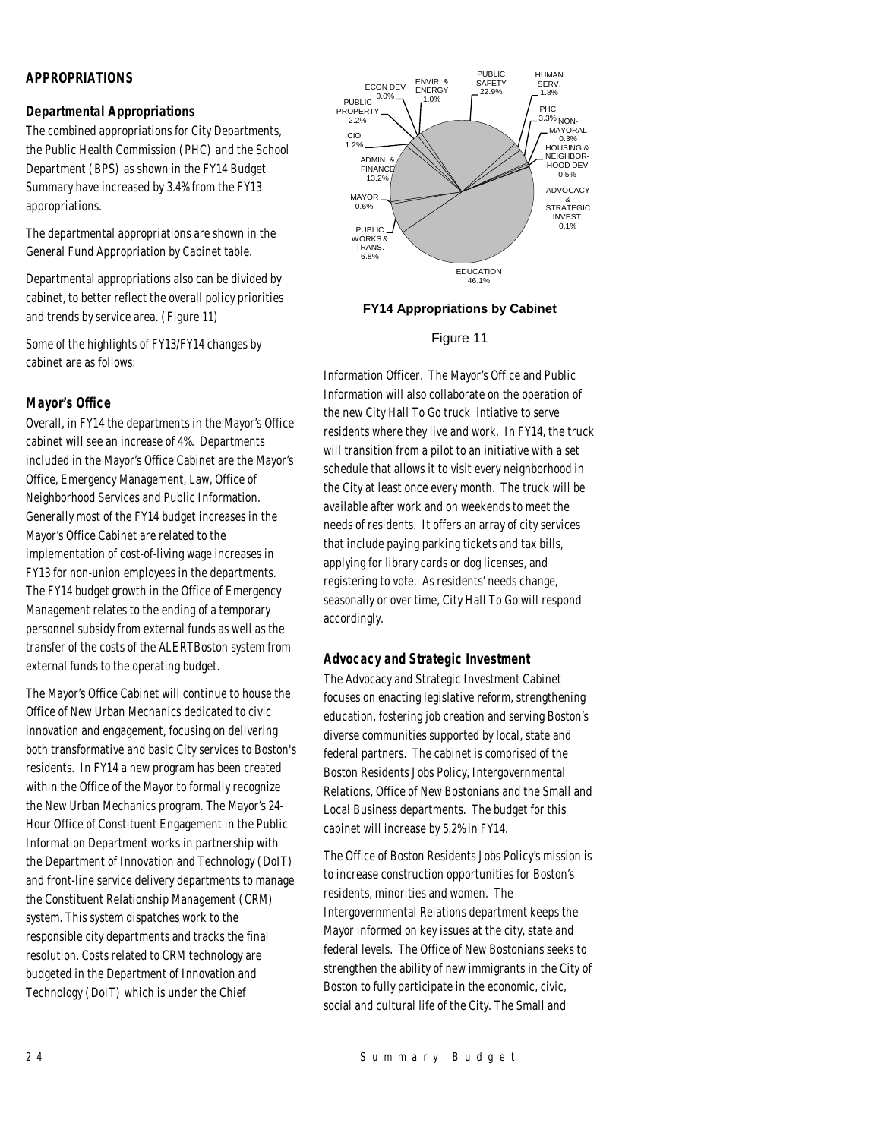## *APPROPRIATIONS*

## *Departmental Appropriations*

The combined appropriations for City Departments, the Public Health Commission (PHC) and the School Department (BPS) as shown in the FY14 Budget Summary have increased by 3.4% from the FY13 appropriations.

The departmental appropriations are shown in the General Fund Appropriation by Cabinet table.

Departmental appropriations also can be divided by cabinet, to better reflect the overall policy priorities and trends by service area. (Figure 11)

Some of the highlights of FY13/FY14 changes by cabinet are as follows:

#### *Mayor's Office*

Overall, in FY14 the departments in the Mayor's Office cabinet will see an increase of 4%. Departments included in the Mayor's Office Cabinet are the Mayor's Office, Emergency Management, Law, Office of Neighborhood Services and Public Information. Generally most of the FY14 budget increases in the Mayor's Office Cabinet are related to the implementation of cost-of-living wage increases in FY13 for non-union employees in the departments. The FY14 budget growth in the Office of Emergency Management relates to the ending of a temporary personnel subsidy from external funds as well as the transfer of the costs of the ALERTBoston system from external funds to the operating budget.

The Mayor's Office Cabinet will continue to house the Office of New Urban Mechanics dedicated to civic innovation and engagement, focusing on delivering both transformative and basic City services to Boston's residents. In FY14 a new program has been created within the Office of the Mayor to formally recognize the New Urban Mechanics program. The Mayor's 24- Hour Office of Constituent Engagement in the Public Information Department works in partnership with the Department of Innovation and Technology (DoIT) and front-line service delivery departments to manage the Constituent Relationship Management (CRM) system. This system dispatches work to the responsible city departments and tracks the final resolution. Costs related to CRM technology are budgeted in the Department of Innovation and Technology (DoIT) which is under the Chief



## **FY14 Appropriations by Cabinet**

Figure 11

Information Officer. The Mayor's Office and Public Information will also collaborate on the operation of the new City Hall To Go truck intiative to serve residents where they live and work. In FY14, the truck will transition from a pilot to an initiative with a set schedule that allows it to visit every neighborhood in the City at least once every month. The truck will be available after work and on weekends to meet the needs of residents. It offers an array of city services that include paying parking tickets and tax bills, applying for library cards or dog licenses, and registering to vote. As residents' needs change, seasonally or over time, City Hall To Go will respond accordingly.

#### *Advocacy and Strategic Investment*

The Advocacy and Strategic Investment Cabinet focuses on enacting legislative reform, strengthening education, fostering job creation and serving Boston's diverse communities supported by local, state and federal partners. The cabinet is comprised of the Boston Residents Jobs Policy, Intergovernmental Relations, Office of New Bostonians and the Small and Local Business departments. The budget for this cabinet will increase by 5.2% in FY14.

The Office of Boston Residents Jobs Policy's mission is to increase construction opportunities for Boston's residents, minorities and women. The Intergovernmental Relations department keeps the Mayor informed on key issues at the city, state and federal levels. The Office of New Bostonians seeks to strengthen the ability of new immigrants in the City of Boston to fully participate in the economic, civic, social and cultural life of the City. The Small and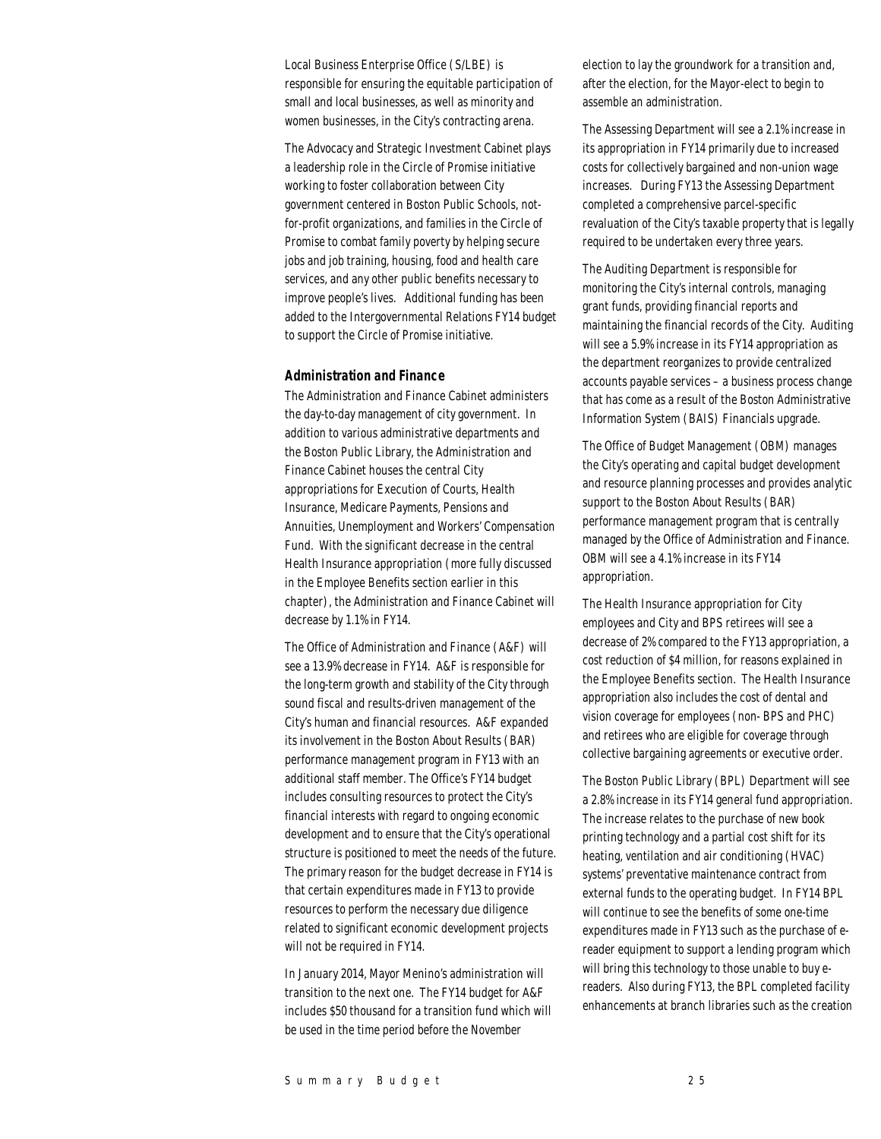Local Business Enterprise Office (S/LBE) is responsible for ensuring the equitable participation of small and local businesses, as well as minority and women businesses, in the City's contracting arena.

The Advocacy and Strategic Investment Cabinet plays a leadership role in the Circle of Promise initiative working to foster collaboration between City government centered in Boston Public Schools, notfor-profit organizations, and families in the Circle of Promise to combat family poverty by helping secure jobs and job training, housing, food and health care services, and any other public benefits necessary to improve people's lives. Additional funding has been added to the Intergovernmental Relations FY14 budget to support the Circle of Promise initiative.

#### *Administration and Finance*

The Administration and Finance Cabinet administers the day-to-day management of city government. In addition to various administrative departments and the Boston Public Library, the Administration and Finance Cabinet houses the central City appropriations for Execution of Courts, Health Insurance, Medicare Payments, Pensions and Annuities, Unemployment and Workers' Compensation Fund. With the significant decrease in the central Health Insurance appropriation (more fully discussed in the Employee Benefits section earlier in this chapter), the Administration and Finance Cabinet will decrease by 1.1% in FY14.

The Office of Administration and Finance (A&F) will see a 13.9% decrease in FY14. A&F is responsible for the long-term growth and stability of the City through sound fiscal and results-driven management of the City's human and financial resources. A&F expanded its involvement in the Boston About Results (BAR) performance management program in FY13 with an additional staff member. The Office's FY14 budget includes consulting resources to protect the City's financial interests with regard to ongoing economic development and to ensure that the City's operational structure is positioned to meet the needs of the future. The primary reason for the budget decrease in FY14 is that certain expenditures made in FY13 to provide resources to perform the necessary due diligence related to significant economic development projects will not be required in FY14.

In January 2014, Mayor Menino's administration will transition to the next one. The FY14 budget for A&F includes \$50 thousand for a transition fund which will be used in the time period before the November

election to lay the groundwork for a transition and, after the election, for the Mayor-elect to begin to assemble an administration.

The Assessing Department will see a 2.1% increase in its appropriation in FY14 primarily due to increased costs for collectively bargained and non-union wage increases. During FY13 the Assessing Department completed a comprehensive parcel-specific revaluation of the City's taxable property that is legally required to be undertaken every three years.

The Auditing Department is responsible for monitoring the City's internal controls, managing grant funds, providing financial reports and maintaining the financial records of the City. Auditing will see a 5.9% increase in its FY14 appropriation as the department reorganizes to provide centralized accounts payable services – a business process change that has come as a result of the Boston Administrative Information System (BAIS) Financials upgrade.

The Office of Budget Management (OBM) manages the City's operating and capital budget development and resource planning processes and provides analytic support to the Boston About Results (BAR) performance management program that is centrally managed by the Office of Administration and Finance. OBM will see a 4.1% increase in its FY14 appropriation.

The Health Insurance appropriation for City employees and City and BPS retirees will see a decrease of 2% compared to the FY13 appropriation, a cost reduction of \$4 million, for reasons explained in the Employee Benefits section. The Health Insurance appropriation also includes the cost of dental and vision coverage for employees (non- BPS and PHC) and retirees who are eligible for coverage through collective bargaining agreements or executive order.

The Boston Public Library (BPL) Department will see a 2.8% increase in its FY14 general fund appropriation. The increase relates to the purchase of new book printing technology and a partial cost shift for its heating, ventilation and air conditioning (HVAC) systems' preventative maintenance contract from external funds to the operating budget. In FY14 BPL will continue to see the benefits of some one-time expenditures made in FY13 such as the purchase of ereader equipment to support a lending program which will bring this technology to those unable to buy ereaders. Also during FY13, the BPL completed facility enhancements at branch libraries such as the creation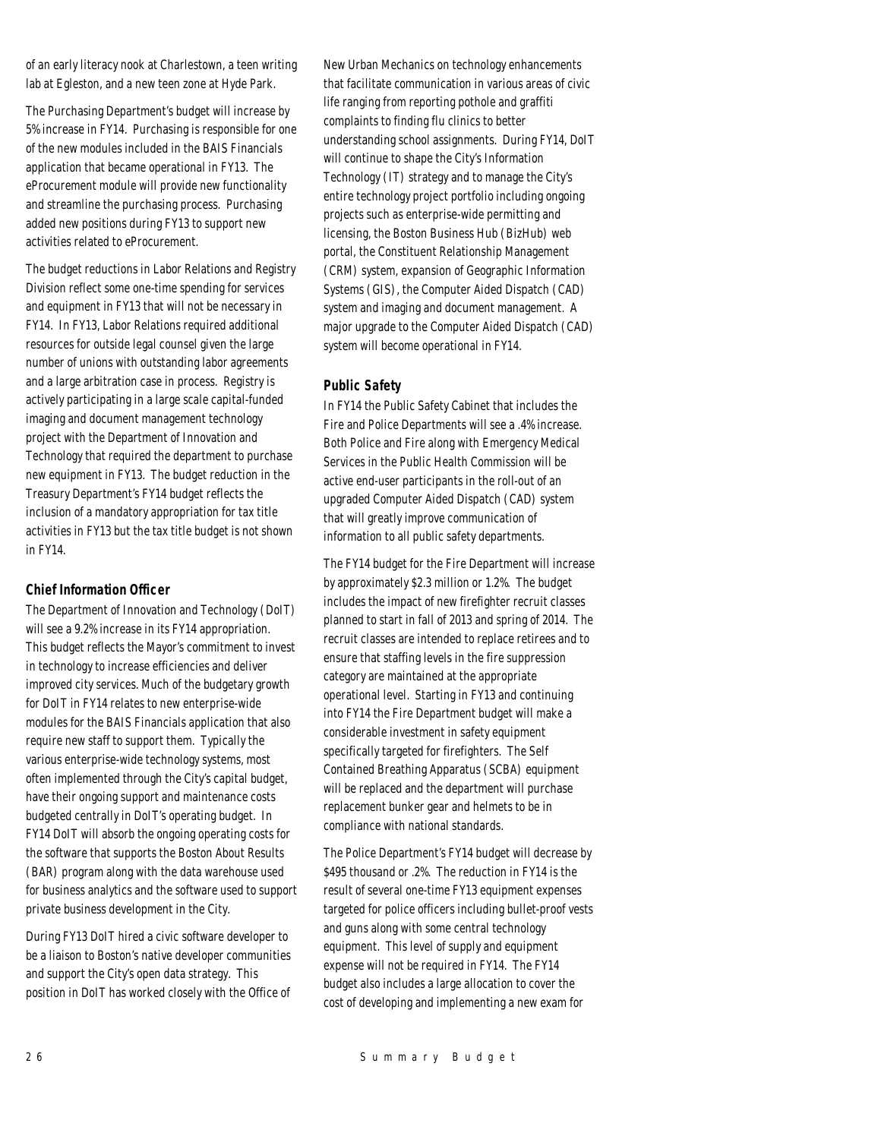of an early literacy nook at Charlestown, a teen writing lab at Egleston, and a new teen zone at Hyde Park.

The Purchasing Department's budget will increase by 5% increase in FY14. Purchasing is responsible for one of the new modules included in the BAIS Financials application that became operational in FY13. The eProcurement module will provide new functionality and streamline the purchasing process. Purchasing added new positions during FY13 to support new activities related to eProcurement.

The budget reductions in Labor Relations and Registry Division reflect some one-time spending for services and equipment in FY13 that will not be necessary in FY14. In FY13, Labor Relations required additional resources for outside legal counsel given the large number of unions with outstanding labor agreements and a large arbitration case in process. Registry is actively participating in a large scale capital-funded imaging and document management technology project with the Department of Innovation and Technology that required the department to purchase new equipment in FY13. The budget reduction in the Treasury Department's FY14 budget reflects the inclusion of a mandatory appropriation for tax title activities in FY13 but the tax title budget is not shown in FY14.

## *Chief Information Officer*

The Department of Innovation and Technology (DoIT) will see a 9.2% increase in its FY14 appropriation. This budget reflects the Mayor's commitment to invest in technology to increase efficiencies and deliver improved city services. Much of the budgetary growth for DoIT in FY14 relates to new enterprise-wide modules for the BAIS Financials application that also require new staff to support them. Typically the various enterprise-wide technology systems, most often implemented through the City's capital budget, have their ongoing support and maintenance costs budgeted centrally in DoIT's operating budget. In FY14 DoIT will absorb the ongoing operating costs for the software that supports the Boston About Results (BAR) program along with the data warehouse used for business analytics and the software used to support private business development in the City.

During FY13 DoIT hired a civic software developer to be a liaison to Boston's native developer communities and support the City's open data strategy. This position in DoIT has worked closely with the Office of New Urban Mechanics on technology enhancements that facilitate communication in various areas of civic life ranging from reporting pothole and graffiti complaints to finding flu clinics to better understanding school assignments. During FY14, DoIT will continue to shape the City's Information Technology (IT) strategy and to manage the City's entire technology project portfolio including ongoing projects such as enterprise-wide permitting and licensing, the Boston Business Hub (BizHub) web portal, the Constituent Relationship Management (CRM) system, expansion of Geographic Information Systems (GIS), the Computer Aided Dispatch (CAD) system and imaging and document management. A major upgrade to the Computer Aided Dispatch (CAD) system will become operational in FY14.

## *Public Safety*

In FY14 the Public Safety Cabinet that includes the Fire and Police Departments will see a .4% increase. Both Police and Fire along with Emergency Medical Services in the Public Health Commission will be active end-user participants in the roll-out of an upgraded Computer Aided Dispatch (CAD) system that will greatly improve communication of information to all public safety departments.

The FY14 budget for the Fire Department will increase by approximately \$2.3 million or 1.2%. The budget includes the impact of new firefighter recruit classes planned to start in fall of 2013 and spring of 2014. The recruit classes are intended to replace retirees and to ensure that staffing levels in the fire suppression category are maintained at the appropriate operational level. Starting in FY13 and continuing into FY14 the Fire Department budget will make a considerable investment in safety equipment specifically targeted for firefighters. The Self Contained Breathing Apparatus (SCBA) equipment will be replaced and the department will purchase replacement bunker gear and helmets to be in compliance with national standards.

The Police Department's FY14 budget will decrease by \$495 thousand or .2%. The reduction in FY14 is the result of several one-time FY13 equipment expenses targeted for police officers including bullet-proof vests and guns along with some central technology equipment. This level of supply and equipment expense will not be required in FY14. The FY14 budget also includes a large allocation to cover the cost of developing and implementing a new exam for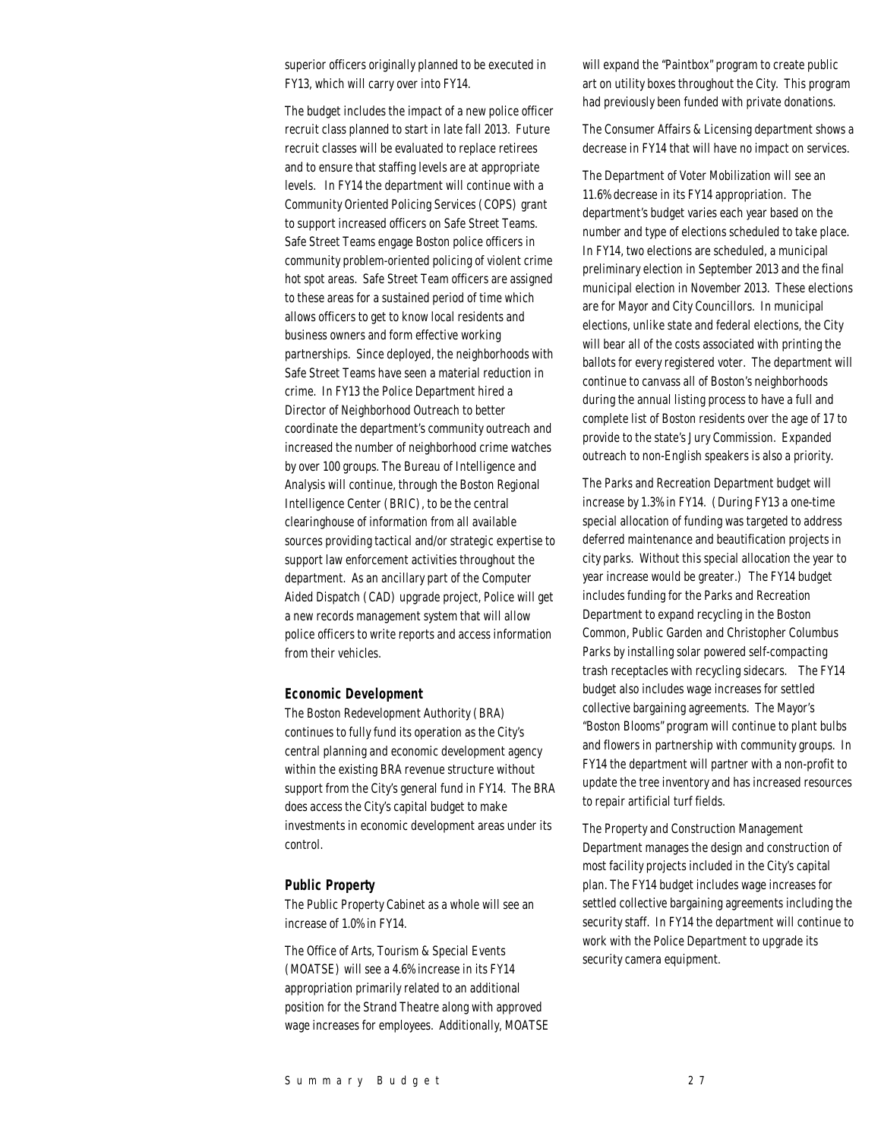superior officers originally planned to be executed in FY13, which will carry over into FY14.

The budget includes the impact of a new police officer recruit class planned to start in late fall 2013. Future recruit classes will be evaluated to replace retirees and to ensure that staffing levels are at appropriate levels. In FY14 the department will continue with a Community Oriented Policing Services (COPS) grant to support increased officers on Safe Street Teams. Safe Street Teams engage Boston police officers in community problem-oriented policing of violent crime hot spot areas. Safe Street Team officers are assigned to these areas for a sustained period of time which allows officers to get to know local residents and business owners and form effective working partnerships. Since deployed, the neighborhoods with Safe Street Teams have seen a material reduction in crime. In FY13 the Police Department hired a Director of Neighborhood Outreach to better coordinate the department's community outreach and increased the number of neighborhood crime watches by over 100 groups. The Bureau of Intelligence and Analysis will continue, through the Boston Regional Intelligence Center (BRIC), to be the central clearinghouse of information from all available sources providing tactical and/or strategic expertise to support law enforcement activities throughout the department. As an ancillary part of the Computer Aided Dispatch (CAD) upgrade project, Police will get a new records management system that will allow police officers to write reports and access information from their vehicles.

#### *Economic Development*

The Boston Redevelopment Authority (BRA) continues to fully fund its operation as the City's central planning and economic development agency within the existing BRA revenue structure without support from the City's general fund in FY14. The BRA does access the City's capital budget to make investments in economic development areas under its control.

## *Public Property*

The Public Property Cabinet as a whole will see an increase of 1.0% in FY14.

The Office of Arts, Tourism & Special Events (MOATSE) will see a 4.6% increase in its FY14 appropriation primarily related to an additional position for the Strand Theatre along with approved wage increases for employees. Additionally, MOATSE will expand the "Paintbox" program to create public art on utility boxes throughout the City. This program had previously been funded with private donations.

The Consumer Affairs & Licensing department shows a decrease in FY14 that will have no impact on services.

The Department of Voter Mobilization will see an 11.6% decrease in its FY14 appropriation. The department's budget varies each year based on the number and type of elections scheduled to take place. In FY14, two elections are scheduled, a municipal preliminary election in September 2013 and the final municipal election in November 2013. These elections are for Mayor and City Councillors. In municipal elections, unlike state and federal elections, the City will bear all of the costs associated with printing the ballots for every registered voter. The department will continue to canvass all of Boston's neighborhoods during the annual listing process to have a full and complete list of Boston residents over the age of 17 to provide to the state's Jury Commission. Expanded outreach to non-English speakers is also a priority.

The Parks and Recreation Department budget will increase by 1.3% in FY14. (During FY13 a one-time special allocation of funding was targeted to address deferred maintenance and beautification projects in city parks. Without this special allocation the year to year increase would be greater.) The FY14 budget includes funding for the Parks and Recreation Department to expand recycling in the Boston Common, Public Garden and Christopher Columbus Parks by installing solar powered self-compacting trash receptacles with recycling sidecars. The FY14 budget also includes wage increases for settled collective bargaining agreements. The Mayor's "Boston Blooms" program will continue to plant bulbs and flowers in partnership with community groups. In FY14 the department will partner with a non-profit to update the tree inventory and has increased resources to repair artificial turf fields.

The Property and Construction Management Department manages the design and construction of most facility projects included in the City's capital plan. The FY14 budget includes wage increases for settled collective bargaining agreements including the security staff. In FY14 the department will continue to work with the Police Department to upgrade its security camera equipment.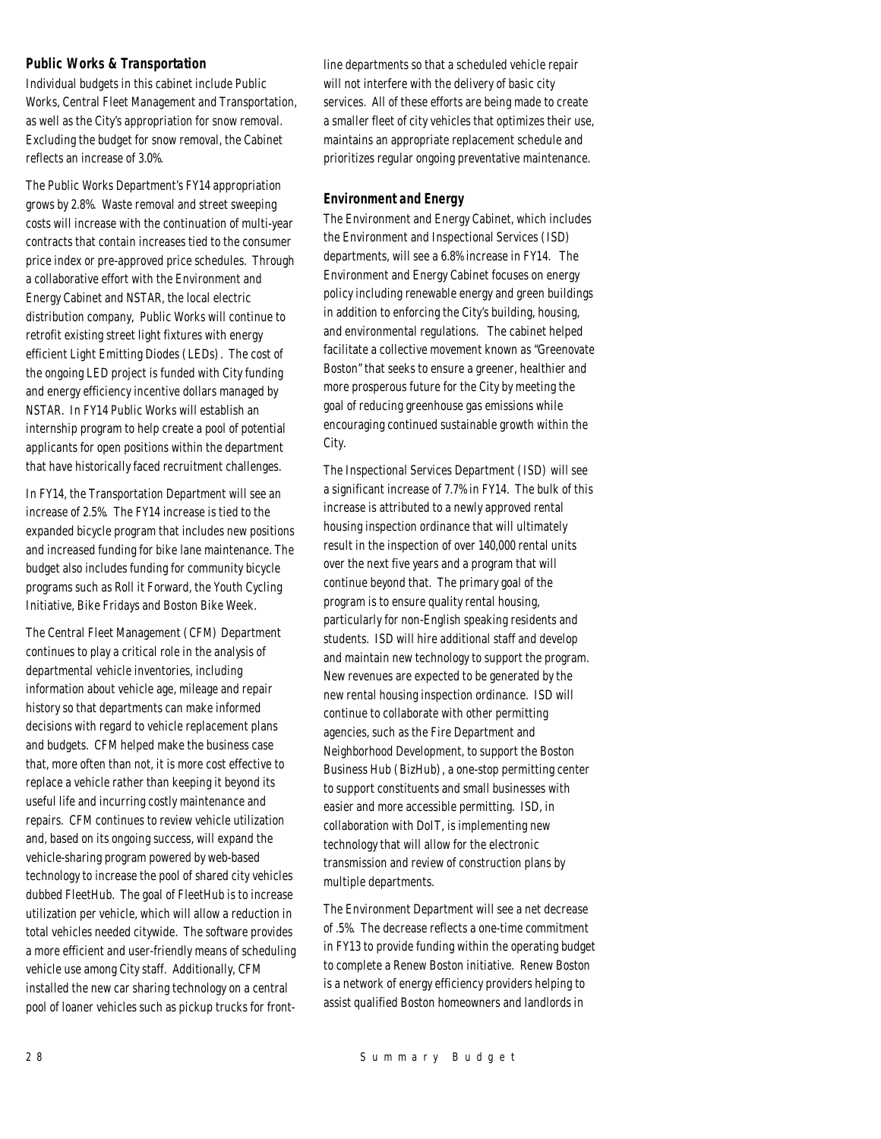## *Public Works & Transportation*

Individual budgets in this cabinet include Public Works, Central Fleet Management and Transportation, as well as the City's appropriation for snow removal. Excluding the budget for snow removal, the Cabinet reflects an increase of 3.0%.

The Public Works Department's FY14 appropriation grows by 2.8%. Waste removal and street sweeping costs will increase with the continuation of multi-year contracts that contain increases tied to the consumer price index or pre-approved price schedules. Through a collaborative effort with the Environment and Energy Cabinet and NSTAR, the local electric distribution company, Public Works will continue to retrofit existing street light fixtures with energy efficient Light Emitting Diodes (LEDs). The cost of the ongoing LED project is funded with City funding and energy efficiency incentive dollars managed by NSTAR. In FY14 Public Works will establish an internship program to help create a pool of potential applicants for open positions within the department that have historically faced recruitment challenges.

In FY14, the Transportation Department will see an increase of 2.5%. The FY14 increase is tied to the expanded bicycle program that includes new positions and increased funding for bike lane maintenance. The budget also includes funding for community bicycle programs such as Roll it Forward, the Youth Cycling Initiative, Bike Fridays and Boston Bike Week.

The Central Fleet Management (CFM) Department continues to play a critical role in the analysis of departmental vehicle inventories, including information about vehicle age, mileage and repair history so that departments can make informed decisions with regard to vehicle replacement plans and budgets. CFM helped make the business case that, more often than not, it is more cost effective to replace a vehicle rather than keeping it beyond its useful life and incurring costly maintenance and repairs. CFM continues to review vehicle utilization and, based on its ongoing success, will expand the vehicle-sharing program powered by web-based technology to increase the pool of shared city vehicles dubbed FleetHub. The goal of FleetHub is to increase utilization per vehicle, which will allow a reduction in total vehicles needed citywide. The software provides a more efficient and user-friendly means of scheduling vehicle use among City staff. Additionally, CFM installed the new car sharing technology on a central pool of loaner vehicles such as pickup trucks for frontline departments so that a scheduled vehicle repair will not interfere with the delivery of basic city services. All of these efforts are being made to create a smaller fleet of city vehicles that optimizes their use, maintains an appropriate replacement schedule and prioritizes regular ongoing preventative maintenance.

## *Environment and Energy*

The Environment and Energy Cabinet, which includes the Environment and Inspectional Services (ISD) departments, will see a 6.8% increase in FY14. The Environment and Energy Cabinet focuses on energy policy including renewable energy and green buildings in addition to enforcing the City's building, housing, and environmental regulations. The cabinet helped facilitate a collective movement known as "Greenovate Boston" that seeks to ensure a greener, healthier and more prosperous future for the City by meeting the goal of reducing greenhouse gas emissions while encouraging continued sustainable growth within the City.

The Inspectional Services Department (ISD) will see a significant increase of 7.7% in FY14. The bulk of this increase is attributed to a newly approved rental housing inspection ordinance that will ultimately result in the inspection of over 140,000 rental units over the next five years and a program that will continue beyond that. The primary goal of the program is to ensure quality rental housing, particularly for non-English speaking residents and students. ISD will hire additional staff and develop and maintain new technology to support the program. New revenues are expected to be generated by the new rental housing inspection ordinance. ISD will continue to collaborate with other permitting agencies, such as the Fire Department and Neighborhood Development, to support the Boston Business Hub (BizHub), a one-stop permitting center to support constituents and small businesses with easier and more accessible permitting. ISD, in collaboration with DoIT, is implementing new technology that will allow for the electronic transmission and review of construction plans by multiple departments.

The Environment Department will see a net decrease of .5%. The decrease reflects a one-time commitment in FY13 to provide funding within the operating budget to complete a Renew Boston initiative. Renew Boston is a network of energy efficiency providers helping to assist qualified Boston homeowners and landlords in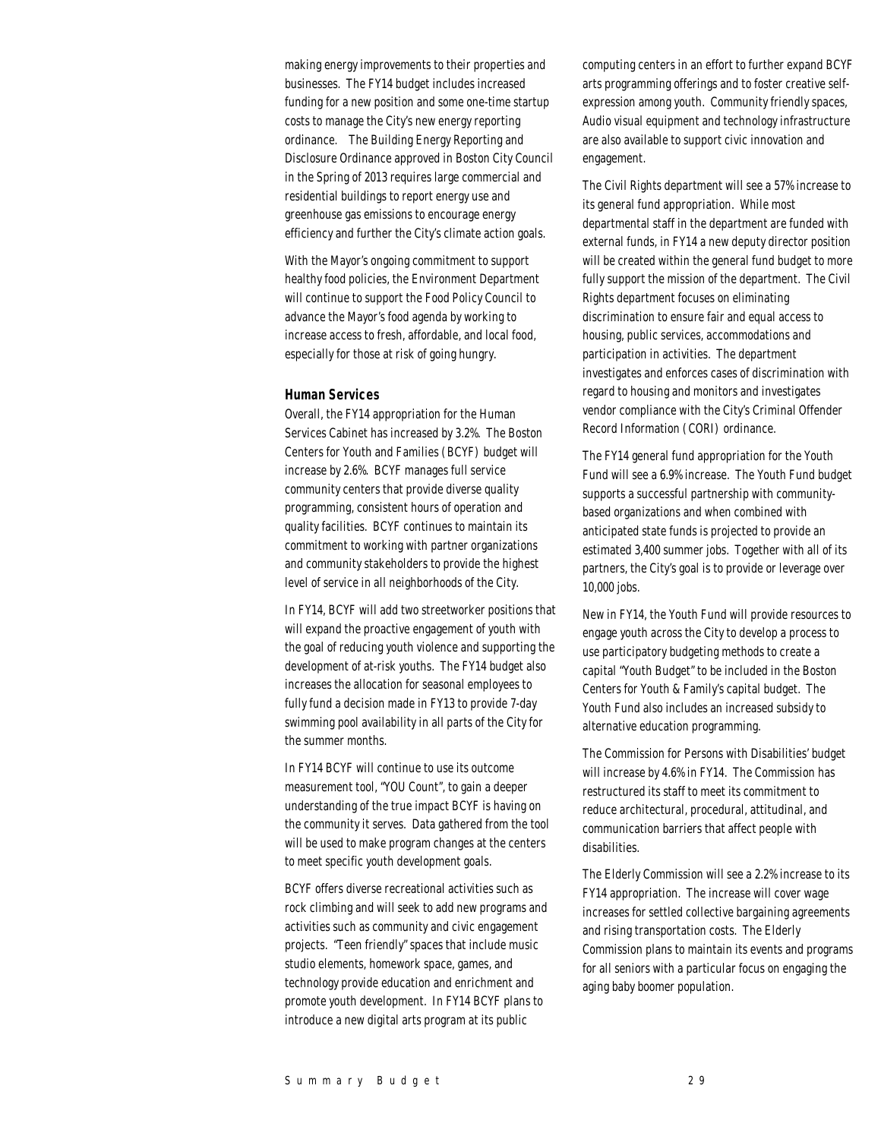making energy improvements to their properties and businesses. The FY14 budget includes increased funding for a new position and some one-time startup costs to manage the City's new energy reporting ordinance. The Building Energy Reporting and Disclosure Ordinance approved in Boston City Council in the Spring of 2013 requires large commercial and residential buildings to report energy use and greenhouse gas emissions to encourage energy efficiency and further the City's climate action goals.

With the Mayor's ongoing commitment to support healthy food policies, the Environment Department will continue to support the Food Policy Council to advance the Mayor's food agenda by working to increase access to fresh, affordable, and local food, especially for those at risk of going hungry.

## *Human Services*

Overall, the FY14 appropriation for the Human Services Cabinet has increased by 3.2%. The Boston Centers for Youth and Families (BCYF) budget will increase by 2.6%. BCYF manages full service community centers that provide diverse quality programming, consistent hours of operation and quality facilities. BCYF continues to maintain its commitment to working with partner organizations and community stakeholders to provide the highest level of service in all neighborhoods of the City.

In FY14, BCYF will add two streetworker positions that will expand the proactive engagement of youth with the goal of reducing youth violence and supporting the development of at-risk youths. The FY14 budget also increases the allocation for seasonal employees to fully fund a decision made in FY13 to provide 7-day swimming pool availability in all parts of the City for the summer months.

In FY14 BCYF will continue to use its outcome measurement tool, "YOU Count", to gain a deeper understanding of the true impact BCYF is having on the community it serves. Data gathered from the tool will be used to make program changes at the centers to meet specific youth development goals.

BCYF offers diverse recreational activities such as rock climbing and will seek to add new programs and activities such as community and civic engagement projects. "Teen friendly" spaces that include music studio elements, homework space, games, and technology provide education and enrichment and promote youth development. In FY14 BCYF plans to introduce a new digital arts program at its public

computing centers in an effort to further expand BCYF arts programming offerings and to foster creative selfexpression among youth. Community friendly spaces, Audio visual equipment and technology infrastructure are also available to support civic innovation and engagement.

The Civil Rights department will see a 57% increase to its general fund appropriation. While most departmental staff in the department are funded with external funds, in FY14 a new deputy director position will be created within the general fund budget to more fully support the mission of the department. The Civil Rights department focuses on eliminating discrimination to ensure fair and equal access to housing, public services, accommodations and participation in activities. The department investigates and enforces cases of discrimination with regard to housing and monitors and investigates vendor compliance with the City's Criminal Offender Record Information (CORI) ordinance.

The FY14 general fund appropriation for the Youth Fund will see a 6.9% increase. The Youth Fund budget supports a successful partnership with communitybased organizations and when combined with anticipated state funds is projected to provide an estimated 3,400 summer jobs. Together with all of its partners, the City's goal is to provide or leverage over 10,000 jobs.

New in FY14, the Youth Fund will provide resources to engage youth across the City to develop a process to use participatory budgeting methods to create a capital "Youth Budget" to be included in the Boston Centers for Youth & Family's capital budget. The Youth Fund also includes an increased subsidy to alternative education programming.

The Commission for Persons with Disabilities' budget will increase by 4.6% in FY14. The Commission has restructured its staff to meet its commitment to reduce architectural, procedural, attitudinal, and communication barriers that affect people with disabilities.

The Elderly Commission will see a 2.2% increase to its FY14 appropriation. The increase will cover wage increases for settled collective bargaining agreements and rising transportation costs. The Elderly Commission plans to maintain its events and programs for all seniors with a particular focus on engaging the aging baby boomer population.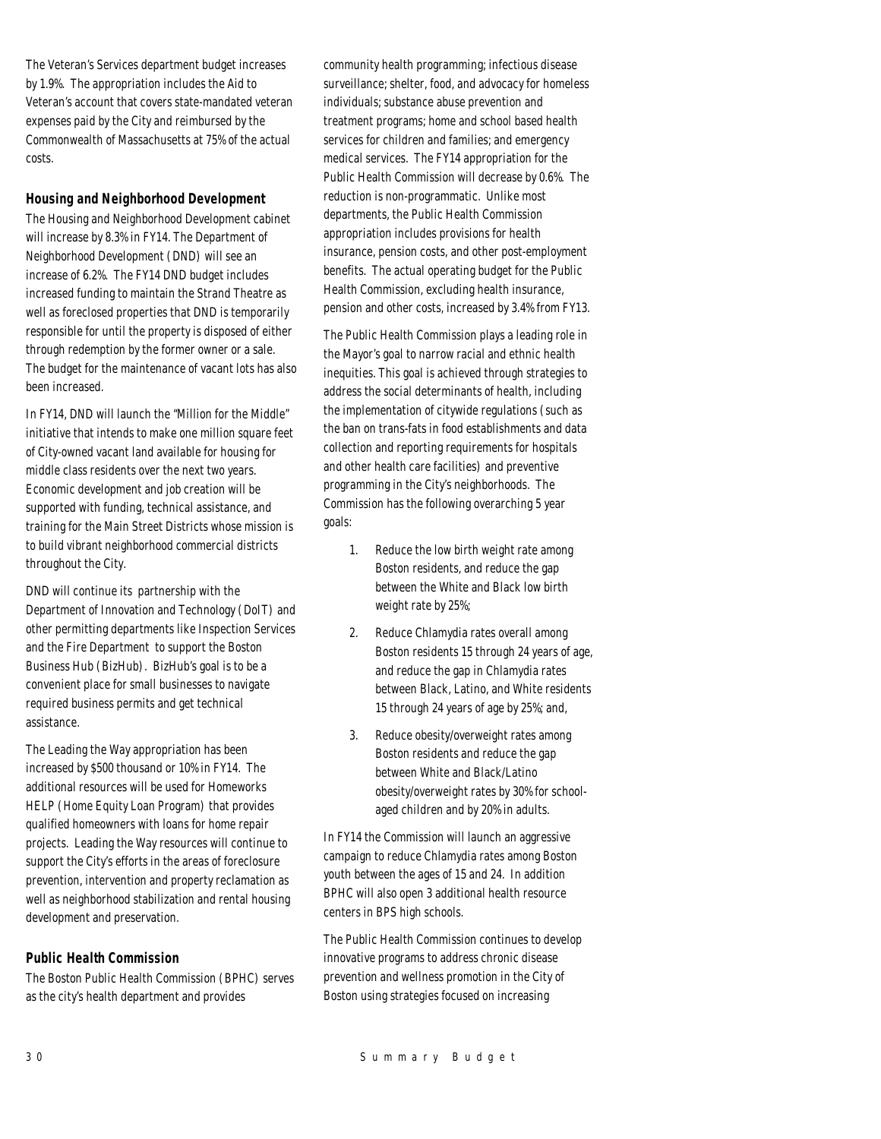The Veteran's Services department budget increases by 1.9%. The appropriation includes the Aid to Veteran's account that covers state-mandated veteran expenses paid by the City and reimbursed by the Commonwealth of Massachusetts at 75% of the actual costs.

## *Housing and Neighborhood Development*

The Housing and Neighborhood Development cabinet will increase by 8.3% in FY14. The Department of Neighborhood Development (DND) will see an increase of 6.2%. The FY14 DND budget includes increased funding to maintain the Strand Theatre as well as foreclosed properties that DND is temporarily responsible for until the property is disposed of either through redemption by the former owner or a sale. The budget for the maintenance of vacant lots has also been increased.

In FY14, DND will launch the "Million for the Middle" initiative that intends to make one million square feet of City-owned vacant land available for housing for middle class residents over the next two years. Economic development and job creation will be supported with funding, technical assistance, and training for the Main Street Districts whose mission is to build vibrant neighborhood commercial districts throughout the City.

DND will continue its partnership with the Department of Innovation and Technology (DoIT) and other permitting departments like Inspection Services and the Fire Department to support the Boston Business Hub (BizHub). BizHub's goal is to be a convenient place for small businesses to navigate required business permits and get technical assistance.

The Leading the Way appropriation has been increased by \$500 thousand or 10% in FY14. The additional resources will be used for Homeworks HELP (Home Equity Loan Program) that provides qualified homeowners with loans for home repair projects. Leading the Way resources will continue to support the City's efforts in the areas of foreclosure prevention, intervention and property reclamation as well as neighborhood stabilization and rental housing development and preservation.

## *Public Health Commission*

The Boston Public Health Commission (BPHC) serves as the city's health department and provides

community health programming; infectious disease surveillance; shelter, food, and advocacy for homeless individuals; substance abuse prevention and treatment programs; home and school based health services for children and families; and emergency medical services. The FY14 appropriation for the Public Health Commission will decrease by 0.6%. The reduction is non-programmatic. Unlike most departments, the Public Health Commission appropriation includes provisions for health insurance, pension costs, and other post-employment benefits. The actual operating budget for the Public Health Commission, excluding health insurance, pension and other costs, increased by 3.4% from FY13.

The Public Health Commission plays a leading role in the Mayor's goal to narrow racial and ethnic health inequities. This goal is achieved through strategies to address the social determinants of health, including the implementation of citywide regulations (such as the ban on trans-fats in food establishments and data collection and reporting requirements for hospitals and other health care facilities) and preventive programming in the City's neighborhoods. The Commission has the following overarching 5 year goals:

- 1. Reduce the low birth weight rate among Boston residents, and reduce the gap between the White and Black low birth weight rate by 25%;
- 2. Reduce Chlamydia rates overall among Boston residents 15 through 24 years of age, and reduce the gap in Chlamydia rates between Black, Latino, and White residents 15 through 24 years of age by 25%; and,
- 3. Reduce obesity/overweight rates among Boston residents and reduce the gap between White and Black/Latino obesity/overweight rates by 30% for schoolaged children and by 20% in adults.

In FY14 the Commission will launch an aggressive campaign to reduce Chlamydia rates among Boston youth between the ages of 15 and 24. In addition BPHC will also open 3 additional health resource centers in BPS high schools.

The Public Health Commission continues to develop innovative programs to address chronic disease prevention and wellness promotion in the City of Boston using strategies focused on increasing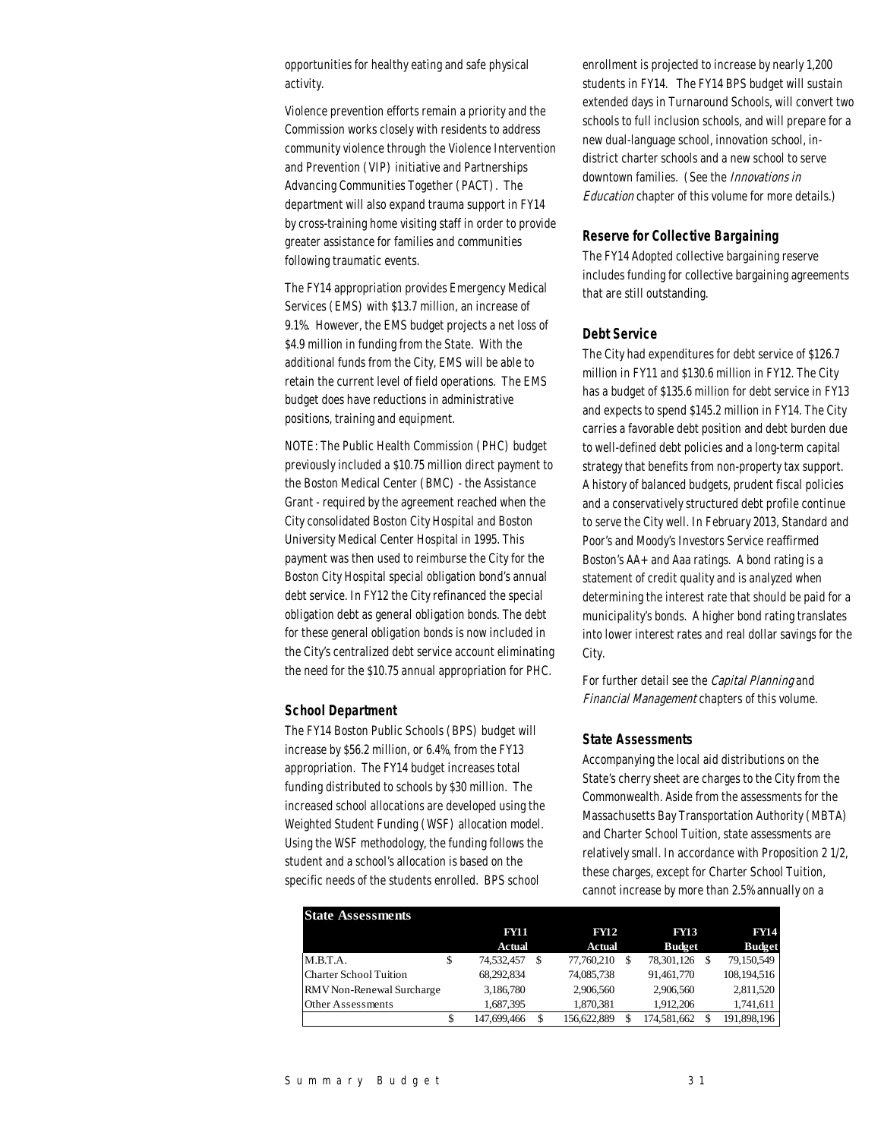opportunities for healthy eating and safe physical activity.

Violence prevention efforts remain a priority and the Commission works closely with residents to address community violence through the Violence Intervention and Prevention (VIP) initiative and Partnerships Advancing Communities Together (PACT). The department will also expand trauma support in FY14 by cross-training home visiting staff in order to provide greater assistance for families and communities following traumatic events.

The FY14 appropriation provides Emergency Medical Services (EMS) with \$13.7 million, an increase of 9.1%. However, the EMS budget projects a net loss of \$4.9 million in funding from the State. With the additional funds from the City, EMS will be able to retain the current level of field operations. The EMS budget does have reductions in administrative positions, training and equipment.

NOTE: The Public Health Commission (PHC) budget previously included a \$10.75 million direct payment to the Boston Medical Center (BMC) - the Assistance Grant - required by the agreement reached when the City consolidated Boston City Hospital and Boston University Medical Center Hospital in 1995. This payment was then used to reimburse the City for the Boston City Hospital special obligation bond's annual debt service. In FY12 the City refinanced the special obligation debt as general obligation bonds. The debt for these general obligation bonds is now included in the City's centralized debt service account eliminating the need for the \$10.75 annual appropriation for PHC.

#### *School Department*

The FY14 Boston Public Schools (BPS) budget will increase by \$56.2 million, or 6.4%, from the FY13 appropriation. The FY14 budget increases total funding distributed to schools by \$30 million. The increased school allocations are developed using the Weighted Student Funding (WSF) allocation model. Using the WSF methodology, the funding follows the student and a school's allocation is based on the specific needs of the students enrolled. BPS school

enrollment is projected to increase by nearly 1,200 students in FY14. The FY14 BPS budget will sustain extended days in Turnaround Schools, will convert two schools to full inclusion schools, and will prepare for a new dual-language school, innovation school, indistrict charter schools and a new school to serve downtown families. (See the Innovations in Education chapter of this volume for more details.)

## *Reserve for Collective Bargaining*

The FY14 Adopted collective bargaining reserve includes funding for collective bargaining agreements that are still outstanding.

## *Debt Service*

The City had expenditures for debt service of \$126.7 million in FY11 and \$130.6 million in FY12. The City has a budget of \$135.6 million for debt service in FY13 and expects to spend \$145.2 million in FY14. The City carries a favorable debt position and debt burden due to well-defined debt policies and a long-term capital strategy that benefits from non-property tax support. A history of balanced budgets, prudent fiscal policies and a conservatively structured debt profile continue to serve the City well. In February 2013, Standard and Poor's and Moody's Investors Service reaffirmed Boston's AA+ and Aaa ratings. A bond rating is a statement of credit quality and is analyzed when determining the interest rate that should be paid for a municipality's bonds. A higher bond rating translates into lower interest rates and real dollar savings for the City.

For further detail see the Capital Planning and Financial Management chapters of this volume.

#### *State Assessments*

Accompanying the local aid distributions on the State's cherry sheet are charges to the City from the Commonwealth. Aside from the assessments for the Massachusetts Bay Transportation Authority (MBTA) and Charter School Tuition, state assessments are relatively small. In accordance with Proposition 2 1/2, these charges, except for Charter School Tuition, cannot increase by more than 2.5% annually on a

| <b>State Assessments</b>      |   |             |               |               |               |
|-------------------------------|---|-------------|---------------|---------------|---------------|
|                               |   | FYH         | <b>FY12</b>   | <b>FY13</b>   | <b>FY14</b>   |
|                               |   | Actual      | <b>Actual</b> | <b>Budget</b> | <b>Budget</b> |
| M.B.T.A.                      | ъ | 74,532,457  | 77,760,210    | 78,301,126    | 79,150,549    |
| <b>Charter School Tuition</b> |   | 68,292,834  | 74,085,738    | 91,461,770    | 108,194,516   |
| RMV Non-Renewal Surcharge     |   | 3,186,780   | 2,906,560     | 2,906,560     | 2,811,520     |
| <b>Other Assessments</b>      |   | 1,687,395   | 1.870.381     | 1.912.206     | 1,741,611     |
|                               |   | 147,699,466 | 156.622.889   | 174,581,662   | 191,898,196   |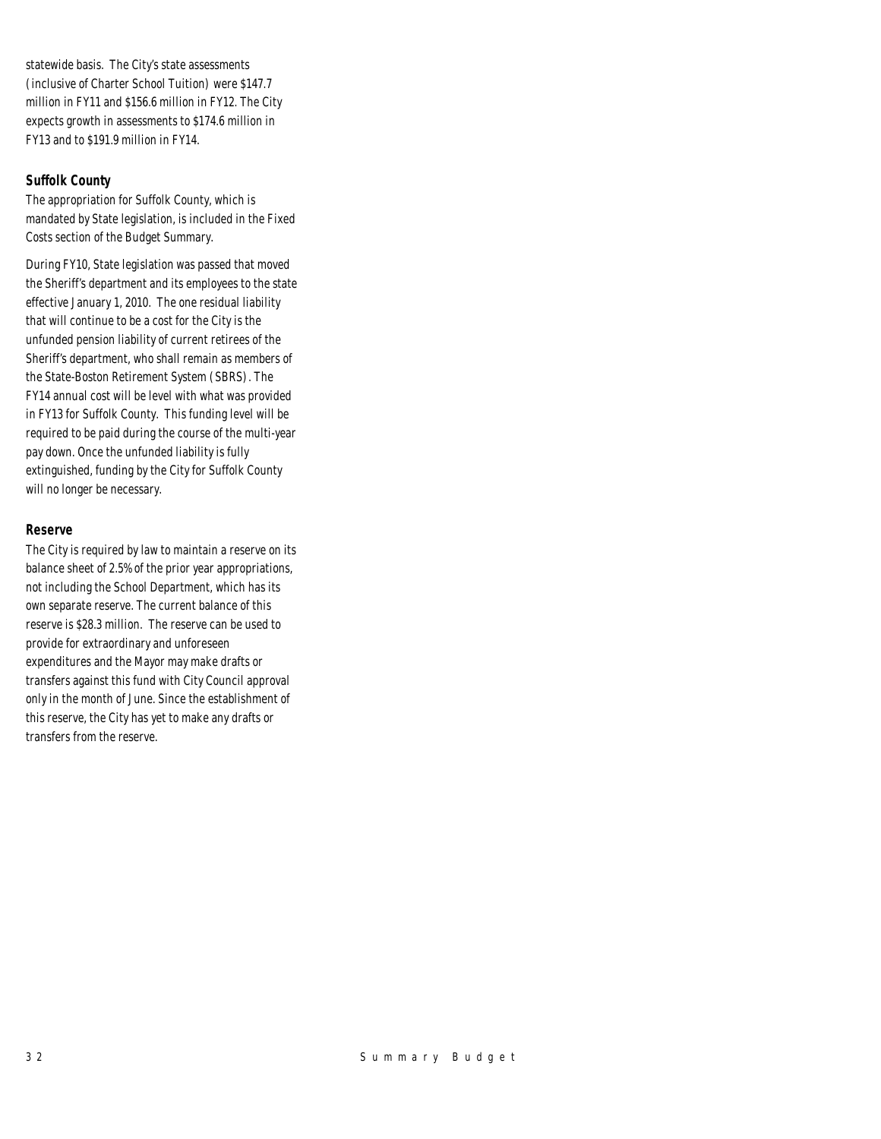statewide basis. The City's state assessments (inclusive of Charter School Tuition) were \$147.7 million in FY11 and \$156.6 million in FY12. The City expects growth in assessments to \$174.6 million in FY13 and to \$191.9 million in FY14.

## *Suffolk County*

The appropriation for Suffolk County, which is mandated by State legislation, is included in the Fixed Costs section of the Budget Summary.

During FY10, State legislation was passed that moved the Sheriff's department and its employees to the state effective January 1, 2010. The one residual liability that will continue to be a cost for the City is the unfunded pension liability of current retirees of the Sheriff's department, who shall remain as members of the State-Boston Retirement System (SBRS). The FY14 annual cost will be level with what was provided in FY13 for Suffolk County. This funding level will be required to be paid during the course of the multi-year pay down. Once the unfunded liability is fully extinguished, funding by the City for Suffolk County will no longer be necessary.

## *Reserve*

The City is required by law to maintain a reserve on its balance sheet of 2.5% of the prior year appropriations, not including the School Department, which has its own separate reserve. The current balance of this reserve is \$28.3 million. The reserve can be used to provide for extraordinary and unforeseen expenditures and the Mayor may make drafts or transfers against this fund with City Council approval only in the month of June. Since the establishment of this reserve, the City has yet to make any drafts or transfers from the reserve.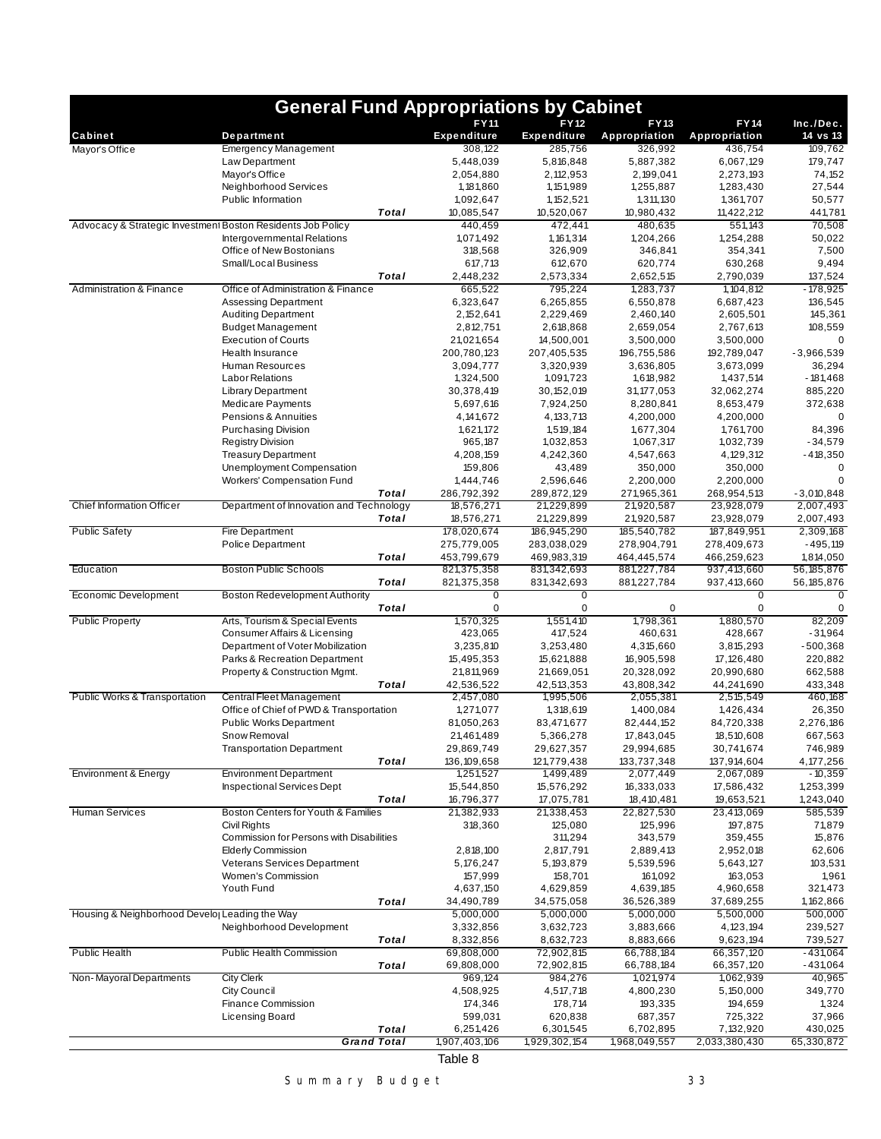|                                                             | <b>General Fund Appropriations by Cabinet</b>                  |       |                                   |                                   |                              |                               |                                                                                                      |
|-------------------------------------------------------------|----------------------------------------------------------------|-------|-----------------------------------|-----------------------------------|------------------------------|-------------------------------|------------------------------------------------------------------------------------------------------|
| Cabinet                                                     | Department                                                     |       | <b>FY11</b><br><b>Expenditure</b> | <b>FY12</b><br><b>Expenditure</b> | <b>FY13</b><br>Appropriation | FY14<br>Appropriation         | Inc./Dec.<br>14 vs 13                                                                                |
| Mayor's Office                                              | <b>Emergency Management</b>                                    |       | 308,122                           | 285,756                           | 326,992                      | 436,754                       | 109,762                                                                                              |
|                                                             | Law Department                                                 |       | 5,448,039                         | 5,816,848                         | 5,887,382                    | 6,067,129                     | 179,747                                                                                              |
|                                                             | Mayor's Office                                                 |       | 2,054,880                         | 2,112,953                         | 2,199,041                    | 2,273,193                     | 74,152                                                                                               |
|                                                             | Neighborhood Services                                          |       | 1,181,860                         | 1, 151, 989                       | 1,255,887                    | 1,283,430                     | 27,544                                                                                               |
|                                                             | Public Information                                             |       | 1,092,647                         | 1, 152, 521                       | 1,311,130                    | 1,361,707                     | 50,577                                                                                               |
| Advocacy & Strategic Investment Boston Residents Job Policy |                                                                | Total | 10,085,547<br>440,459             | 10,520,067<br>472,441             | 10,980,432<br>480,635        | 11,422,212<br>551,143         | 441,781<br>70,508                                                                                    |
|                                                             | Intergovernmental Relations                                    |       | 1,071,492                         | 1, 161, 314                       | 1,204,266                    | 1,254,288                     | 50,022                                                                                               |
|                                                             | Office of New Bostonians                                       |       | 318,568                           | 326,909                           | 346,841                      | 354,341                       | 7,500                                                                                                |
|                                                             | Small/Local Business                                           |       | 617,713                           | 612,670                           | 620,774                      | 630,268                       | 9,494                                                                                                |
|                                                             |                                                                | Total | 2,448,232                         | 2,573,334                         | 2,652,515                    | 2,790,039                     | 137,524                                                                                              |
| <b>Administration &amp; Finance</b>                         | Office of Administration & Finance                             |       | 665,522                           | 795,224                           | 1,283,737                    | 1,104,812                     | $-178,925$                                                                                           |
|                                                             | <b>Assessing Department</b>                                    |       | 6,323,647                         | 6,265,855                         | 6,550,878                    | 6,687,423                     | 136,545                                                                                              |
|                                                             | <b>Auditing Department</b>                                     |       | 2, 152, 641                       | 2,229,469                         | 2,460,140                    | 2,605,501                     | 145,361                                                                                              |
|                                                             | <b>Budget Management</b>                                       |       | 2,812,751                         | 2,618,868                         | 2,659,054                    | 2,767,613                     | 108,559                                                                                              |
|                                                             | <b>Execution of Courts</b><br>Health Insurance                 |       | 21,021,654<br>200,780,123         | 14,500,001<br>207,405,535         | 3,500,000<br>196,755,586     | 3,500,000<br>192,789,047      | $\Omega$<br>$-3,966,539$                                                                             |
|                                                             | Human Resources                                                |       | 3,094,777                         | 3,320,939                         | 3,636,805                    | 3,673,099                     | 36,294                                                                                               |
|                                                             | <b>Labor Relations</b>                                         |       | 1,324,500                         | 1,091,723                         | 1,618,982                    | 1,437,514                     | $-181,468$                                                                                           |
|                                                             | <b>Library Department</b>                                      |       | 30,378,419                        | 30, 152, 019                      | 31, 177, 053                 | 32,062,274                    | 885,220                                                                                              |
|                                                             | <b>Medicare Payments</b>                                       |       | 5,697,616                         | 7,924,250                         | 8,280,841                    | 8,653,479                     | 372,638                                                                                              |
|                                                             | Pensions & Annuities                                           |       | 4, 141, 672                       | 4, 133, 713                       | 4,200,000                    | 4,200,000                     |                                                                                                      |
|                                                             | <b>Purchasing Division</b>                                     |       | 1,621,172                         | 1,519,184                         | 1,677,304                    | 1,761,700                     | 84,396                                                                                               |
|                                                             | Registry Division                                              |       | 965,187                           | 1,032,853                         | 1,067,317                    | 1,032,739                     | $-34,579$                                                                                            |
|                                                             | <b>Treasury Department</b>                                     |       | 4,208,159                         | 4,242,360                         | 4,547,663                    | 4, 129, 312                   | $-418,350$                                                                                           |
|                                                             | Unemployment Compensation<br><b>Workers' Compensation Fund</b> |       | 159,806<br>1,444,746              | 43,489<br>2,596,646               | 350,000<br>2,200,000         | 350,000<br>2,200,000          | 0<br>0                                                                                               |
|                                                             |                                                                | Total | 286,792,392                       | 289,872,129                       | 271,965,361                  | 268,954,513                   | $-3,010,848$                                                                                         |
| <b>Chief Information Officer</b>                            | Department of Innovation and Technology                        |       | 18,576,271                        | 21,229,899                        | 21,920,587                   | 23,928,079                    | 2,007,493                                                                                            |
|                                                             |                                                                | Total | 18,576,271                        | 21,229,899                        | 21,920,587                   | 23,928,079                    | 2,007,493                                                                                            |
| <b>Public Safety</b>                                        | <b>Fire Department</b>                                         |       | 178,020,674                       | 186,945,290                       | 185,540,782                  | 187,849,951                   | 2,309,168                                                                                            |
|                                                             | <b>Police Department</b>                                       |       | 275,779,005                       | 283,038,029                       | 278,904,791                  | 278,409,673                   | $-495,119$                                                                                           |
|                                                             |                                                                | Total | 453,799,679                       | 469,983,319                       | 464,445,574                  | 466,259,623                   | 1,814,050                                                                                            |
| Education                                                   | <b>Boston Public Schools</b>                                   |       | 821,375,358                       | 831,342,693                       | 881,227,784                  | 937,413,660                   | 56, 185, 876                                                                                         |
| Economic Development                                        | <b>Boston Redevelopment Authority</b>                          | Total | 821,375,358<br>0                  | 831,342,693<br>0                  | 881,227,784                  | 937,413,660<br>$\overline{0}$ | 56, 185, 876<br>0                                                                                    |
|                                                             |                                                                | Total | 0                                 | 0                                 | 0                            | 0                             | 0                                                                                                    |
| <b>Public Property</b>                                      | Arts, Tourism & Special Events                                 |       | 1,570,325                         | 1,551,410                         | 1,798,361                    | 1,880,570                     | 82,209                                                                                               |
|                                                             | Consumer Affairs & Licensing                                   |       | 423,065                           | 417,524                           | 460,631                      | 428,667                       | $-31,964$                                                                                            |
|                                                             | Department of Voter Mobilization                               |       | 3,235,810                         | 3,253,480                         | 4,315,660                    | 3,815,293                     | $-500,368$                                                                                           |
|                                                             | Parks & Recreation Department                                  |       | 15,495,353                        | 15,621,888                        | 16,905,598                   | 17, 126, 480                  | 220,882                                                                                              |
|                                                             | Property & Construction Mgmt.                                  |       | 21,811,969                        | 21,669,051                        | 20,328,092                   | 20,990,680                    | 662,588                                                                                              |
| Public Works & Transportation                               | Central Fleet Management                                       | Total | 42,536,522                        | 42,513,353                        | 43,808,342<br>2,055,381      | 44,241,690                    | 433,348<br>460,168                                                                                   |
|                                                             | Office of Chief of PWD & Transportation                        |       | 2,457,080<br>1,271,077            | 1,995,506<br>1,318,619            | 1,400,084                    | 2,515,549<br>1,426,434        | 26,350                                                                                               |
|                                                             | <b>Public Works Department</b>                                 |       | 81,050,263                        | 83,471,677                        | 82,444,152                   | 84,720,338                    | 2,276,186                                                                                            |
|                                                             | Snow Removal                                                   |       | 21,461,489                        | 5,366,278                         | 17,843,045                   | 18,510,608                    | 667,563                                                                                              |
|                                                             | <b>Transportation Department</b>                               |       | 29,869,749                        | 29,627,357                        | 29,994,685                   | 30,741,674                    | 746,989                                                                                              |
|                                                             |                                                                | Total | 136, 109, 658                     | 121,779,438                       | 133,737,348                  | 137,914,604                   | 4,177,256                                                                                            |
| Environment & Energy                                        | <b>Environment Department</b>                                  |       | 1,251,527                         | 1,499,489                         | 2,077,449                    | 2,067,089                     | $-10,359$                                                                                            |
|                                                             | Inspectional Services Dept                                     |       | 15,544,850                        | 15,576,292                        | 16,333,033                   | 17,586,432                    | 1,253,399                                                                                            |
|                                                             |                                                                | Total | 16,796,377                        | 17,075,781                        | 18,410,481                   | 19,653,521                    | 1,243,040                                                                                            |
| <b>Human Services</b>                                       | Boston Centers for Youth & Families<br><b>Civil Rights</b>     |       | 21,382,933<br>318,360             | 21,338,453<br>125,080             | 22,827,530<br>125,996        | 23,413,069<br>197,875         | 585,539<br>71,879                                                                                    |
|                                                             | Commission for Persons with Disabilities                       |       |                                   | 311,294                           | 343,579                      | 359,455                       | 15,876                                                                                               |
|                                                             | <b>Elderly Commission</b>                                      |       | 2,818,100                         | 2,817,791                         | 2,889,413                    | 2,952,018                     | 62,606                                                                                               |
|                                                             | Veterans Services Department                                   |       | 5,176,247                         | 5, 193, 879                       | 5,539,596                    | 5,643,127                     | 103,531                                                                                              |
|                                                             | Women's Commission                                             |       | 157,999                           | 158,701                           | 161,092                      | 163,053                       | 1,961                                                                                                |
|                                                             | Youth Fund                                                     |       | 4,637,150                         | 4,629,859                         | 4,639,185                    | 4,960,658                     | 321,473                                                                                              |
|                                                             |                                                                | Total | 34,490,789                        | 34,575,058                        | 36,526,389                   | 37,689,255                    | 1, 162, 866                                                                                          |
|                                                             |                                                                |       | 5,000,000                         | 5,000,000                         | 5,000,000                    | 5,500,000                     | 500,000                                                                                              |
| Housing & Neighborhood Develor Leading the Way              |                                                                |       | 3,332,856                         | 3,632,723                         | 3,883,666                    | 4, 123, 194                   | 239,527                                                                                              |
|                                                             | Neighborhood Development                                       |       |                                   |                                   |                              |                               |                                                                                                      |
|                                                             |                                                                | Total | 8,332,856                         | 8,632,723                         | 8,883,666                    | 9,623,194                     |                                                                                                      |
| <b>Public Health</b>                                        | Public Health Commission                                       |       | 69,808,000                        | 72,902,815                        | 66,788,184                   | 66,357,120                    |                                                                                                      |
|                                                             |                                                                | Total | 69,808,000                        | 72,902,815                        | 66,788,184                   | 66,357,120                    |                                                                                                      |
| Non-Mayoral Departments                                     | <b>City Clerk</b>                                              |       | 969,124                           | 984,276                           | 1,021,974                    | 1,062,939                     |                                                                                                      |
|                                                             | City Council<br>Finance Commission                             |       | 4,508,925                         | 4,517,718<br>178,714              | 4,800,230                    | 5,150,000                     |                                                                                                      |
|                                                             | <b>Licensing Board</b>                                         |       | 174,346<br>599,031                | 620,838                           | 193,335<br>687,357           | 194,659<br>725,322            |                                                                                                      |
|                                                             | <b>Grand Total</b>                                             | Total | 6,251,426<br>1,907,403,106        | 6,301,545<br>1,929,302,154        | 6,702,895<br>1,968,049,557   | 7,132,920<br>2,033,380,430    | 739,527<br>$-431,064$<br>$-431,064$<br>40,965<br>349,770<br>1,324<br>37,966<br>430,025<br>65,330,872 |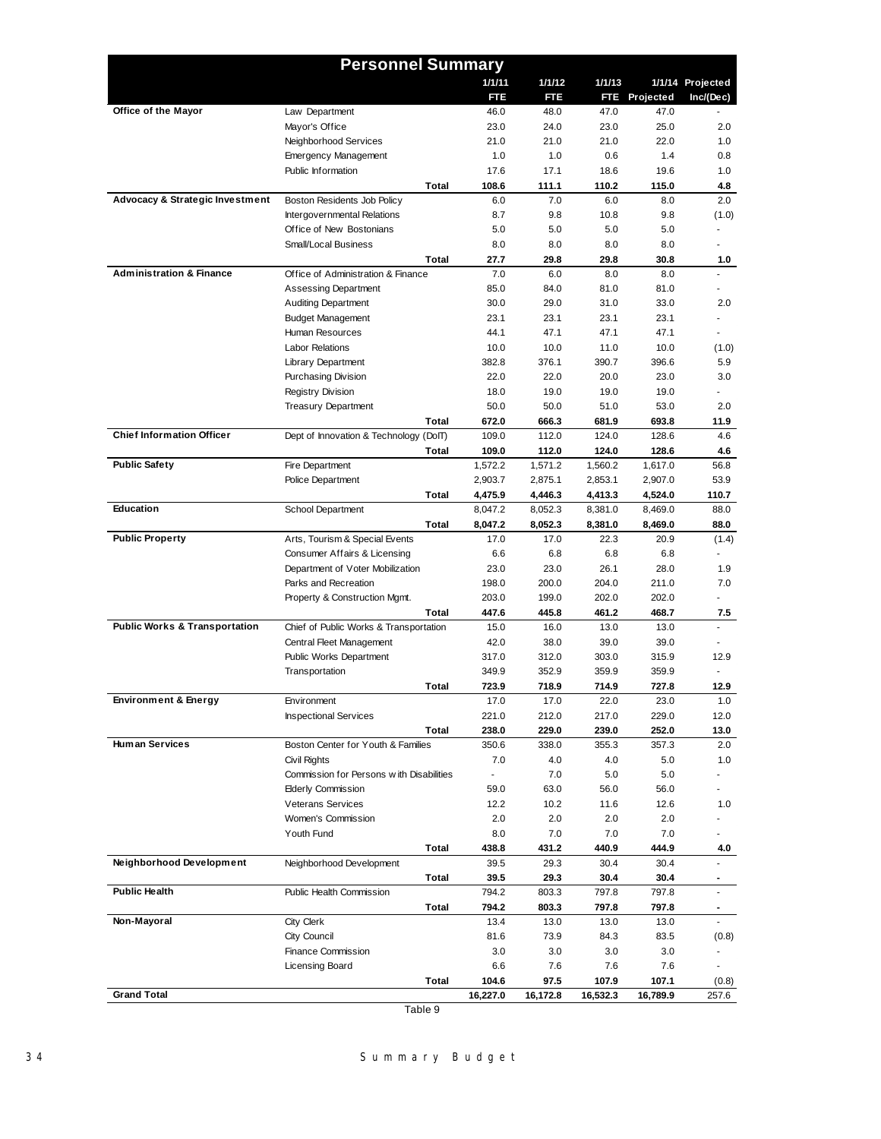|                                            | <b>Personnel Summary</b>                 |          |          |          |               |                  |
|--------------------------------------------|------------------------------------------|----------|----------|----------|---------------|------------------|
|                                            |                                          | 1/1/11   | 1/1/12   | 1/1/13   |               | 1/1/14 Projected |
|                                            |                                          | FTE      | FTE      |          | FTE Projected | Inc/(Dec)        |
| Office of the Mayor                        | Law Department                           | 46.0     | 48.0     | 47.0     | 47.0          |                  |
|                                            | Mayor's Office                           | 23.0     | 24.0     | 23.0     | 25.0          | 2.0              |
|                                            | Neighborhood Services                    | 21.0     | 21.0     | 21.0     | 22.0          | 1.0              |
|                                            | <b>Emergency Management</b>              | 1.0      | 1.0      | 0.6      | 1.4           | 0.8              |
|                                            | Public Information                       | 17.6     | 17.1     | 18.6     | 19.6          | 1.0              |
|                                            | Total                                    | 108.6    | 111.1    | 110.2    | 115.0         | 4.8              |
| <b>Advocacy &amp; Strategic Investment</b> | Boston Residents Job Policy              | 6.0      | 7.0      | 6.0      | 8.0           | 2.0              |
|                                            | Intergovernmental Relations              | 8.7      | 9.8      | 10.8     | 9.8           | (1.0)            |
|                                            | Office of New Bostonians                 | 5.0      | 5.0      | 5.0      | 5.0           | $\blacksquare$   |
|                                            | Small/Local Business                     | 8.0      | 8.0      | 8.0      | 8.0           |                  |
|                                            | Total                                    | 27.7     | 29.8     | 29.8     | 30.8          | 1.0              |
| <b>Administration &amp; Finance</b>        | Office of Administration & Finance       | 7.0      | 6.0      | 8.0      | 8.0           |                  |
|                                            | Assessing Department                     | 85.0     | 84.0     | 81.0     | 81.0          |                  |
|                                            | <b>Auditing Department</b>               | 30.0     | 29.0     | 31.0     | 33.0          | 2.0              |
|                                            | <b>Budget Management</b>                 | 23.1     | 23.1     | 23.1     | 23.1          |                  |
|                                            | Human Resources                          | 44.1     | 47.1     | 47.1     | 47.1          |                  |
|                                            | <b>Labor Relations</b>                   | 10.0     | 10.0     | 11.0     | 10.0          | (1.0)            |
|                                            | <b>Library Department</b>                | 382.8    | 376.1    | 390.7    | 396.6         | 5.9              |
|                                            | <b>Purchasing Division</b>               | 22.0     | 22.0     | 20.0     | 23.0          | 3.0              |
|                                            | <b>Registry Division</b>                 | 18.0     | 19.0     | 19.0     | 19.0          |                  |
|                                            | <b>Treasury Department</b>               | 50.0     | 50.0     | 51.0     | 53.0          | 2.0              |
|                                            | Total                                    | 672.0    | 666.3    | 681.9    | 693.8         | 11.9             |
| <b>Chief Information Officer</b>           | Dept of Innovation & Technology (DoIT)   | 109.0    | 112.0    | 124.0    | 128.6         | 4.6              |
|                                            | Total                                    | 109.0    | 112.0    | 124.0    | 128.6         | 4.6              |
| <b>Public Safety</b>                       | Fire Department                          | 1,572.2  | 1,571.2  | 1.560.2  | 1,617.0       | 56.8             |
|                                            | Police Department                        | 2,903.7  | 2,875.1  | 2,853.1  | 2,907.0       | 53.9             |
|                                            | Total                                    | 4,475.9  | 4,446.3  | 4,413.3  | 4,524.0       | 110.7            |
| Education                                  | School Department                        | 8,047.2  | 8,052.3  | 8,381.0  | 8,469.0       | 88.0             |
|                                            | Total                                    | 8,047.2  | 8,052.3  | 8,381.0  | 8,469.0       | 88.0             |
| <b>Public Property</b>                     | Arts, Tourism & Special Events           | 17.0     | 17.0     | 22.3     | 20.9          | (1.4)            |
|                                            | Consumer Affairs & Licensing             | 6.6      | 6.8      | 6.8      | 6.8           |                  |
|                                            | Department of Voter Mobilization         | 23.0     | 23.0     | 26.1     | 28.0          | 1.9              |
|                                            | Parks and Recreation                     | 198.0    | 200.0    | 204.0    | 211.0         | 7.0              |
|                                            | Property & Construction Mgmt.            | 203.0    | 199.0    | 202.0    | 202.0         |                  |
|                                            | Total                                    | 447.6    | 445.8    | 461.2    | 468.7         | 7.5              |
| <b>Public Works &amp; Transportation</b>   | Chief of Public Works & Transportation   | 15.0     | 16.0     | 13.0     | 13.0          | $\mathbf{r}$     |
|                                            | Central Fleet Management                 | 42.0     | 38.0     | 39.0     | 39.0          |                  |
|                                            | Public Works Department                  | 317.0    | 312.0    | 303.0    | 315.9         | 12.9             |
|                                            | Transportation                           | 349.9    | 352.9    | 359.9    | 359.9         |                  |
|                                            | Total                                    | 723.9    | 718.9    | 714.9    | 727.8         | 12.9             |
| Environment & Energy                       | Environment                              | 17.0     | 17.0     | 22.0     | 23.0          | 1.0              |
|                                            | <b>Inspectional Services</b>             | 221.0    | 212.0    | 217.0    | 229.0         | 12.0             |
|                                            | Total                                    | 238.0    | 229.0    | 239.0    | 252.0         | 13.0             |
| <b>Human Services</b>                      | Boston Center for Youth & Families       | 350.6    | 338.0    | 355.3    | 357.3         | 2.0              |
|                                            | Civil Rights                             | 7.0      | 4.0      | 4.0      | 5.0           | 1.0              |
|                                            | Commission for Persons with Disabilities | ä,       | 7.0      | 5.0      | 5.0           |                  |
|                                            | <b>Elderly Commission</b>                | 59.0     | 63.0     | 56.0     | 56.0          |                  |
|                                            | <b>Veterans Services</b>                 | 12.2     | 10.2     | 11.6     | 12.6          | 1.0              |
|                                            | Women's Commission                       | 2.0      | 2.0      | 2.0      | 2.0           |                  |
|                                            | Youth Fund                               | 8.0      | 7.0      | 7.0      | 7.0           |                  |
|                                            | Total                                    | 438.8    | 431.2    | 440.9    | 444.9         | 4.0              |
| Neighborhood Development                   | Neighborhood Development                 | 39.5     | 29.3     | 30.4     | 30.4          |                  |
|                                            | Total                                    | 39.5     | 29.3     | 30.4     | 30.4          |                  |
| <b>Public Health</b>                       | Public Health Commission                 | 794.2    | 803.3    | 797.8    | 797.8         |                  |
|                                            | Total                                    | 794.2    | 803.3    | 797.8    | 797.8         |                  |
| Non-Mayoral                                | City Clerk                               | 13.4     | 13.0     | 13.0     | 13.0          |                  |
|                                            | City Council                             | 81.6     | 73.9     | 84.3     | 83.5          | (0.8)            |
|                                            | Finance Commission                       | 3.0      | 3.0      | 3.0      | 3.0           |                  |
|                                            | Licensing Board                          | 6.6      | 7.6      | 7.6      | 7.6           |                  |
|                                            | <b>Total</b>                             | 104.6    | 97.5     | 107.9    | 107.1         | (0.8)            |
| <b>Grand Total</b>                         |                                          | 16,227.0 | 16,172.8 | 16,532.3 | 16,789.9      | 257.6            |
|                                            | <b>F</b> . L . L . 0                     |          |          |          |               |                  |

Table 9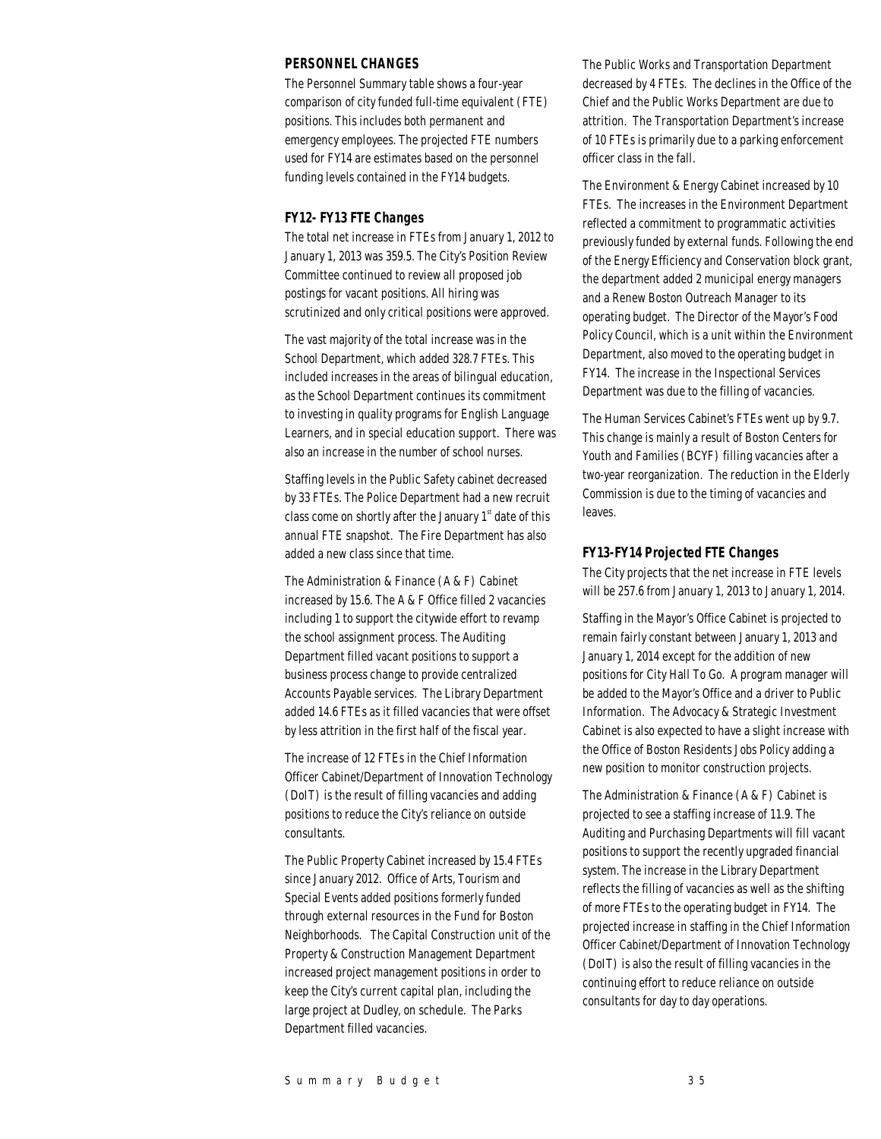## *PERSONNEL CHANGES*

The Personnel Summary table shows a four-year comparison of city funded full-time equivalent (FTE) positions. This includes both permanent and emergency employees. The projected FTE numbers used for FY14 are estimates based on the personnel funding levels contained in the FY14 budgets.

## *FY12- FY13 FTE Changes*

The total net increase in FTEs from January 1, 2012 to January 1, 2013 was 359.5. The City's Position Review Committee continued to review all proposed job postings for vacant positions. All hiring was scrutinized and only critical positions were approved.

The vast majority of the total increase was in the School Department, which added 328.7 FTEs. This included increases in the areas of bilingual education, as the School Department continues its commitment to investing in quality programs for English Language Learners, and in special education support. There was also an increase in the number of school nurses.

Staffing levels in the Public Safety cabinet decreased by 33 FTEs. The Police Department had a new recruit class come on shortly after the January  $1<sup>st</sup>$  date of this annual FTE snapshot. The Fire Department has also added a new class since that time.

The Administration & Finance (A & F) Cabinet increased by 15.6. The A & F Office filled 2 vacancies including 1 to support the citywide effort to revamp the school assignment process. The Auditing Department filled vacant positions to support a business process change to provide centralized Accounts Payable services. The Library Department added 14.6 FTEs as it filled vacancies that were offset by less attrition in the first half of the fiscal year.

The increase of 12 FTEs in the Chief Information Officer Cabinet/Department of Innovation Technology (DoIT) is the result of filling vacancies and adding positions to reduce the City's reliance on outside consultants.

The Public Property Cabinet increased by 15.4 FTEs since January 2012. Office of Arts, Tourism and Special Events added positions formerly funded through external resources in the Fund for Boston Neighborhoods. The Capital Construction unit of the Property & Construction Management Department increased project management positions in order to keep the City's current capital plan, including the large project at Dudley, on schedule. The Parks Department filled vacancies.

The Public Works and Transportation Department decreased by 4 FTEs. The declines in the Office of the Chief and the Public Works Department are due to attrition. The Transportation Department's increase of 10 FTEs is primarily due to a parking enforcement officer class in the fall.

The Environment & Energy Cabinet increased by 10 FTEs. The increases in the Environment Department reflected a commitment to programmatic activities previously funded by external funds. Following the end of the Energy Efficiency and Conservation block grant, the department added 2 municipal energy managers and a Renew Boston Outreach Manager to its operating budget. The Director of the Mayor's Food Policy Council, which is a unit within the Environment Department, also moved to the operating budget in FY14. The increase in the Inspectional Services Department was due to the filling of vacancies.

The Human Services Cabinet's FTEs went up by 9.7. This change is mainly a result of Boston Centers for Youth and Families (BCYF) filling vacancies after a two-year reorganization. The reduction in the Elderly Commission is due to the timing of vacancies and leaves.

## *FY13-FY14 Projected FTE Changes*

The City projects that the net increase in FTE levels will be 257.6 from January 1, 2013 to January 1, 2014.

Staffing in the Mayor's Office Cabinet is projected to remain fairly constant between January 1, 2013 and January 1, 2014 except for the addition of new positions for City Hall To Go. A program manager will be added to the Mayor's Office and a driver to Public Information. The Advocacy & Strategic Investment Cabinet is also expected to have a slight increase with the Office of Boston Residents Jobs Policy adding a new position to monitor construction projects.

The Administration & Finance (A & F) Cabinet is projected to see a staffing increase of 11.9. The Auditing and Purchasing Departments will fill vacant positions to support the recently upgraded financial system. The increase in the Library Department reflects the filling of vacancies as well as the shifting of more FTEs to the operating budget in FY14. The projected increase in staffing in the Chief Information Officer Cabinet/Department of Innovation Technology (DoIT) is also the result of filling vacancies in the continuing effort to reduce reliance on outside consultants for day to day operations.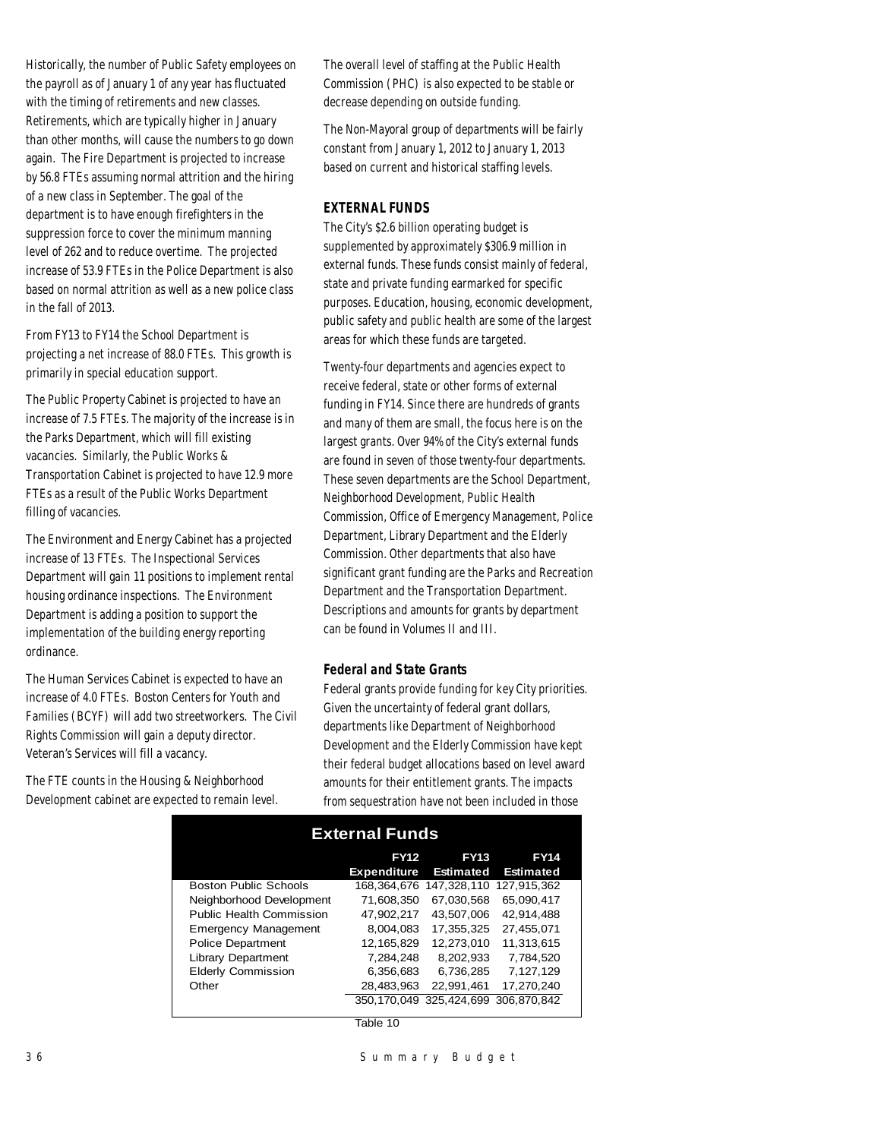Historically, the number of Public Safety employees on the payroll as of January 1 of any year has fluctuated with the timing of retirements and new classes. Retirements, which are typically higher in January than other months, will cause the numbers to go down again. The Fire Department is projected to increase by 56.8 FTEs assuming normal attrition and the hiring of a new class in September. The goal of the department is to have enough firefighters in the suppression force to cover the minimum manning level of 262 and to reduce overtime. The projected increase of 53.9 FTEs in the Police Department is also based on normal attrition as well as a new police class in the fall of 2013.

From FY13 to FY14 the School Department is projecting a net increase of 88.0 FTEs. This growth is primarily in special education support.

The Public Property Cabinet is projected to have an increase of 7.5 FTEs. The majority of the increase is in the Parks Department, which will fill existing vacancies. Similarly, the Public Works & Transportation Cabinet is projected to have 12.9 more FTEs as a result of the Public Works Department filling of vacancies.

The Environment and Energy Cabinet has a projected increase of 13 FTEs. The Inspectional Services Department will gain 11 positions to implement rental housing ordinance inspections. The Environment Department is adding a position to support the implementation of the building energy reporting ordinance.

The Human Services Cabinet is expected to have an increase of 4.0 FTEs. Boston Centers for Youth and Families (BCYF) will add two streetworkers. The Civil Rights Commission will gain a deputy director. Veteran's Services will fill a vacancy.

The FTE counts in the Housing & Neighborhood Development cabinet are expected to remain level. The overall level of staffing at the Public Health Commission (PHC) is also expected to be stable or decrease depending on outside funding.

The Non-Mayoral group of departments will be fairly constant from January 1, 2012 to January 1, 2013 based on current and historical staffing levels.

## *EXTERNAL FUNDS*

The City's \$2.6 billion operating budget is supplemented by approximately \$306.9 million in external funds. These funds consist mainly of federal, state and private funding earmarked for specific purposes. Education, housing, economic development, public safety and public health are some of the largest areas for which these funds are targeted.

Twenty-four departments and agencies expect to receive federal, state or other forms of external funding in FY14. Since there are hundreds of grants and many of them are small, the focus here is on the largest grants. Over 94% of the City's external funds are found in seven of those twenty-four departments. These seven departments are the School Department, Neighborhood Development, Public Health Commission, Office of Emergency Management, Police Department, Library Department and the Elderly Commission. Other departments that also have significant grant funding are the Parks and Recreation Department and the Transportation Department. Descriptions and amounts for grants by department can be found in Volumes II and III.

## *Federal and State Grants*

Federal grants provide funding for key City priorities. Given the uncertainty of federal grant dollars, departments like Department of Neighborhood Development and the Elderly Commission have kept their federal budget allocations based on level award amounts for their entitlement grants. The impacts from sequestration have not been included in those

| <b>External Funds</b>           |                                   |                                 |                                 |  |  |  |  |  |
|---------------------------------|-----------------------------------|---------------------------------|---------------------------------|--|--|--|--|--|
|                                 | <b>FY12</b>                       | <b>FY13</b>                     | <b>FY14</b><br><b>Estimated</b> |  |  |  |  |  |
| <b>Boston Public Schools</b>    | <b>Expenditure</b><br>168.364.676 | <b>Estimated</b><br>147.328.110 | 127.915.362                     |  |  |  |  |  |
| Neighborhood Development        | 71.608.350                        | 67.030.568                      | 65.090.417                      |  |  |  |  |  |
| <b>Public Health Commission</b> | 47,902,217                        | 43.507.006                      | 42,914,488                      |  |  |  |  |  |
| <b>Emergency Management</b>     | 8.004.083                         | 17.355.325                      | 27.455.071                      |  |  |  |  |  |
| <b>Police Department</b>        | 12, 165, 829                      | 12.273.010                      | 11.313.615                      |  |  |  |  |  |
| <b>Library Department</b>       | 7,284,248                         | 8.202.933                       | 7.784.520                       |  |  |  |  |  |
| <b>Elderly Commission</b>       | 6,356,683                         | 6,736,285                       | 7,127,129                       |  |  |  |  |  |
| Other                           | 28,483,963                        | 22,991,461                      | 17,270,240                      |  |  |  |  |  |
|                                 | 350.170.049                       | 325.424.699                     | 306.870.842                     |  |  |  |  |  |

Table 10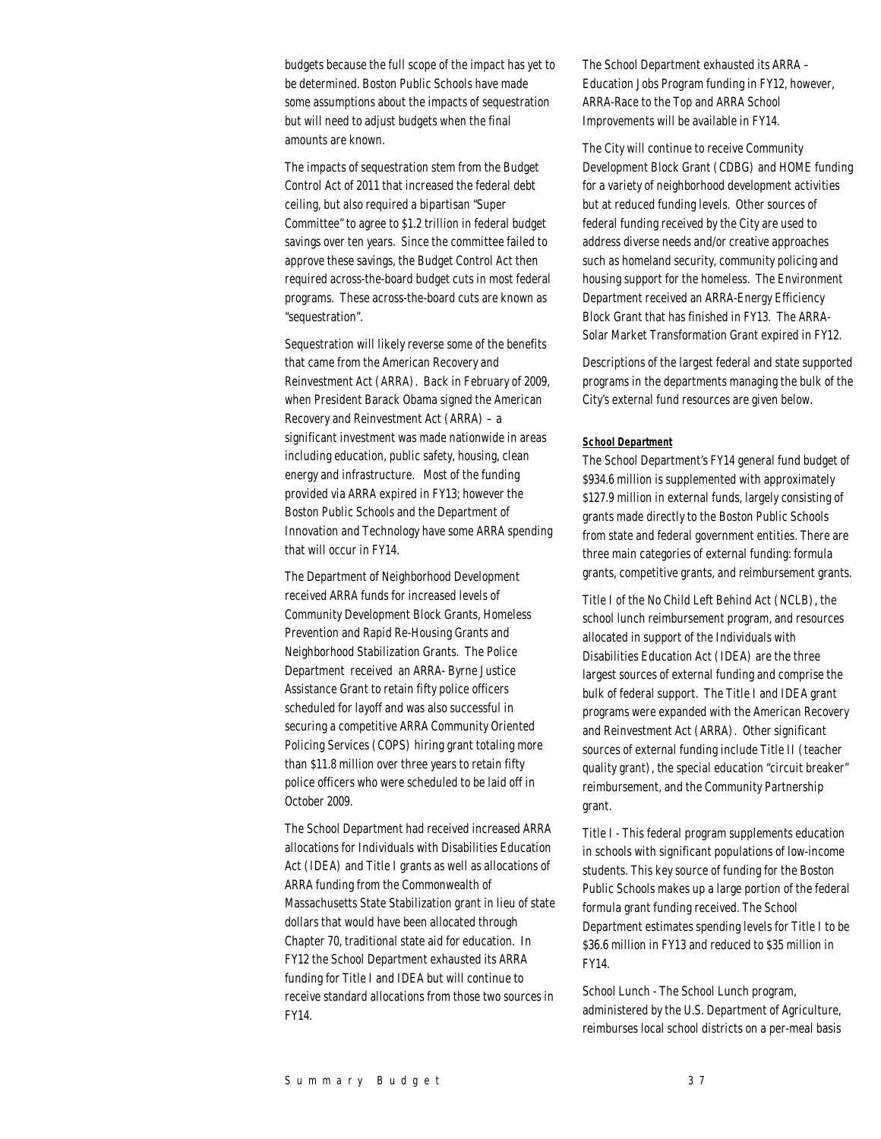budgets because the full scope of the impact has yet to be determined. Boston Public Schools have made some assumptions about the impacts of sequestration but will need to adjust budgets when the final amounts are known.

The impacts of sequestration stem from the Budget Control Act of 2011 that increased the federal debt ceiling, but also required a bipartisan "Super Committee" to agree to \$1.2 trillion in federal budget savings over ten years. Since the committee failed to approve these savings, the Budget Control Act then required across-the-board budget cuts in most federal programs. These across-the-board cuts are known as "sequestration".

Sequestration will likely reverse some of the benefits that came from the American Recovery and Reinvestment Act (ARRA). Back in February of 2009, when President Barack Obama signed the American Recovery and Reinvestment Act (ARRA) – a significant investment was made nationwide in areas including education, public safety, housing, clean energy and infrastructure. Most of the funding provided via ARRA expired in FY13; however the Boston Public Schools and the Department of Innovation and Technology have some ARRA spending that will occur in FY14.

The Department of Neighborhood Development received ARRA funds for increased levels of Community Development Block Grants, Homeless Prevention and Rapid Re-Housing Grants and Neighborhood Stabilization Grants. The Police Department received an ARRA- Byrne Justice Assistance Grant to retain fifty police officers scheduled for layoff and was also successful in securing a competitive ARRA Community Oriented Policing Services (COPS) hiring grant totaling more than \$11.8 million over three years to retain fifty police officers who were scheduled to be laid off in October 2009.

The School Department had received increased ARRA allocations for Individuals with Disabilities Education Act (IDEA) and Title I grants as well as allocations of ARRA funding from the Commonwealth of Massachusetts State Stabilization grant in lieu of state dollars that would have been allocated through Chapter 70, traditional state aid for education. In FY12 the School Department exhausted its ARRA funding for Title I and IDEA but will continue to receive standard allocations from those two sources in FY14.

The School Department exhausted its ARRA – Education Jobs Program funding in FY12, however, ARRA-Race to the Top and ARRA School Improvements will be available in FY14.

The City will continue to receive Community Development Block Grant (CDBG) and HOME funding for a variety of neighborhood development activities but at reduced funding levels. Other sources of federal funding received by the City are used to address diverse needs and/or creative approaches such as homeland security, community policing and housing support for the homeless. The Environment Department received an ARRA-Energy Efficiency Block Grant that has finished in FY13. The ARRA-Solar Market Transformation Grant expired in FY12.

Descriptions of the largest federal and state supported programs in the departments managing the bulk of the City's external fund resources are given below.

#### *School Department*

The School Department's FY14 general fund budget of \$934.6 million is supplemented with approximately \$127.9 million in external funds, largely consisting of grants made directly to the Boston Public Schools from state and federal government entities. There are three main categories of external funding: formula grants, competitive grants, and reimbursement grants.

Title I of the No Child Left Behind Act (NCLB), the school lunch reimbursement program, and resources allocated in support of the Individuals with Disabilities Education Act (IDEA) are the three largest sources of external funding and comprise the bulk of federal support. The Title I and IDEA grant programs were expanded with the American Recovery and Reinvestment Act (ARRA). Other significant sources of external funding include Title II (teacher quality grant), the special education "circuit breaker" reimbursement, and the Community Partnership grant.

Title I - This federal program supplements education in schools with significant populations of low-income students. This key source of funding for the Boston Public Schools makes up a large portion of the federal formula grant funding received. The School Department estimates spending levels for Title I to be \$36.6 million in FY13 and reduced to \$35 million in FY14.

School Lunch - The School Lunch program, administered by the U.S. Department of Agriculture, reimburses local school districts on a per-meal basis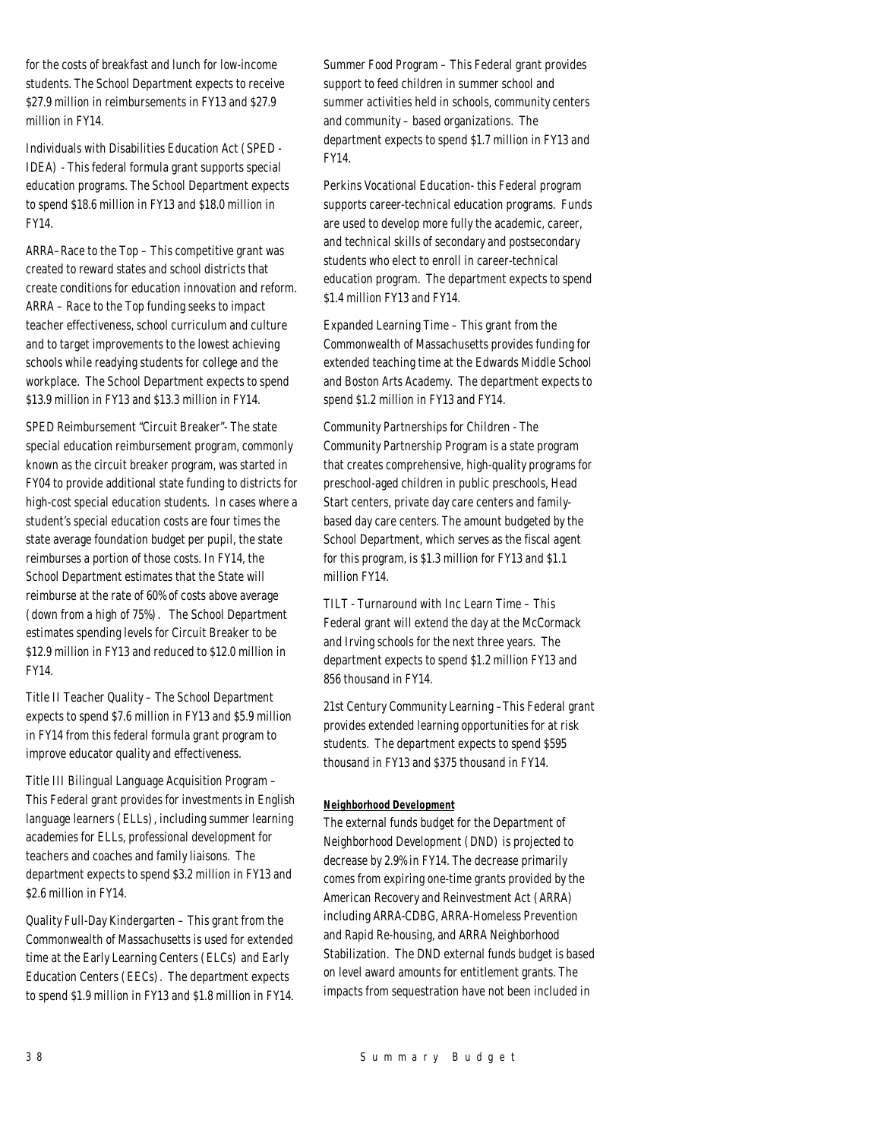for the costs of breakfast and lunch for low-income students. The School Department expects to receive \$27.9 million in reimbursements in FY13 and \$27.9 million in FY14.

Individuals with Disabilities Education Act (SPED - IDEA) - This federal formula grant supports special education programs. The School Department expects to spend \$18.6 million in FY13 and \$18.0 million in FY14.

ARRA–Race to the Top – This competitive grant was created to reward states and school districts that create conditions for education innovation and reform. ARRA – Race to the Top funding seeks to impact teacher effectiveness, school curriculum and culture and to target improvements to the lowest achieving schools while readying students for college and the workplace. The School Department expects to spend \$13.9 million in FY13 and \$13.3 million in FY14.

SPED Reimbursement "Circuit Breaker"- The state special education reimbursement program, commonly known as the circuit breaker program, was started in FY04 to provide additional state funding to districts for high-cost special education students. In cases where a student's special education costs are four times the state average foundation budget per pupil, the state reimburses a portion of those costs. In FY14, the School Department estimates that the State will reimburse at the rate of 60% of costs above average (down from a high of 75%). The School Department estimates spending levels for Circuit Breaker to be \$12.9 million in FY13 and reduced to \$12.0 million in FY14.

Title II Teacher Quality – The School Department expects to spend \$7.6 million in FY13 and \$5.9 million in FY14 from this federal formula grant program to improve educator quality and effectiveness.

Title III Bilingual Language Acquisition Program – This Federal grant provides for investments in English language learners (ELLs), including summer learning academies for ELLs, professional development for teachers and coaches and family liaisons. The department expects to spend \$3.2 million in FY13 and \$2.6 million in FY14.

Quality Full-Day Kindergarten – This grant from the Commonwealth of Massachusetts is used for extended time at the Early Learning Centers (ELCs) and Early Education Centers (EECs). The department expects to spend \$1.9 million in FY13 and \$1.8 million in FY14. Summer Food Program – This Federal grant provides support to feed children in summer school and summer activities held in schools, community centers and community – based organizations. The department expects to spend \$1.7 million in FY13 and FY14.

Perkins Vocational Education- this Federal program supports career-technical education programs. Funds are used to develop more fully the academic, career, and technical skills of secondary and postsecondary students who elect to enroll in career-technical education program. The department expects to spend \$1.4 million FY13 and FY14.

Expanded Learning Time – This grant from the Commonwealth of Massachusetts provides funding for extended teaching time at the Edwards Middle School and Boston Arts Academy. The department expects to spend \$1.2 million in FY13 and FY14.

Community Partnerships for Children - The Community Partnership Program is a state program that creates comprehensive, high-quality programs for preschool-aged children in public preschools, Head Start centers, private day care centers and familybased day care centers. The amount budgeted by the School Department, which serves as the fiscal agent for this program, is \$1.3 million for FY13 and \$1.1 million FY14.

TILT - Turnaround with Inc Learn Time – This Federal grant will extend the day at the McCormack and Irving schools for the next three years. The department expects to spend \$1.2 million FY13 and 856 thousand in FY14.

21st Century Community Learning –This Federal grant provides extended learning opportunities for at risk students. The department expects to spend \$595 thousand in FY13 and \$375 thousand in FY14.

## *Neighborhood Development*

The external funds budget for the Department of Neighborhood Development (DND) is projected to decrease by 2.9% in FY14. The decrease primarily comes from expiring one-time grants provided by the American Recovery and Reinvestment Act (ARRA) including ARRA-CDBG, ARRA-Homeless Prevention and Rapid Re-housing, and ARRA Neighborhood Stabilization. The DND external funds budget is based on level award amounts for entitlement grants. The impacts from sequestration have not been included in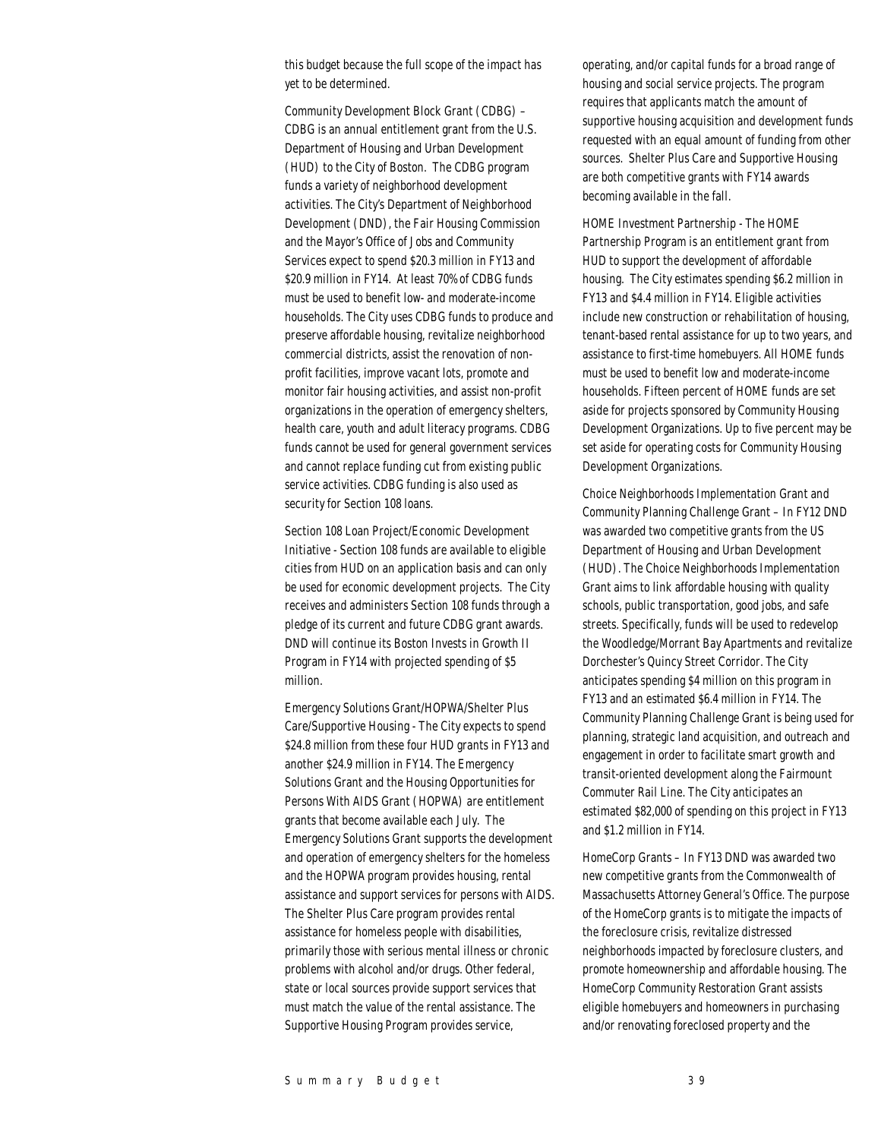this budget because the full scope of the impact has yet to be determined.

Community Development Block Grant (CDBG) – CDBG is an annual entitlement grant from the U.S. Department of Housing and Urban Development (HUD) to the City of Boston. The CDBG program funds a variety of neighborhood development activities. The City's Department of Neighborhood Development (DND), the Fair Housing Commission and the Mayor's Office of Jobs and Community Services expect to spend \$20.3 million in FY13 and \$20.9 million in FY14. At least 70% of CDBG funds must be used to benefit low- and moderate-income households. The City uses CDBG funds to produce and preserve affordable housing, revitalize neighborhood commercial districts, assist the renovation of nonprofit facilities, improve vacant lots, promote and monitor fair housing activities, and assist non-profit organizations in the operation of emergency shelters, health care, youth and adult literacy programs. CDBG funds cannot be used for general government services and cannot replace funding cut from existing public service activities. CDBG funding is also used as security for Section 108 loans.

Section 108 Loan Project/Economic Development Initiative - Section 108 funds are available to eligible cities from HUD on an application basis and can only be used for economic development projects. The City receives and administers Section 108 funds through a pledge of its current and future CDBG grant awards. DND will continue its Boston Invests in Growth II Program in FY14 with projected spending of \$5 million.

Emergency Solutions Grant/HOPWA/Shelter Plus Care/Supportive Housing - The City expects to spend \$24.8 million from these four HUD grants in FY13 and another \$24.9 million in FY14. The Emergency Solutions Grant and the Housing Opportunities for Persons With AIDS Grant (HOPWA) are entitlement grants that become available each July. The Emergency Solutions Grant supports the development and operation of emergency shelters for the homeless and the HOPWA program provides housing, rental assistance and support services for persons with AIDS. The Shelter Plus Care program provides rental assistance for homeless people with disabilities, primarily those with serious mental illness or chronic problems with alcohol and/or drugs. Other federal, state or local sources provide support services that must match the value of the rental assistance. The Supportive Housing Program provides service,

operating, and/or capital funds for a broad range of housing and social service projects. The program requires that applicants match the amount of supportive housing acquisition and development funds requested with an equal amount of funding from other sources. Shelter Plus Care and Supportive Housing are both competitive grants with FY14 awards becoming available in the fall.

HOME Investment Partnership - The HOME Partnership Program is an entitlement grant from HUD to support the development of affordable housing. The City estimates spending \$6.2 million in FY13 and \$4.4 million in FY14. Eligible activities include new construction or rehabilitation of housing, tenant-based rental assistance for up to two years, and assistance to first-time homebuyers. All HOME funds must be used to benefit low and moderate-income households. Fifteen percent of HOME funds are set aside for projects sponsored by Community Housing Development Organizations. Up to five percent may be set aside for operating costs for Community Housing Development Organizations.

Choice Neighborhoods Implementation Grant and Community Planning Challenge Grant – In FY12 DND was awarded two competitive grants from the US Department of Housing and Urban Development (HUD). The Choice Neighborhoods Implementation Grant aims to link affordable housing with quality schools, public transportation, good jobs, and safe streets. Specifically, funds will be used to redevelop the Woodledge/Morrant Bay Apartments and revitalize Dorchester's Quincy Street Corridor. The City anticipates spending \$4 million on this program in FY13 and an estimated \$6.4 million in FY14. The Community Planning Challenge Grant is being used for planning, strategic land acquisition, and outreach and engagement in order to facilitate smart growth and transit-oriented development along the Fairmount Commuter Rail Line. The City anticipates an estimated \$82,000 of spending on this project in FY13 and \$1.2 million in FY14.

HomeCorp Grants – In FY13 DND was awarded two new competitive grants from the Commonwealth of Massachusetts Attorney General's Office. The purpose of the HomeCorp grants is to mitigate the impacts of the foreclosure crisis, revitalize distressed neighborhoods impacted by foreclosure clusters, and promote homeownership and affordable housing. The HomeCorp Community Restoration Grant assists eligible homebuyers and homeowners in purchasing and/or renovating foreclosed property and the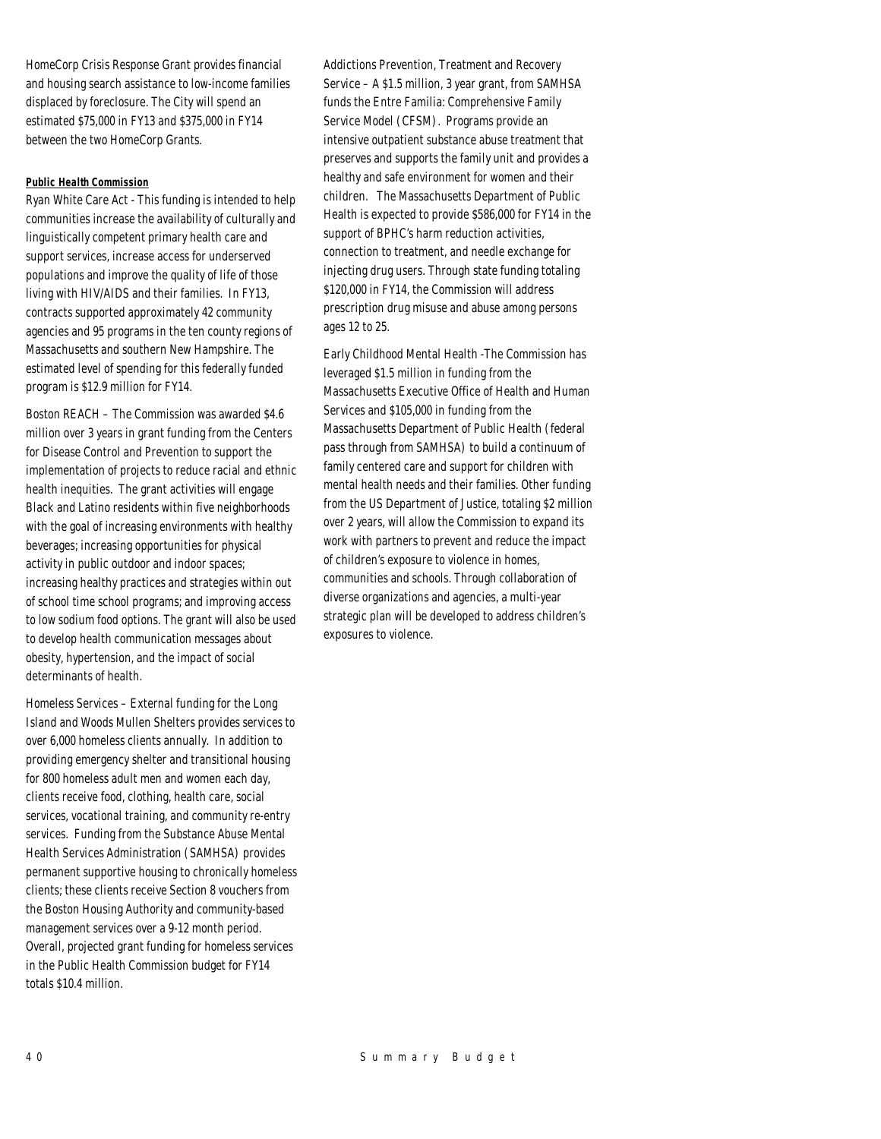HomeCorp Crisis Response Grant provides financial and housing search assistance to low-income families displaced by foreclosure. The City will spend an estimated \$75,000 in FY13 and \$375,000 in FY14 between the two HomeCorp Grants.

## *Public Health Commission*

Ryan White Care Act - This funding is intended to help communities increase the availability of culturally and linguistically competent primary health care and support services, increase access for underserved populations and improve the quality of life of those living with HIV/AIDS and their families. In FY13, contracts supported approximately 42 community agencies and 95 programs in the ten county regions of Massachusetts and southern New Hampshire. The estimated level of spending for this federally funded program is \$12.9 million for FY14.

Boston REACH – The Commission was awarded \$4.6 million over 3 years in grant funding from the Centers for Disease Control and Prevention to support the implementation of projects to reduce racial and ethnic health inequities. The grant activities will engage Black and Latino residents within five neighborhoods with the goal of increasing environments with healthy beverages; increasing opportunities for physical activity in public outdoor and indoor spaces; increasing healthy practices and strategies within out of school time school programs; and improving access to low sodium food options. The grant will also be used to develop health communication messages about obesity, hypertension, and the impact of social determinants of health.

Homeless Services – External funding for the Long Island and Woods Mullen Shelters provides services to over 6,000 homeless clients annually. In addition to providing emergency shelter and transitional housing for 800 homeless adult men and women each day, clients receive food, clothing, health care, social services, vocational training, and community re-entry services. Funding from the Substance Abuse Mental Health Services Administration (SAMHSA) provides permanent supportive housing to chronically homeless clients; these clients receive Section 8 vouchers from the Boston Housing Authority and community-based management services over a 9-12 month period. Overall, projected grant funding for homeless services in the Public Health Commission budget for FY14 totals \$10.4 million.

Addictions Prevention, Treatment and Recovery Service – A \$1.5 million, 3 year grant, from SAMHSA funds the Entre Familia: Comprehensive Family Service Model (CFSM). Programs provide an intensive outpatient substance abuse treatment that preserves and supports the family unit and provides a healthy and safe environment for women and their children. The Massachusetts Department of Public Health is expected to provide \$586,000 for FY14 in the support of BPHC's harm reduction activities, connection to treatment, and needle exchange for injecting drug users. Through state funding totaling \$120,000 in FY14, the Commission will address prescription drug misuse and abuse among persons ages 12 to 25.

Early Childhood Mental Health -The Commission has leveraged \$1.5 million in funding from the Massachusetts Executive Office of Health and Human Services and \$105,000 in funding from the Massachusetts Department of Public Health (federal pass through from SAMHSA) to build a continuum of family centered care and support for children with mental health needs and their families. Other funding from the US Department of Justice, totaling \$2 million over 2 years, will allow the Commission to expand its work with partners to prevent and reduce the impact of children's exposure to violence in homes, communities and schools. Through collaboration of diverse organizations and agencies, a multi-year strategic plan will be developed to address children's exposures to violence.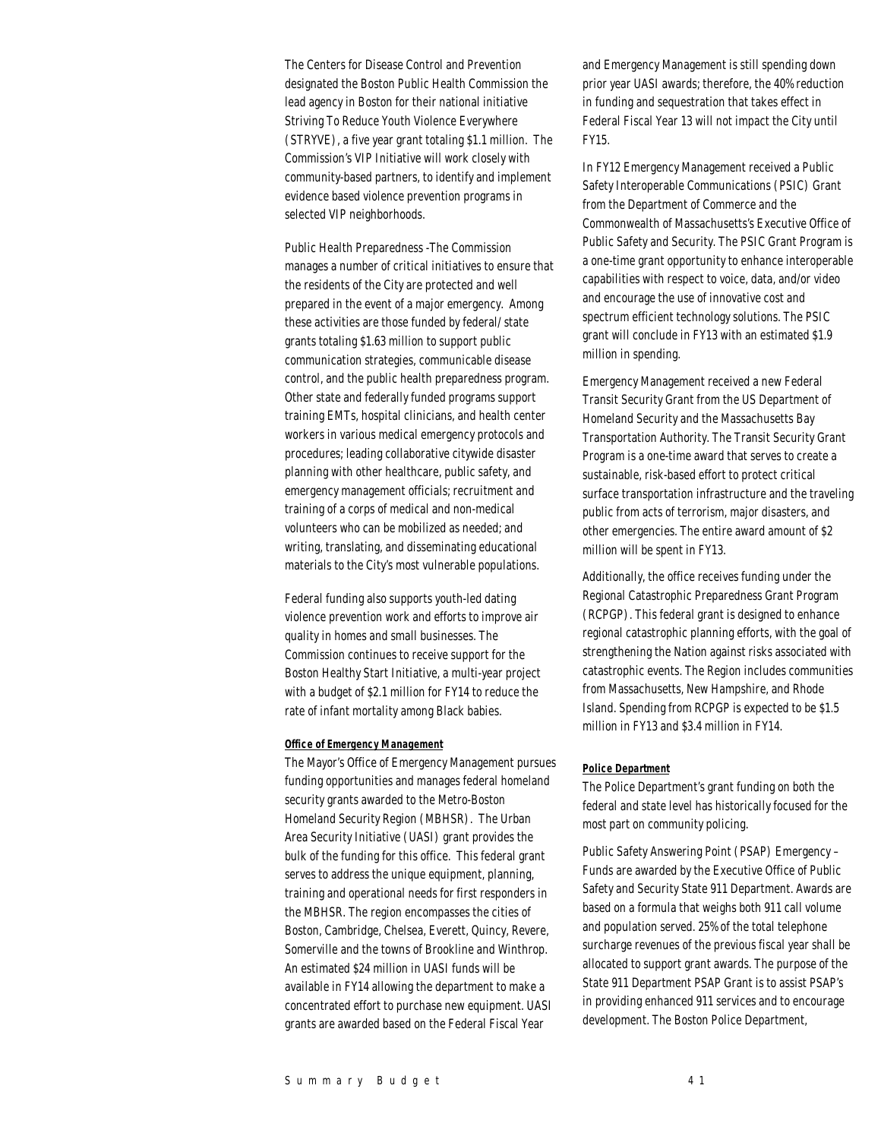The Centers for Disease Control and Prevention designated the Boston Public Health Commission the lead agency in Boston for their national initiative Striving To Reduce Youth Violence Everywhere (STRYVE), a five year grant totaling \$1.1 million. The Commission's VIP Initiative will work closely with community-based partners, to identify and implement evidence based violence prevention programs in selected VIP neighborhoods.

Public Health Preparedness -The Commission manages a number of critical initiatives to ensure that the residents of the City are protected and well prepared in the event of a major emergency. Among these activities are those funded by federal/ state grants totaling \$1.63 million to support public communication strategies, communicable disease control, and the public health preparedness program. Other state and federally funded programs support training EMTs, hospital clinicians, and health center workers in various medical emergency protocols and procedures; leading collaborative citywide disaster planning with other healthcare, public safety, and emergency management officials; recruitment and training of a corps of medical and non-medical volunteers who can be mobilized as needed; and writing, translating, and disseminating educational materials to the City's most vulnerable populations.

Federal funding also supports youth-led dating violence prevention work and efforts to improve air quality in homes and small businesses. The Commission continues to receive support for the Boston Healthy Start Initiative, a multi-year project with a budget of \$2.1 million for FY14 to reduce the rate of infant mortality among Black babies.

#### *Office of Emergency Management*

The Mayor's Office of Emergency Management pursues funding opportunities and manages federal homeland security grants awarded to the Metro-Boston Homeland Security Region (MBHSR). The Urban Area Security Initiative (UASI) grant provides the bulk of the funding for this office. This federal grant serves to address the unique equipment, planning, training and operational needs for first responders in the MBHSR. The region encompasses the cities of Boston, Cambridge, Chelsea, Everett, Quincy, Revere, Somerville and the towns of Brookline and Winthrop. An estimated \$24 million in UASI funds will be available in FY14 allowing the department to make a concentrated effort to purchase new equipment. UASI grants are awarded based on the Federal Fiscal Year

and Emergency Management is still spending down prior year UASI awards; therefore, the 40% reduction in funding and sequestration that takes effect in Federal Fiscal Year 13 will not impact the City until FY15.

In FY12 Emergency Management received a Public Safety Interoperable Communications (PSIC) Grant from the Department of Commerce and the Commonwealth of Massachusetts's Executive Office of Public Safety and Security. The PSIC Grant Program is a one-time grant opportunity to enhance interoperable capabilities with respect to voice, data, and/or video and encourage the use of innovative cost and spectrum efficient technology solutions. The PSIC grant will conclude in FY13 with an estimated \$1.9 million in spending.

Emergency Management received a new Federal Transit Security Grant from the US Department of Homeland Security and the Massachusetts Bay Transportation Authority. The Transit Security Grant Program is a one-time award that serves to create a sustainable, risk-based effort to protect critical surface transportation infrastructure and the traveling public from acts of terrorism, major disasters, and other emergencies. The entire award amount of \$2 million will be spent in FY13.

Additionally, the office receives funding under the Regional Catastrophic Preparedness Grant Program (RCPGP). This federal grant is designed to enhance regional catastrophic planning efforts, with the goal of strengthening the Nation against risks associated with catastrophic events. The Region includes communities from Massachusetts, New Hampshire, and Rhode Island. Spending from RCPGP is expected to be \$1.5 million in FY13 and \$3.4 million in FY14.

#### *Police Department*

The Police Department's grant funding on both the federal and state level has historically focused for the most part on community policing.

Public Safety Answering Point (PSAP) Emergency – Funds are awarded by the Executive Office of Public Safety and Security State 911 Department. Awards are based on a formula that weighs both 911 call volume and population served. 25% of the total telephone surcharge revenues of the previous fiscal year shall be allocated to support grant awards. The purpose of the State 911 Department PSAP Grant is to assist PSAP's in providing enhanced 911 services and to encourage development. The Boston Police Department,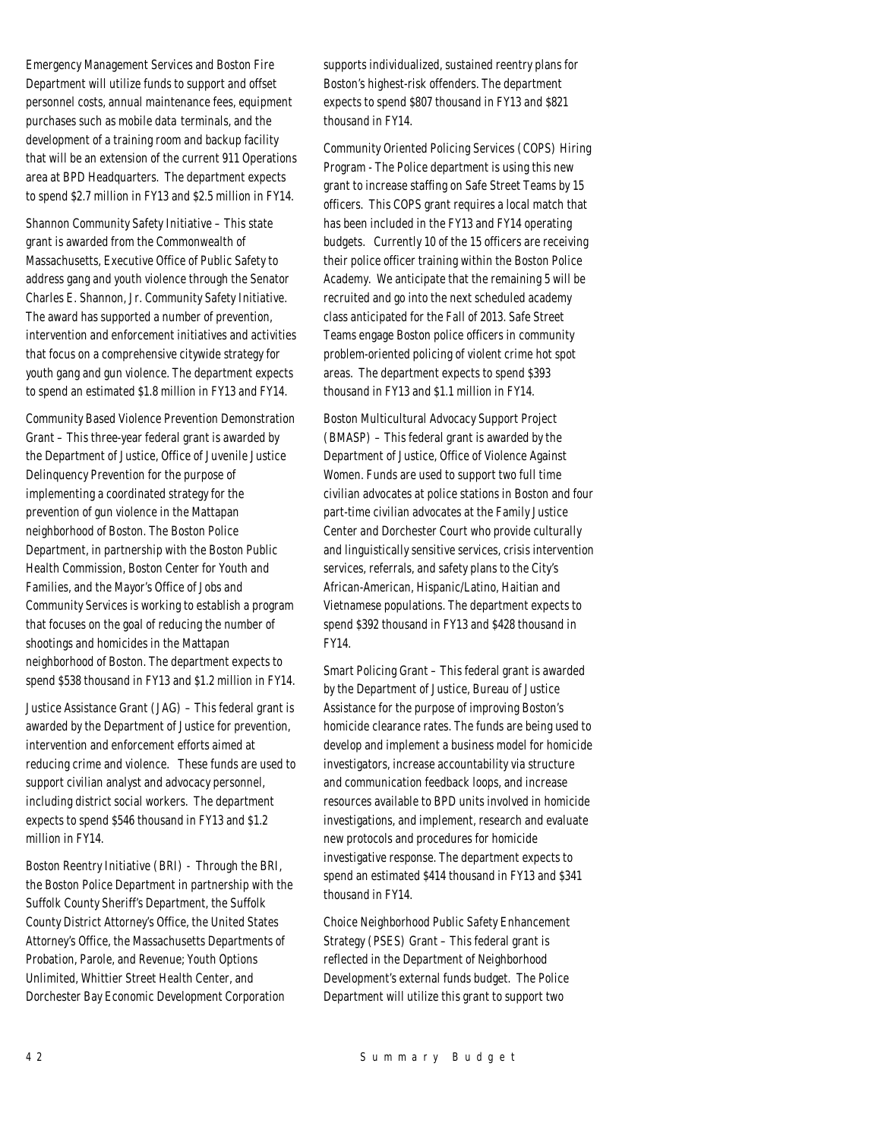Emergency Management Services and Boston Fire Department will utilize funds to support and offset personnel costs, annual maintenance fees, equipment purchases such as mobile data terminals, and the development of a training room and backup facility that will be an extension of the current 911 Operations area at BPD Headquarters. The department expects to spend \$2.7 million in FY13 and \$2.5 million in FY14.

Shannon Community Safety Initiative – This state grant is awarded from the Commonwealth of Massachusetts, Executive Office of Public Safety to address gang and youth violence through the Senator Charles E. Shannon, Jr. Community Safety Initiative. The award has supported a number of prevention, intervention and enforcement initiatives and activities that focus on a comprehensive citywide strategy for youth gang and gun violence. The department expects to spend an estimated \$1.8 million in FY13 and FY14.

Community Based Violence Prevention Demonstration Grant – This three-year federal grant is awarded by the Department of Justice, Office of Juvenile Justice Delinquency Prevention for the purpose of implementing a coordinated strategy for the prevention of gun violence in the Mattapan neighborhood of Boston. The Boston Police Department, in partnership with the Boston Public Health Commission, Boston Center for Youth and Families, and the Mayor's Office of Jobs and Community Services is working to establish a program that focuses on the goal of reducing the number of shootings and homicides in the Mattapan neighborhood of Boston. The department expects to spend \$538 thousand in FY13 and \$1.2 million in FY14.

Justice Assistance Grant (JAG) – This federal grant is awarded by the Department of Justice for prevention, intervention and enforcement efforts aimed at reducing crime and violence. These funds are used to support civilian analyst and advocacy personnel, including district social workers. The department expects to spend \$546 thousand in FY13 and \$1.2 million in FY14.

Boston Reentry Initiative (BRI) - Through the BRI, the Boston Police Department in partnership with the Suffolk County Sheriff's Department, the Suffolk County District Attorney's Office, the United States Attorney's Office, the Massachusetts Departments of Probation, Parole, and Revenue; Youth Options Unlimited, Whittier Street Health Center, and Dorchester Bay Economic Development Corporation

supports individualized, sustained reentry plans for Boston's highest-risk offenders. The department expects to spend \$807 thousand in FY13 and \$821 thousand in FY14.

Community Oriented Policing Services (COPS) Hiring Program - The Police department is using this new grant to increase staffing on Safe Street Teams by 15 officers. This COPS grant requires a local match that has been included in the FY13 and FY14 operating budgets. Currently 10 of the 15 officers are receiving their police officer training within the Boston Police Academy. We anticipate that the remaining 5 will be recruited and go into the next scheduled academy class anticipated for the Fall of 2013. Safe Street Teams engage Boston police officers in community problem-oriented policing of violent crime hot spot areas. The department expects to spend \$393 thousand in FY13 and \$1.1 million in FY14.

Boston Multicultural Advocacy Support Project (BMASP) – This federal grant is awarded by the Department of Justice, Office of Violence Against Women. Funds are used to support two full time civilian advocates at police stations in Boston and four part-time civilian advocates at the Family Justice Center and Dorchester Court who provide culturally and linguistically sensitive services, crisis intervention services, referrals, and safety plans to the City's African-American, Hispanic/Latino, Haitian and Vietnamese populations. The department expects to spend \$392 thousand in FY13 and \$428 thousand in FY14.

Smart Policing Grant – This federal grant is awarded by the Department of Justice, Bureau of Justice Assistance for the purpose of improving Boston's homicide clearance rates. The funds are being used to develop and implement a business model for homicide investigators, increase accountability via structure and communication feedback loops, and increase resources available to BPD units involved in homicide investigations, and implement, research and evaluate new protocols and procedures for homicide investigative response. The department expects to spend an estimated \$414 thousand in FY13 and \$341 thousand in FY14.

Choice Neighborhood Public Safety Enhancement Strategy (PSES) Grant – This federal grant is reflected in the Department of Neighborhood Development's external funds budget. The Police Department will utilize this grant to support two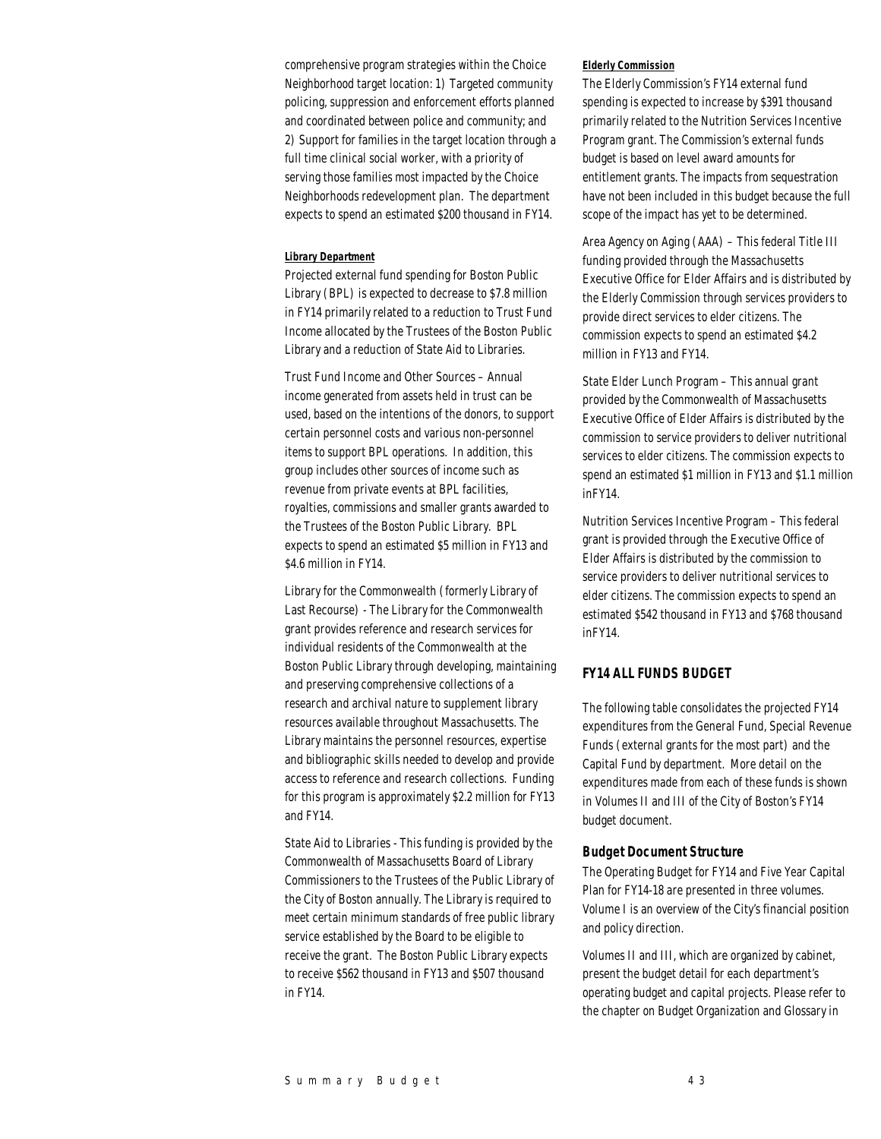comprehensive program strategies within the Choice Neighborhood target location: 1) Targeted community policing, suppression and enforcement efforts planned and coordinated between police and community; and 2) Support for families in the target location through a full time clinical social worker, with a priority of serving those families most impacted by the Choice Neighborhoods redevelopment plan. The department expects to spend an estimated \$200 thousand in FY14.

#### *Library Department*

Projected external fund spending for Boston Public Library (BPL) is expected to decrease to \$7.8 million in FY14 primarily related to a reduction to Trust Fund Income allocated by the Trustees of the Boston Public Library and a reduction of State Aid to Libraries.

Trust Fund Income and Other Sources – Annual income generated from assets held in trust can be used, based on the intentions of the donors, to support certain personnel costs and various non-personnel items to support BPL operations. In addition, this group includes other sources of income such as revenue from private events at BPL facilities, royalties, commissions and smaller grants awarded to the Trustees of the Boston Public Library. BPL expects to spend an estimated \$5 million in FY13 and \$4.6 million in FY14.

Library for the Commonwealth (formerly Library of Last Recourse) - The Library for the Commonwealth grant provides reference and research services for individual residents of the Commonwealth at the Boston Public Library through developing, maintaining and preserving comprehensive collections of a research and archival nature to supplement library resources available throughout Massachusetts. The Library maintains the personnel resources, expertise and bibliographic skills needed to develop and provide access to reference and research collections. Funding for this program is approximately \$2.2 million for FY13 and FY14.

State Aid to Libraries - This funding is provided by the Commonwealth of Massachusetts Board of Library Commissioners to the Trustees of the Public Library of the City of Boston annually. The Library is required to meet certain minimum standards of free public library service established by the Board to be eligible to receive the grant. The Boston Public Library expects to receive \$562 thousand in FY13 and \$507 thousand in FY14.

#### *Elderly Commission*

The Elderly Commission's FY14 external fund spending is expected to increase by \$391 thousand primarily related to the Nutrition Services Incentive Program grant. The Commission's external funds budget is based on level award amounts for entitlement grants. The impacts from sequestration have not been included in this budget because the full scope of the impact has yet to be determined.

Area Agency on Aging (AAA) – This federal Title III funding provided through the Massachusetts Executive Office for Elder Affairs and is distributed by the Elderly Commission through services providers to provide direct services to elder citizens. The commission expects to spend an estimated \$4.2 million in FY13 and FY14.

State Elder Lunch Program – This annual grant provided by the Commonwealth of Massachusetts Executive Office of Elder Affairs is distributed by the commission to service providers to deliver nutritional services to elder citizens. The commission expects to spend an estimated \$1 million in FY13 and \$1.1 million inFY14.

Nutrition Services Incentive Program – This federal grant is provided through the Executive Office of Elder Affairs is distributed by the commission to service providers to deliver nutritional services to elder citizens. The commission expects to spend an estimated \$542 thousand in FY13 and \$768 thousand inFY14.

## *FY14 ALL FUNDS BUDGET*

The following table consolidates the projected FY14 expenditures from the General Fund, Special Revenue Funds (external grants for the most part) and the Capital Fund by department. More detail on the expenditures made from each of these funds is shown in Volumes II and III of the City of Boston's FY14 budget document.

#### *Budget Document Structure*

The Operating Budget for FY14 and Five Year Capital Plan for FY14-18 are presented in three volumes. Volume I is an overview of the City's financial position and policy direction.

Volumes II and III, which are organized by cabinet, present the budget detail for each department's operating budget and capital projects. Please refer to the chapter on Budget Organization and Glossary in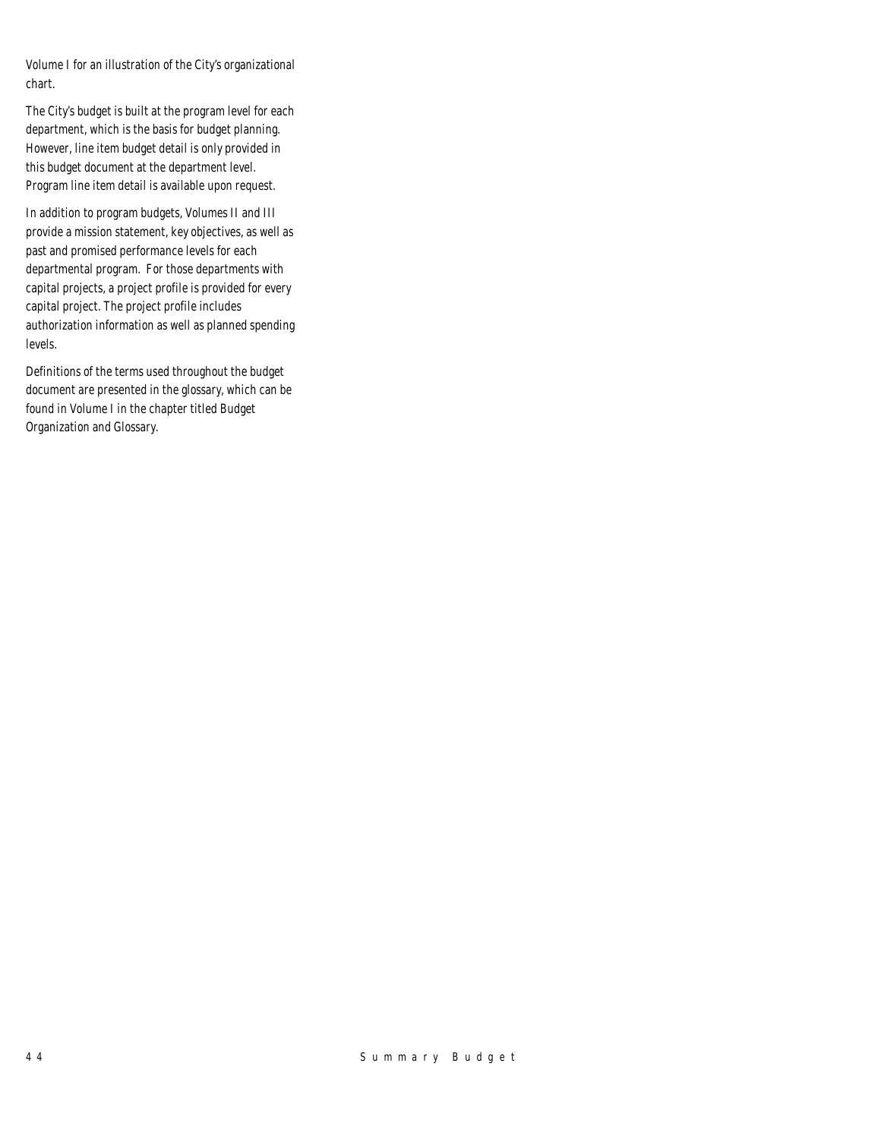Volume I for an illustration of the City's organizational chart.

The City's budget is built at the program level for each department, which is the basis for budget planning. However, line item budget detail is only provided in this budget document at the department level. Program line item detail is available upon request.

In addition to program budgets, Volumes II and III provide a mission statement, key objectives, as well as past and promised performance levels for each departmental program. For those departments with capital projects, a project profile is provided for every capital project. The project profile includes authorization information as well as planned spending levels.

Definitions of the terms used throughout the budget document are presented in the glossary, which can be found in Volume I in the chapter titled Budget Organization and Glossary.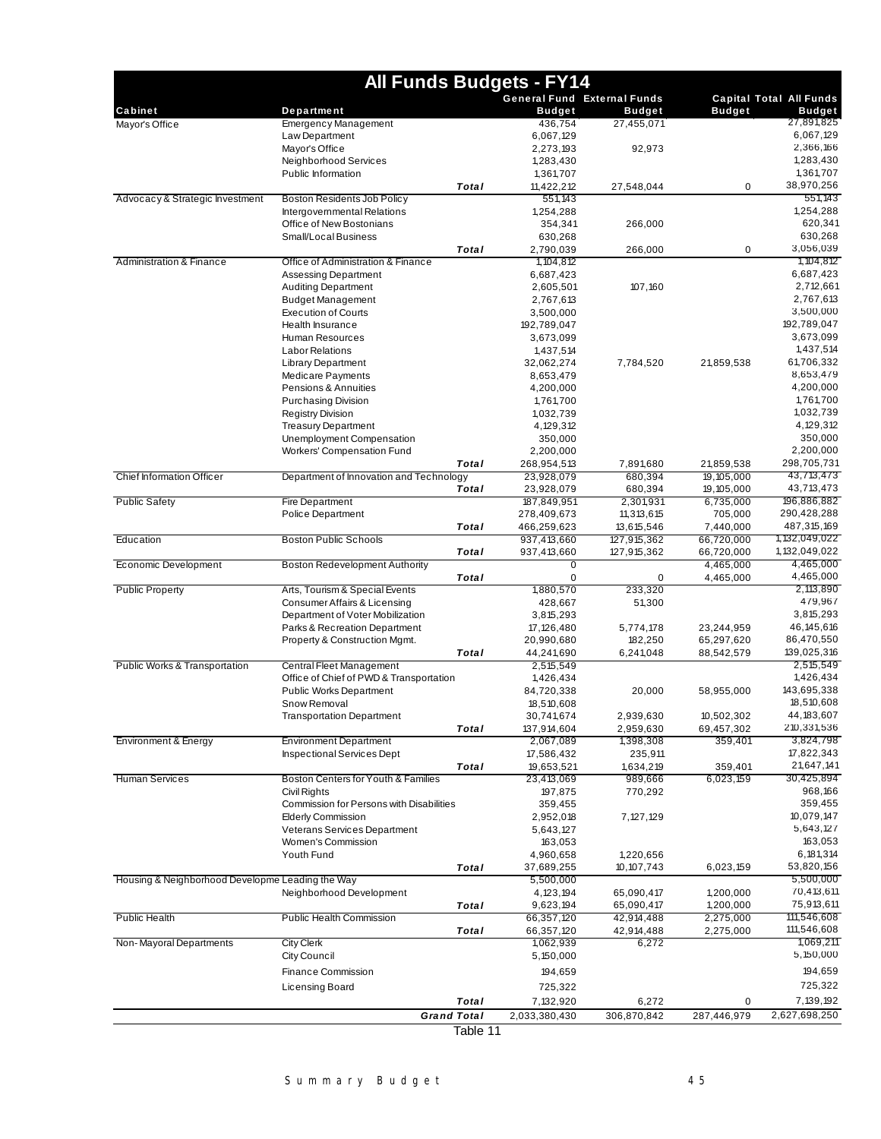|                                                  | <b>All Funds Budgets - FY14</b>                                       |          |                          |                                    |                          |                                |
|--------------------------------------------------|-----------------------------------------------------------------------|----------|--------------------------|------------------------------------|--------------------------|--------------------------------|
|                                                  |                                                                       |          |                          | <b>General Fund External Funds</b> |                          | <b>Capital Total All Funds</b> |
| Cabinet                                          | Department                                                            |          | <b>Budget</b>            | <b>Budget</b>                      | <b>Budget</b>            | <b>Budget</b>                  |
| Mayor's Office                                   | <b>Emergency Management</b>                                           |          | 436,754                  | 27,455,071                         |                          | 27,891,825<br>6,067,129        |
|                                                  | Law Department<br>Mayor's Office                                      |          | 6,067,129<br>2,273,193   | 92,973                             |                          | 2,366,166                      |
|                                                  | Neighborhood Services                                                 |          | 1,283,430                |                                    |                          | 1,283,430                      |
|                                                  | Public Information                                                    |          | 1,361,707                |                                    |                          | 1,361,707                      |
|                                                  |                                                                       | Total    | 11,422,212               | 27,548,044                         | 0                        | 38,970,256                     |
| Advocacy & Strategic Investment                  | Boston Residents Job Policy                                           |          | 551,143                  |                                    |                          | 551,143                        |
|                                                  | Intergovernmental Relations                                           |          | 1,254,288                |                                    |                          | 1,254,288                      |
|                                                  | Office of New Bostonians                                              |          | 354,341                  | 266,000                            |                          | 620,341                        |
|                                                  | Small/Local Business                                                  | Total    | 630,268                  |                                    |                          | 630,268<br>3,056,039           |
| <b>Administration &amp; Finance</b>              | Office of Administration & Finance                                    |          | 2,790,039<br>1, 104, 812 | 266,000                            | 0                        | 1,104,812                      |
|                                                  | <b>Assessing Department</b>                                           |          | 6,687,423                |                                    |                          | 6,687,423                      |
|                                                  | <b>Auditing Department</b>                                            |          | 2,605,501                | 107,160                            |                          | 2,712,661                      |
|                                                  | <b>Budget Management</b>                                              |          | 2,767,613                |                                    |                          | 2,767,613                      |
|                                                  | <b>Execution of Courts</b>                                            |          | 3,500,000                |                                    |                          | 3,500,000                      |
|                                                  | Health Insurance                                                      |          | 192,789,047              |                                    |                          | 192,789,047                    |
|                                                  | Human Resources                                                       |          | 3,673,099                |                                    |                          | 3,673,099                      |
|                                                  | <b>Labor Relations</b>                                                |          | 1,437,514                |                                    |                          | 1,437,514                      |
|                                                  | <b>Library Department</b><br><b>Medicare Payments</b>                 |          | 32,062,274<br>8,653,479  | 7,784,520                          | 21,859,538               | 61,706,332<br>8,653,479        |
|                                                  | Pensions & Annuities                                                  |          | 4,200,000                |                                    |                          | 4,200,000                      |
|                                                  | <b>Purchasing Division</b>                                            |          | 1,761,700                |                                    |                          | 1,761,700                      |
|                                                  | <b>Registry Division</b>                                              |          | 1,032,739                |                                    |                          | 1,032,739                      |
|                                                  | <b>Treasury Department</b>                                            |          | 4, 129, 312              |                                    |                          | 4,129,312                      |
|                                                  | Unemployment Compensation                                             |          | 350,000                  |                                    |                          | 350,000                        |
|                                                  | Workers' Compensation Fund                                            |          | 2,200,000                |                                    |                          | 2,200,000                      |
| <b>Chief Information Officer</b>                 |                                                                       | Total    | 268,954,513              | 7,891,680                          | 21,859,538               | 298,705,731<br>43,713,473      |
|                                                  | Department of Innovation and Technology                               | Total    | 23,928,079<br>23,928,079 | 680,394<br>680,394                 | 19,105,000<br>19,105,000 | 43,713,473                     |
| <b>Public Safety</b>                             | <b>Fire Department</b>                                                |          | 187,849,951              | 2,301,931                          | 6,735,000                | 196,886,882                    |
|                                                  | Police Department                                                     |          | 278,409,673              | 11,313,615                         | 705,000                  | 290,428,288                    |
|                                                  |                                                                       | Total    | 466,259,623              | 13,615,546                         | 7,440,000                | 487,315,169                    |
| Education                                        | <b>Boston Public Schools</b>                                          |          | 937,413,660              | 127,915,362                        | 66,720,000               | 1, 132, 049, 022               |
|                                                  |                                                                       | Total    | 937,413,660              | 127,915,362                        | 66,720,000               | 1, 132, 049, 022               |
| Economic Development                             | <b>Boston Redevelopment Authority</b>                                 |          | 0                        |                                    | 4,465,000                | 4,465,000                      |
| <b>Public Property</b>                           | Arts, Tourism & Special Events                                        | Total    | 0<br>1,880,570           | $\mathbf 0$<br>233,320             | 4,465,000                | 4,465,000<br>2,113,890         |
|                                                  | Consumer Affairs & Licensing                                          |          | 428,667                  | 51,300                             |                          | 479,967                        |
|                                                  | Department of Voter Mobilization                                      |          | 3,815,293                |                                    |                          | 3,815,293                      |
|                                                  | Parks & Recreation Department                                         |          | 17, 126, 480             | 5,774,178                          | 23,244,959               | 46, 145, 616                   |
|                                                  | Property & Construction Mgmt.                                         |          | 20,990,680               | 182,250                            | 65,297,620               | 86,470,550                     |
|                                                  |                                                                       | Total    | 44,241,690               | 6,241,048                          | 88,542,579               | 139,025,316                    |
| Public Works & Transportation                    | Central Fleet Management                                              |          | 2,515,549                |                                    |                          | 2,515,549                      |
|                                                  | Office of Chief of PWD & Transportation                               |          | 1,426,434                |                                    |                          | 1,426,434                      |
|                                                  | <b>Public Works Department</b><br>Snow Removal                        |          | 84,720,338<br>18,510,608 | 20,000                             | 58,955,000               | 143,695,338<br>18,510,608      |
|                                                  | <b>Transportation Department</b>                                      |          | 30,741,674               | 2,939,630                          | 10,502,302               | 44, 183, 607                   |
|                                                  |                                                                       | Total    | 137,914,604              | 2,959,630                          | 69,457,302               | 210,331,536                    |
| Environment & Energy                             | <b>Environment Department</b>                                         |          | 2,067,089                | 1,398,308                          | 359,401                  | 3,824,798                      |
|                                                  | <b>Inspectional Services Dept</b>                                     |          | 17,586,432               | 235,911                            |                          | 17,822,343                     |
|                                                  |                                                                       | Total    | 19,653,521               | 1,634,219                          | 359,401                  | 21,647,141                     |
| <b>Human Services</b>                            | Boston Centers for Youth & Families                                   |          | 23,413,069               | 989,666                            | 6,023,159                | 30,425,894                     |
|                                                  | Civil Rights                                                          |          | 197,875                  | 770,292                            |                          | 968,166                        |
|                                                  | Commission for Persons with Disabilities<br><b>Elderly Commission</b> |          | 359,455<br>2,952,018     | 7,127,129                          |                          | 359,455<br>10,079,147          |
|                                                  | Veterans Services Department                                          |          | 5,643,127                |                                    |                          | 5,643,127                      |
|                                                  | Women's Commission                                                    |          | 163,053                  |                                    |                          | 163,053                        |
|                                                  | Youth Fund                                                            |          | 4,960,658                | 1,220,656                          |                          | 6, 181, 314                    |
|                                                  |                                                                       | Total    | 37,689,255               | 10, 107, 743                       | 6,023,159                | 53,820,156                     |
| Housing & Neighborhood Developme Leading the Way |                                                                       |          | 5,500,000                |                                    |                          | 5,500,000                      |
|                                                  | Neighborhood Development                                              |          | 4, 123, 194              | 65,090,417                         | 1,200,000                | 70,413,611                     |
|                                                  |                                                                       | Total    | 9,623,194                | 65,090,417                         | 1,200,000                | 75,913,611                     |
| <b>Public Health</b>                             | <b>Public Health Commission</b>                                       |          | 66,357,120               | 42,914,488                         | 2,275,000                | 111,546,608<br>111,546,608     |
| Non-Mayoral Departments                          | <b>City Clerk</b>                                                     | Total    | 66,357,120<br>1,062,939  | 42,914,488<br>6,272                | 2,275,000                | 1,069,211                      |
|                                                  | <b>City Council</b>                                                   |          | 5,150,000                |                                    |                          | 5,150,000                      |
|                                                  | Finance Commission                                                    |          |                          |                                    |                          | 194,659                        |
|                                                  |                                                                       |          | 194,659                  |                                    |                          | 725,322                        |
|                                                  | Licensing Board                                                       | Total    | 725,322<br>7,132,920     | 6,272                              | 0                        | 7, 139, 192                    |
|                                                  | <b>Grand Total</b>                                                    |          | 2,033,380,430            | 306,870,842                        | 287,446,979              | 2,627,698,250                  |
|                                                  |                                                                       | Table 11 |                          |                                    |                          |                                |
|                                                  |                                                                       |          |                          |                                    |                          |                                |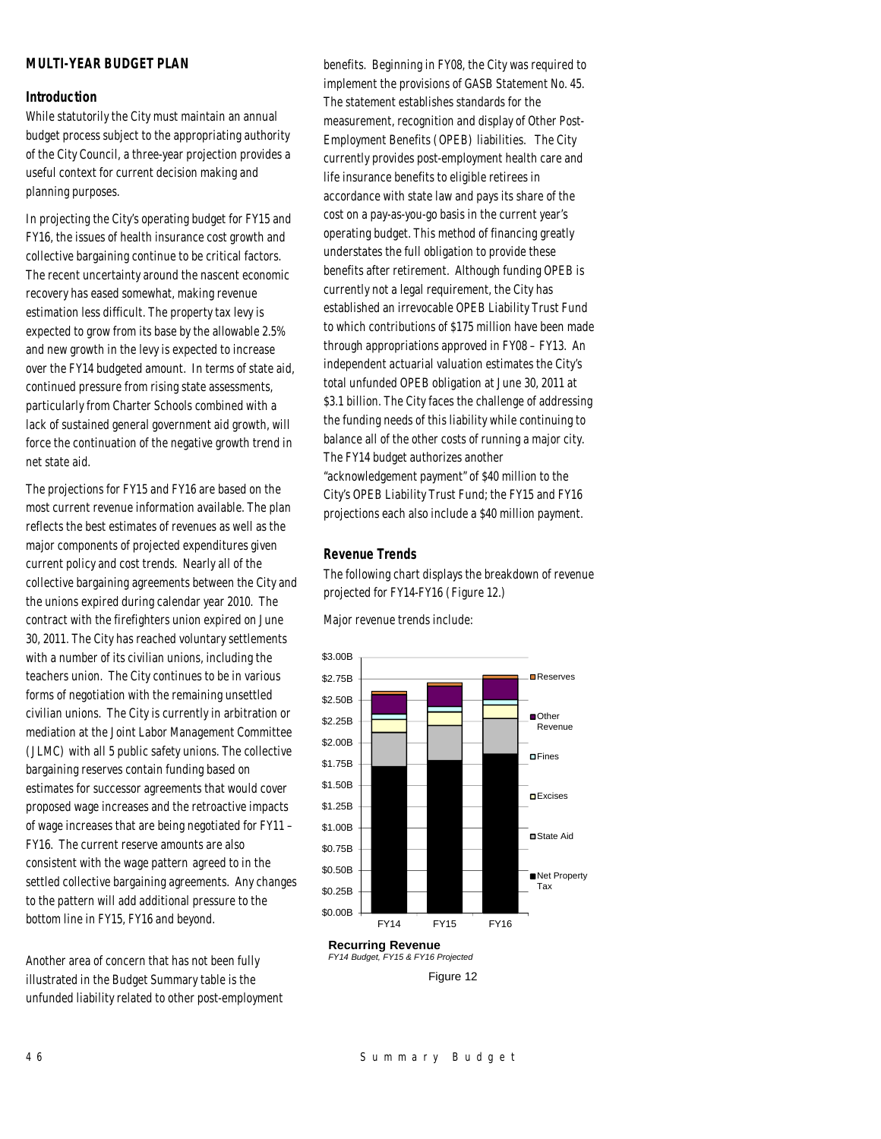## *MULTI-YEAR BUDGET PLAN*

## *Introduction*

While statutorily the City must maintain an annual budget process subject to the appropriating authority of the City Council, a three-year projection provides a useful context for current decision making and planning purposes.

In projecting the City's operating budget for FY15 and FY16, the issues of health insurance cost growth and collective bargaining continue to be critical factors. The recent uncertainty around the nascent economic recovery has eased somewhat, making revenue estimation less difficult. The property tax levy is expected to grow from its base by the allowable 2.5% and new growth in the levy is expected to increase over the FY14 budgeted amount. In terms of state aid, continued pressure from rising state assessments, particularly from Charter Schools combined with a lack of sustained general government aid growth, will force the continuation of the negative growth trend in net state aid.

The projections for FY15 and FY16 are based on the most current revenue information available. The plan reflects the best estimates of revenues as well as the major components of projected expenditures given current policy and cost trends. Nearly all of the collective bargaining agreements between the City and the unions expired during calendar year 2010. The contract with the firefighters union expired on June 30, 2011. The City has reached voluntary settlements with a number of its civilian unions, including the teachers union. The City continues to be in various forms of negotiation with the remaining unsettled civilian unions. The City is currently in arbitration or mediation at the Joint Labor Management Committee (JLMC) with all 5 public safety unions. The collective bargaining reserves contain funding based on estimates for successor agreements that would cover proposed wage increases and the retroactive impacts of wage increases that are being negotiated for FY11 – FY16. The current reserve amounts are also consistent with the wage pattern agreed to in the settled collective bargaining agreements. Any changes to the pattern will add additional pressure to the bottom line in FY15, FY16 and beyond.

Another area of concern that has not been fully illustrated in the Budget Summary table is the unfunded liability related to other post-employment benefits. Beginning in FY08, the City was required to implement the provisions of GASB Statement No. 45. The statement establishes standards for the measurement, recognition and display of Other Post-Employment Benefits (OPEB) liabilities. The City currently provides post-employment health care and life insurance benefits to eligible retirees in accordance with state law and pays its share of the cost on a pay-as-you-go basis in the current year's operating budget. This method of financing greatly understates the full obligation to provide these benefits after retirement. Although funding OPEB is currently not a legal requirement, the City has established an irrevocable OPEB Liability Trust Fund to which contributions of \$175 million have been made through appropriations approved in FY08 – FY13. An independent actuarial valuation estimates the City's total unfunded OPEB obligation at June 30, 2011 at \$3.1 billion. The City faces the challenge of addressing the funding needs of this liability while continuing to balance all of the other costs of running a major city. The FY14 budget authorizes another "acknowledgement payment" of \$40 million to the City's OPEB Liability Trust Fund; the FY15 and FY16 projections each also include a \$40 million payment.

## *Revenue Trends*

The following chart displays the breakdown of revenue projected for FY14-FY16 (Figure 12.)

Major revenue trends include:

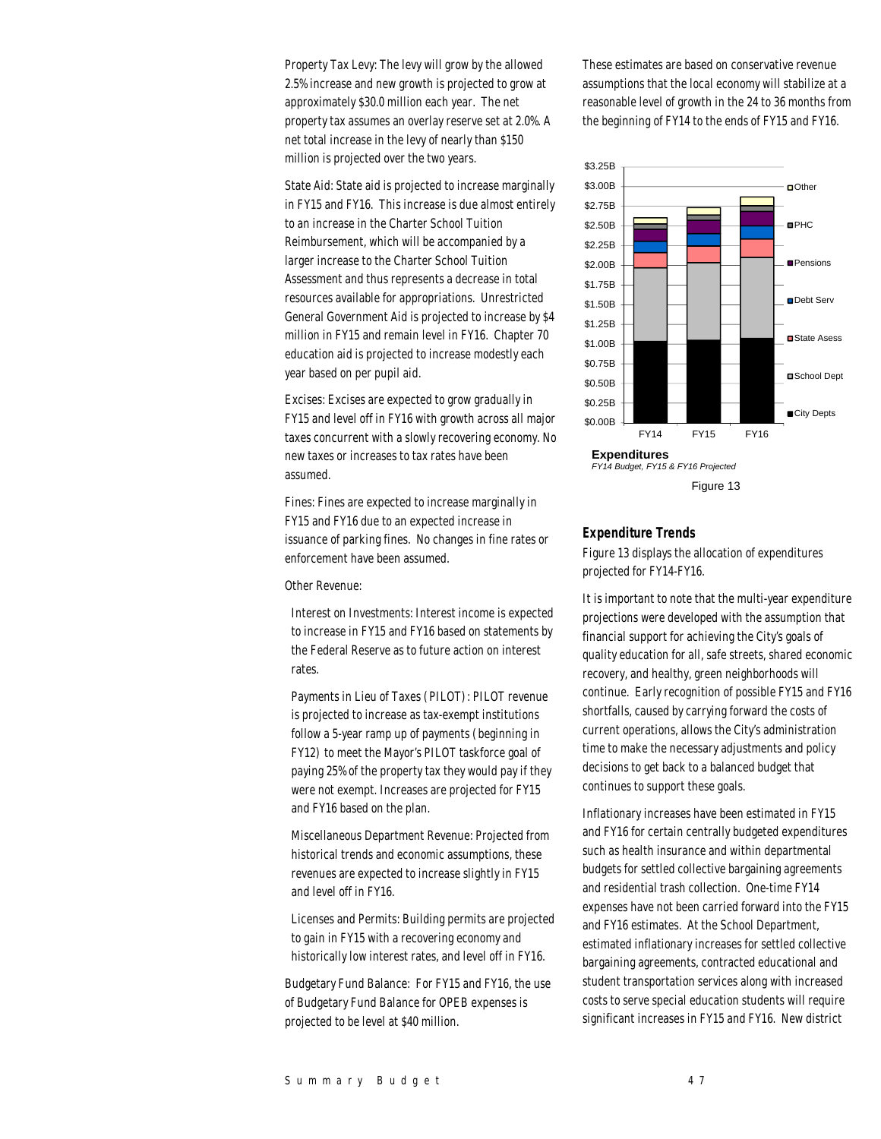Property Tax Levy: The levy will grow by the allowed 2.5% increase and new growth is projected to grow at approximately \$30.0 million each year. The net property tax assumes an overlay reserve set at 2.0%. A net total increase in the levy of nearly than \$150 million is projected over the two years.

State Aid: State aid is projected to increase marginally in FY15 and FY16. This increase is due almost entirely to an increase in the Charter School Tuition Reimbursement, which will be accompanied by a larger increase to the Charter School Tuition Assessment and thus represents a decrease in total resources available for appropriations. Unrestricted General Government Aid is projected to increase by \$4 million in FY15 and remain level in FY16. Chapter 70 education aid is projected to increase modestly each year based on per pupil aid.

Excises: Excises are expected to grow gradually in FY15 and level off in FY16 with growth across all major taxes concurrent with a slowly recovering economy. No new taxes or increases to tax rates have been assumed.

Fines: Fines are expected to increase marginally in FY15 and FY16 due to an expected increase in issuance of parking fines. No changes in fine rates or enforcement have been assumed.

Other Revenue:

Interest on Investments: Interest income is expected to increase in FY15 and FY16 based on statements by the Federal Reserve as to future action on interest rates.

Payments in Lieu of Taxes (PILOT): PILOT revenue is projected to increase as tax-exempt institutions follow a 5-year ramp up of payments (beginning in FY12) to meet the Mayor's PILOT taskforce goal of paying 25% of the property tax they would pay if they were not exempt. Increases are projected for FY15 and FY16 based on the plan.

Miscellaneous Department Revenue: Projected from historical trends and economic assumptions, these revenues are expected to increase slightly in FY15 and level off in FY16.

Licenses and Permits: Building permits are projected to gain in FY15 with a recovering economy and historically low interest rates, and level off in FY16.

Budgetary Fund Balance: For FY15 and FY16, the use of Budgetary Fund Balance for OPEB expenses is projected to be level at \$40 million.

These estimates are based on conservative revenue assumptions that the local economy will stabilize at a reasonable level of growth in the 24 to 36 months from the beginning of FY14 to the ends of FY15 and FY16.



## *Expenditure Trends*

Figure 13 displays the allocation of expenditures projected for FY14-FY16.

It is important to note that the multi-year expenditure projections were developed with the assumption that financial support for achieving the City's goals of quality education for all, safe streets, shared economic recovery, and healthy, green neighborhoods will continue. Early recognition of possible FY15 and FY16 shortfalls, caused by carrying forward the costs of current operations, allows the City's administration time to make the necessary adjustments and policy decisions to get back to a balanced budget that continues to support these goals.

Inflationary increases have been estimated in FY15 and FY16 for certain centrally budgeted expenditures such as health insurance and within departmental budgets for settled collective bargaining agreements and residential trash collection. One-time FY14 expenses have not been carried forward into the FY15 and FY16 estimates. At the School Department, estimated inflationary increases for settled collective bargaining agreements, contracted educational and student transportation services along with increased costs to serve special education students will require significant increases in FY15 and FY16. New district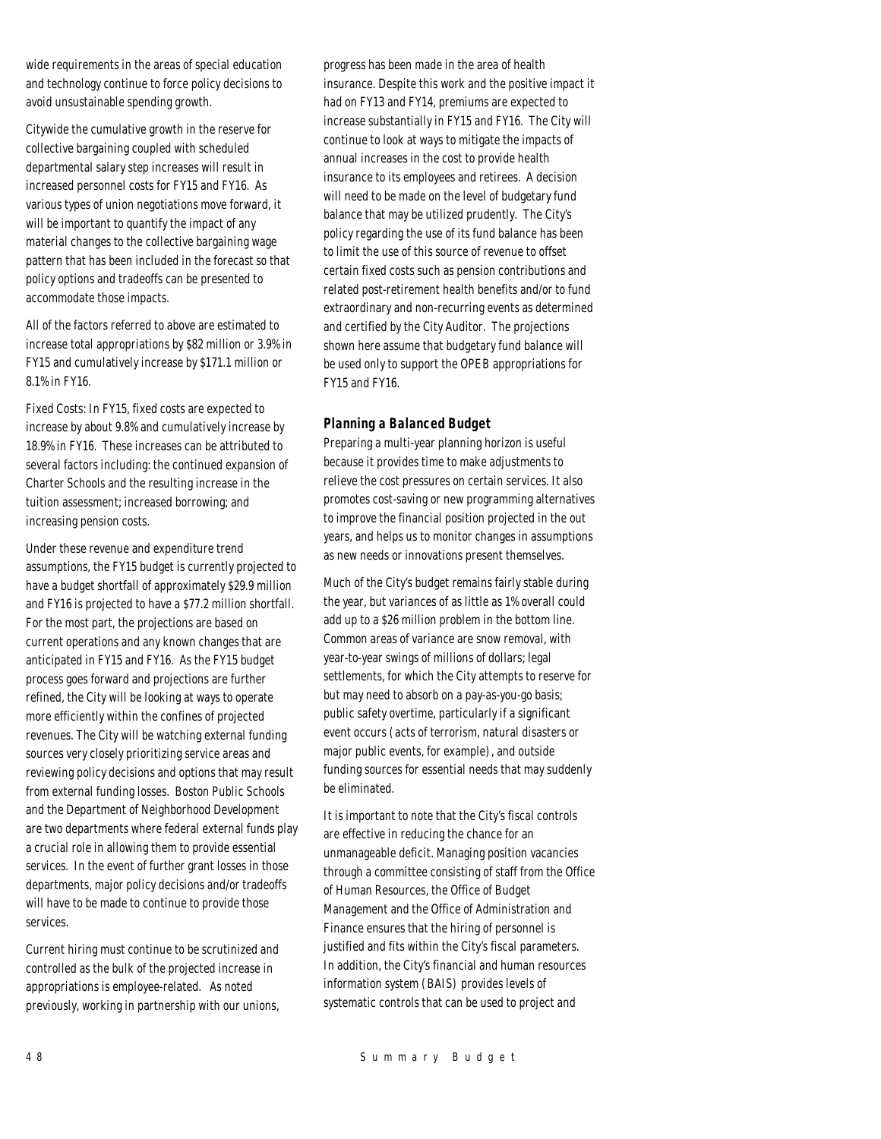wide requirements in the areas of special education and technology continue to force policy decisions to avoid unsustainable spending growth.

Citywide the cumulative growth in the reserve for collective bargaining coupled with scheduled departmental salary step increases will result in increased personnel costs for FY15 and FY16. As various types of union negotiations move forward, it will be important to quantify the impact of any material changes to the collective bargaining wage pattern that has been included in the forecast so that policy options and tradeoffs can be presented to accommodate those impacts.

All of the factors referred to above are estimated to increase total appropriations by \$82 million or 3.9% in FY15 and cumulatively increase by \$171.1 million or 8.1% in FY16.

Fixed Costs: In FY15, fixed costs are expected to increase by about 9.8% and cumulatively increase by 18.9% in FY16. These increases can be attributed to several factors including: the continued expansion of Charter Schools and the resulting increase in the tuition assessment; increased borrowing; and increasing pension costs.

Under these revenue and expenditure trend assumptions, the FY15 budget is currently projected to have a budget shortfall of approximately \$29.9 million and FY16 is projected to have a \$77.2 million shortfall. For the most part, the projections are based on current operations and any known changes that are anticipated in FY15 and FY16. As the FY15 budget process goes forward and projections are further refined, the City will be looking at ways to operate more efficiently within the confines of projected revenues. The City will be watching external funding sources very closely prioritizing service areas and reviewing policy decisions and options that may result from external funding losses. Boston Public Schools and the Department of Neighborhood Development are two departments where federal external funds play a crucial role in allowing them to provide essential services. In the event of further grant losses in those departments, major policy decisions and/or tradeoffs will have to be made to continue to provide those services.

Current hiring must continue to be scrutinized and controlled as the bulk of the projected increase in appropriations is employee-related. As noted previously, working in partnership with our unions, progress has been made in the area of health insurance. Despite this work and the positive impact it had on FY13 and FY14, premiums are expected to increase substantially in FY15 and FY16. The City will continue to look at ways to mitigate the impacts of annual increases in the cost to provide health insurance to its employees and retirees. A decision will need to be made on the level of budgetary fund balance that may be utilized prudently. The City's policy regarding the use of its fund balance has been to limit the use of this source of revenue to offset certain fixed costs such as pension contributions and related post-retirement health benefits and/or to fund extraordinary and non-recurring events as determined and certified by the City Auditor. The projections shown here assume that budgetary fund balance will be used only to support the OPEB appropriations for FY15 and FY16.

## *Planning a Balanced Budget*

Preparing a multi-year planning horizon is useful because it provides time to make adjustments to relieve the cost pressures on certain services. It also promotes cost-saving or new programming alternatives to improve the financial position projected in the out years, and helps us to monitor changes in assumptions as new needs or innovations present themselves.

Much of the City's budget remains fairly stable during the year, but variances of as little as 1% overall could add up to a \$26 million problem in the bottom line. Common areas of variance are snow removal, with year-to-year swings of millions of dollars; legal settlements, for which the City attempts to reserve for but may need to absorb on a pay-as-you-go basis; public safety overtime, particularly if a significant event occurs (acts of terrorism, natural disasters or major public events, for example), and outside funding sources for essential needs that may suddenly be eliminated.

It is important to note that the City's fiscal controls are effective in reducing the chance for an unmanageable deficit. Managing position vacancies through a committee consisting of staff from the Office of Human Resources, the Office of Budget Management and the Office of Administration and Finance ensures that the hiring of personnel is justified and fits within the City's fiscal parameters. In addition, the City's financial and human resources information system (BAIS) provides levels of systematic controls that can be used to project and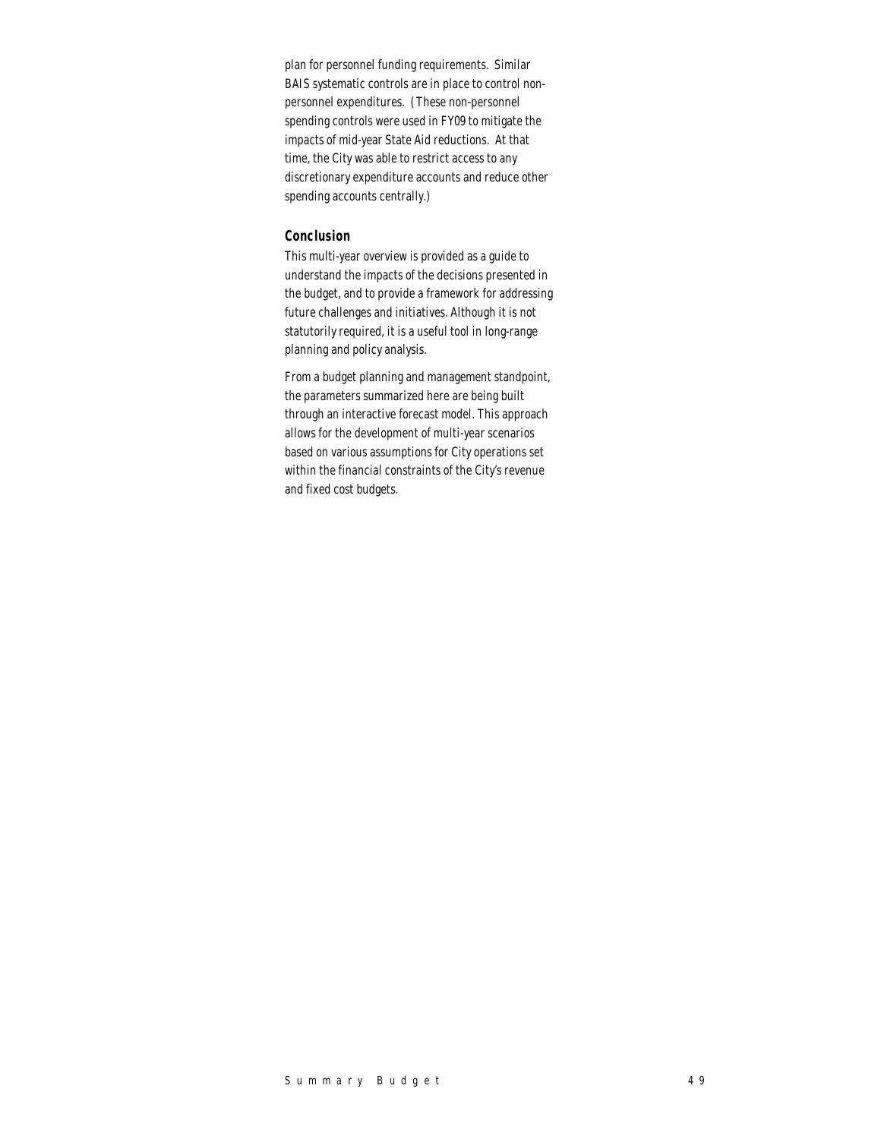plan for personnel funding requirements. Similar BAIS systematic controls are in place to control nonpersonnel expenditures. (These non-personnel spending controls were used in FY09 to mitigate the impacts of mid-year State Aid reductions. At that time, the City was able to restrict access to any discretionary expenditure accounts and reduce other spending accounts centrally.)

## *Conclusion*

This multi-year overview is provided as a guide to understand the impacts of the decisions presented in the budget, and to provide a framework for addressing future challenges and initiatives. Although it is not statutorily required, it is a useful tool in long-range planning and policy analysis.

From a budget planning and management standpoint, the parameters summarized here are being built through an interactive forecast model. This approach allows for the development of multi-year scenarios based on various assumptions for City operations set within the financial constraints of the City's revenue and fixed cost budgets.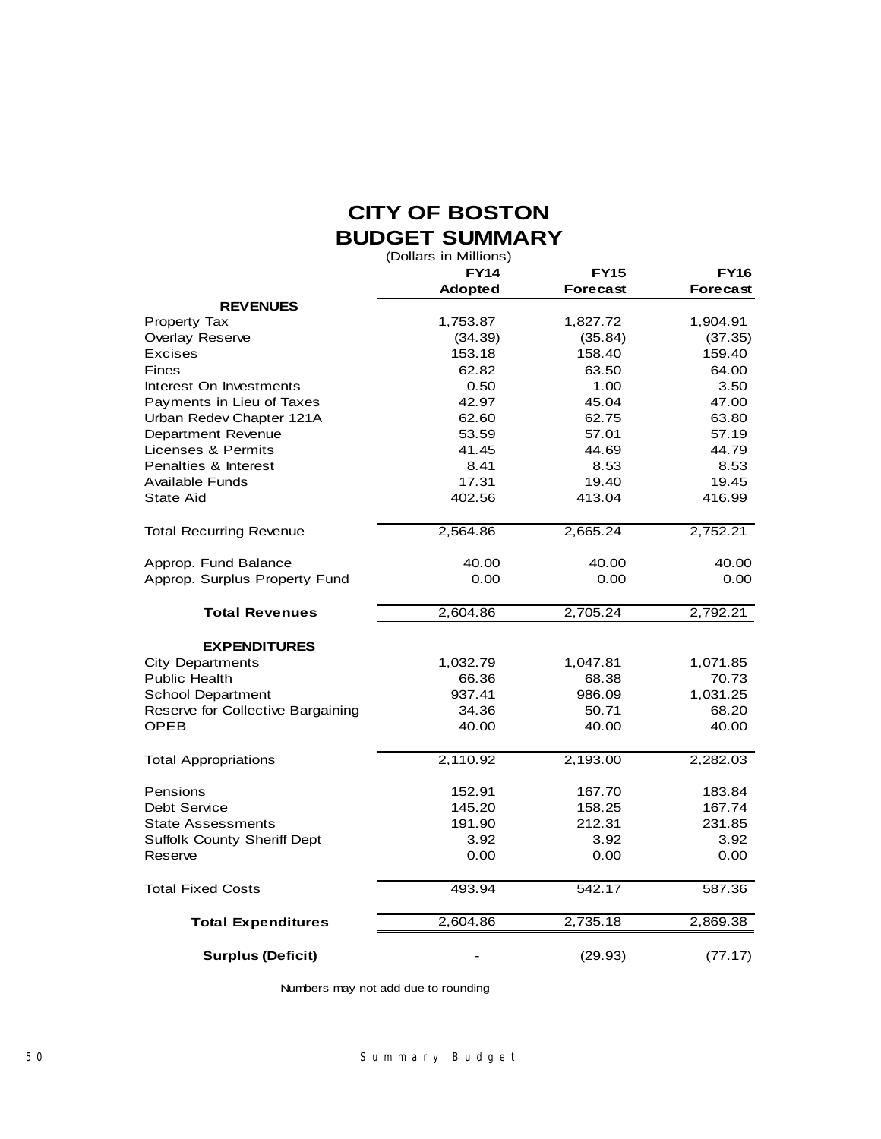# **CITY OF BOSTON BUDGET SUMMARY**

(Dollars in Millions)

|                                    | <b>FY14</b>    | <b>FY15</b><br><b>Forecast</b> | <b>FY16</b><br>Forecast |
|------------------------------------|----------------|--------------------------------|-------------------------|
| <b>REVENUES</b>                    | <b>Adopted</b> |                                |                         |
| Property Tax                       | 1,753.87       | 1,827.72                       | 1,904.91                |
| Overlay Reserve                    | (34.39)        | (35.84)                        | (37.35)                 |
| Excises                            | 153.18         | 158.40                         | 159.40                  |
| Fines                              | 62.82          | 63.50                          | 64.00                   |
| Interest On Investments            | 0.50           | 1.00                           | 3.50                    |
| Payments in Lieu of Taxes          | 42.97          | 45.04                          | 47.00                   |
| Urban Redev Chapter 121A           | 62.60          | 62.75                          | 63.80                   |
| Department Revenue                 | 53.59          | 57.01                          | 57.19                   |
| Licenses & Permits                 | 41.45          | 44.69                          | 44.79                   |
| Penalties & Interest               | 8.41           | 8.53                           | 8.53                    |
| Available Funds                    | 17.31          | 19.40                          | 19.45                   |
| <b>State Aid</b>                   | 402.56         | 413.04                         | 416.99                  |
| <b>Total Recurring Revenue</b>     | 2,564.86       | 2,665.24                       | 2,752.21                |
| Approp. Fund Balance               | 40.00          | 40.00                          | 40.00                   |
| Approp. Surplus Property Fund      | 0.00           | 0.00                           | 0.00                    |
| <b>Total Revenues</b>              | 2,604.86       | 2,705.24                       | 2,792.21                |
| <b>EXPENDITURES</b>                |                |                                |                         |
| <b>City Departments</b>            | 1,032.79       | 1,047.81                       | 1,071.85                |
| <b>Public Health</b>               | 66.36          | 68.38                          | 70.73                   |
| <b>School Department</b>           | 937.41         | 986.09                         | 1,031.25                |
| Reserve for Collective Bargaining  | 34.36          | 50.71                          | 68.20                   |
| OPEB                               | 40.00          | 40.00                          | 40.00                   |
| <b>Total Appropriations</b>        | 2,110.92       | 2,193.00                       | 2,282.03                |
| Pensions                           | 152.91         | 167.70                         | 183.84                  |
| Debt Service                       | 145.20         | 158.25                         | 167.74                  |
| <b>State Assessments</b>           | 191.90         | 212.31                         | 231.85                  |
| <b>Suffolk County Sheriff Dept</b> | 3.92           | 3.92                           | 3.92                    |
| Reserve                            | 0.00           | 0.00                           | 0.00                    |
| <b>Total Fixed Costs</b>           | 493.94         | 542.17                         | 587.36                  |
| <b>Total Expenditures</b>          | 2,604.86       | 2,735.18                       | 2,869.38                |
| <b>Surplus (Deficit)</b>           |                | (29.93)                        | (77.17)                 |

Numbers may not add due to rounding